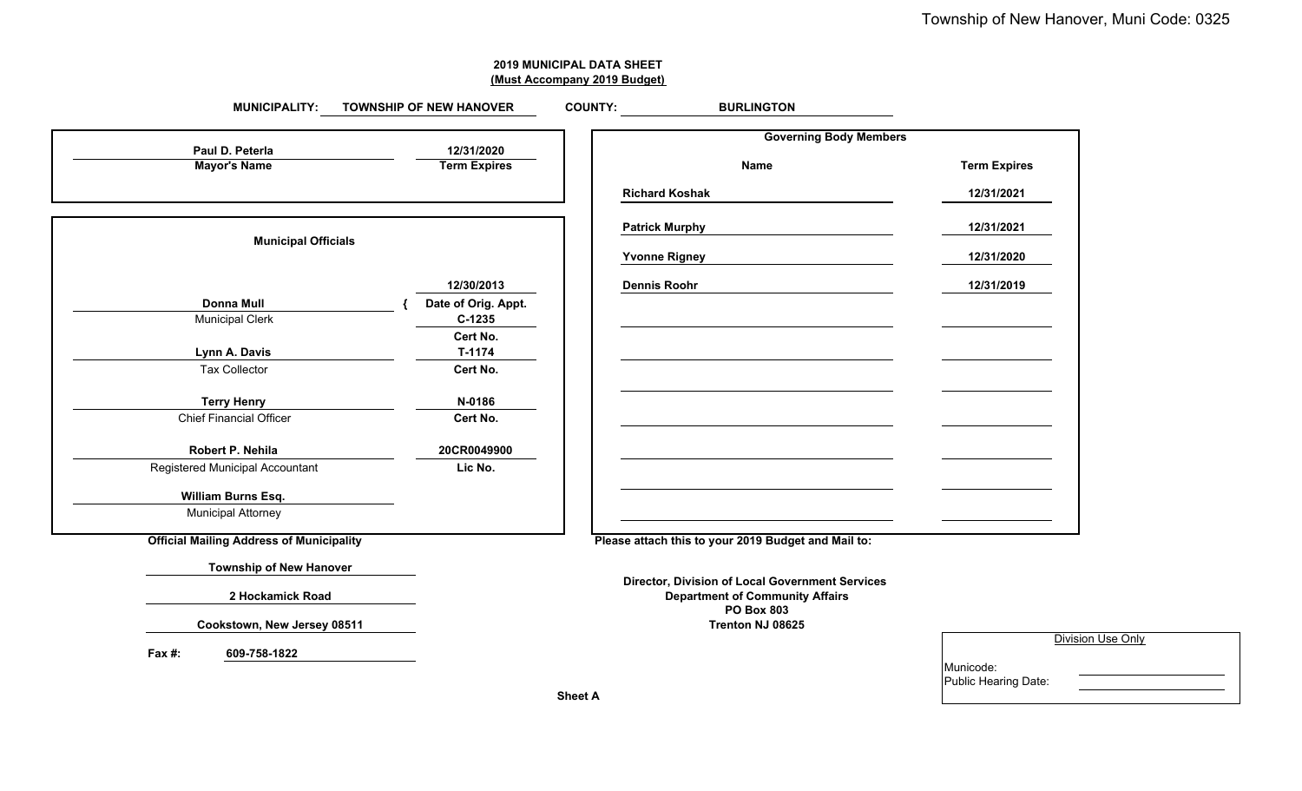| <b>2019 MUNICIPAL DATA SHEET</b> |
|----------------------------------|
| (Must Accompany 2019 Budget)     |

#### **BURLINGTON Governing Body Members 12/31/2020Term Expires Mayor's Name Term Expires Name Term Expires Richard Koshak 12/31/2021 Patrick Murphy 12/31/2021 Municipal Officials Yvonne Rigney 12/31/2020 12/30/2013 Dennis Roohr 12/31/2019 { Date of Orig. Appt.** Municipal Clerk **C-1235 Cert No. T-1174** Tax Collector **Cert No. N-0186** Chief Financial Officer **Cert No. 20CR0049900**Registered Municipal Accountant **Lic No.** Municipal Attorney **Please attach this to your 2019 Budget and Mail to: Director, Division of Local Government Services Department of Community Affairs PO Box 803Trenton NJ 08625 Fax #: 609-758-1822 Lynn A. Davis MUNICIPALITY: TOWNSHIP OF NEW HANOVER COUNTY: Paul D. PeterlaMayor's Name Donna Mull** Division Use Only **Terry Henry Robert P. NehilaWilliam Burns Esq. Township of New Hanover Official Mailing Address of Municipality 2 Hockamick Road Cookstown, New Jersey 08511**

| Municode:            |  |
|----------------------|--|
| Public Hearing Date: |  |
|                      |  |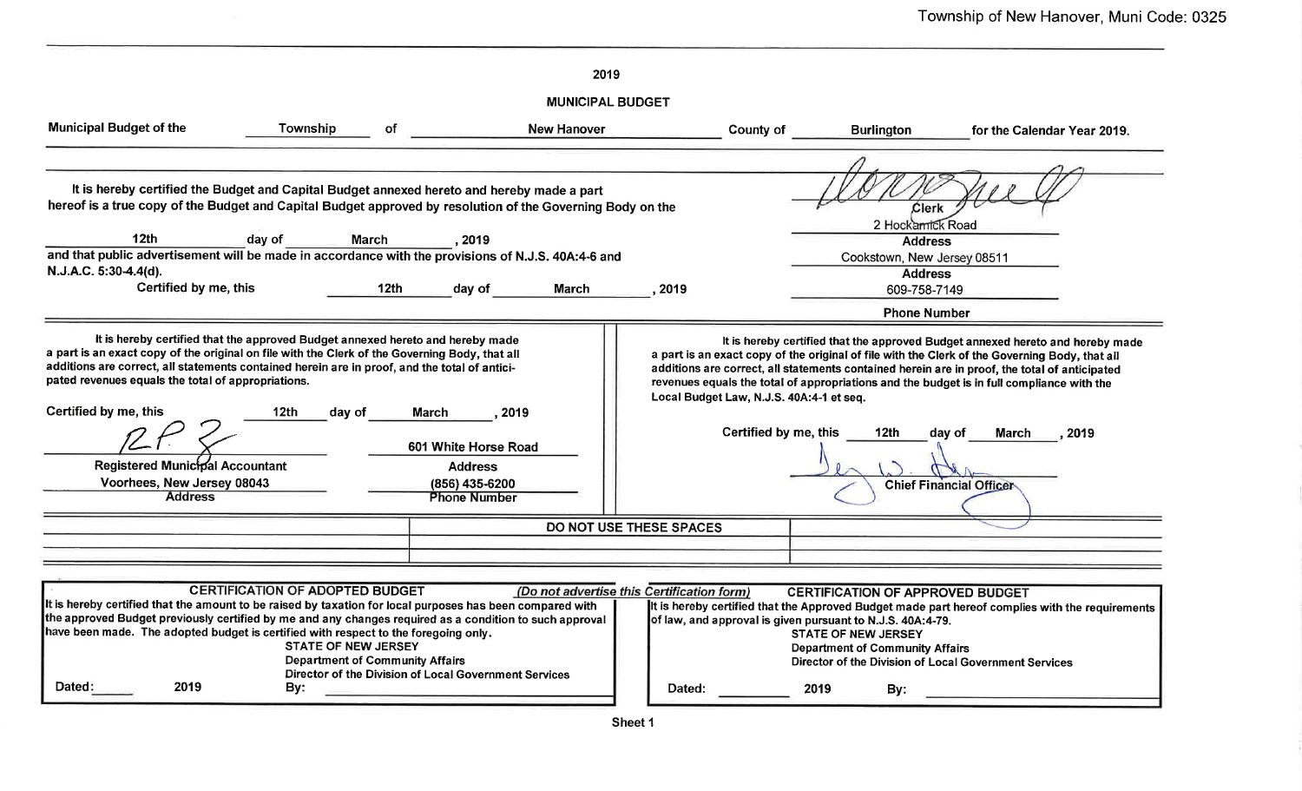|                                                                                                                                                                                                                                                                                                                                                                                                                                                            |                                                                                                                       |                                                                                          | 2019                    |                                                      |                                                                   |                                                                                                                                                                                      |                                                                                                                                                                                                                                                                                                                                                                                                                                                    |
|------------------------------------------------------------------------------------------------------------------------------------------------------------------------------------------------------------------------------------------------------------------------------------------------------------------------------------------------------------------------------------------------------------------------------------------------------------|-----------------------------------------------------------------------------------------------------------------------|------------------------------------------------------------------------------------------|-------------------------|------------------------------------------------------|-------------------------------------------------------------------|--------------------------------------------------------------------------------------------------------------------------------------------------------------------------------------|----------------------------------------------------------------------------------------------------------------------------------------------------------------------------------------------------------------------------------------------------------------------------------------------------------------------------------------------------------------------------------------------------------------------------------------------------|
|                                                                                                                                                                                                                                                                                                                                                                                                                                                            |                                                                                                                       |                                                                                          | <b>MUNICIPAL BUDGET</b> |                                                      |                                                                   |                                                                                                                                                                                      |                                                                                                                                                                                                                                                                                                                                                                                                                                                    |
| <b>Municipal Budget of the</b>                                                                                                                                                                                                                                                                                                                                                                                                                             | Township                                                                                                              | of                                                                                       | <b>New Hanover</b>      |                                                      | County of                                                         | <b>Burlington</b>                                                                                                                                                                    | for the Calendar Year 2019.                                                                                                                                                                                                                                                                                                                                                                                                                        |
| It is hereby certified the Budget and Capital Budget annexed hereto and hereby made a part<br>hereof is a true copy of the Budget and Capital Budget approved by resolution of the Governing Body on the<br>12 <sub>th</sub><br>day of<br><b>March</b><br>. 2019                                                                                                                                                                                           |                                                                                                                       |                                                                                          |                         |                                                      |                                                                   | Clerk<br>2 Hockamick Road<br><b>Address</b>                                                                                                                                          |                                                                                                                                                                                                                                                                                                                                                                                                                                                    |
| and that public advertisement will be made in accordance with the provisions of N.J.S. 40A:4-6 and<br>N.J.A.C. 5:30-4.4(d).                                                                                                                                                                                                                                                                                                                                |                                                                                                                       |                                                                                          |                         |                                                      |                                                                   | Cookstown, New Jersey 08511                                                                                                                                                          |                                                                                                                                                                                                                                                                                                                                                                                                                                                    |
| Certified by me, this                                                                                                                                                                                                                                                                                                                                                                                                                                      |                                                                                                                       | 12th<br>day of                                                                           | March                   | 2019                                                 |                                                                   | <b>Address</b><br>609-758-7149                                                                                                                                                       |                                                                                                                                                                                                                                                                                                                                                                                                                                                    |
|                                                                                                                                                                                                                                                                                                                                                                                                                                                            |                                                                                                                       |                                                                                          |                         |                                                      |                                                                   | <b>Phone Number</b>                                                                                                                                                                  |                                                                                                                                                                                                                                                                                                                                                                                                                                                    |
| It is hereby certified that the approved Budget annexed hereto and hereby made<br>a part is an exact copy of the original on file with the Clerk of the Governing Body, that all<br>additions are correct, all statements contained herein are in proof, and the total of antici-<br>pated revenues equals the total of appropriations.<br>Certified by me, this<br><b>Registered Municipal Accountant</b><br>Voorhees, New Jersey 08043<br><b>Address</b> | 12 <sub>th</sub><br>day of                                                                                            | March<br>601 White Horse Road<br><b>Address</b><br>(856) 435-6200<br><b>Phone Number</b> | 2019                    |                                                      | Local Budget Law, N.J.S. 40A:4-1 et seq.<br>Certified by me, this | 12th                                                                                                                                                                                 | It is hereby certified that the approved Budget annexed hereto and hereby made<br>a part is an exact copy of the original of file with the Clerk of the Governing Body, that all<br>additions are correct, all statements contained herein are in proof, the total of anticipated<br>revenues equals the total of appropriations and the budget is in full compliance with the<br>day of<br><b>March</b><br>2019<br><b>Chief Financial Officer</b> |
|                                                                                                                                                                                                                                                                                                                                                                                                                                                            |                                                                                                                       |                                                                                          |                         | DO NOT USE THESE SPACES                              |                                                                   |                                                                                                                                                                                      |                                                                                                                                                                                                                                                                                                                                                                                                                                                    |
|                                                                                                                                                                                                                                                                                                                                                                                                                                                            |                                                                                                                       |                                                                                          |                         |                                                      |                                                                   |                                                                                                                                                                                      |                                                                                                                                                                                                                                                                                                                                                                                                                                                    |
| It is hereby certified that the amount to be raised by taxation for local purposes has been compared with<br>the approved Budget previously certified by me and any changes required as a condition to such approval<br>have been made. The adopted budget is certified with respect to the foregoing only.<br>2019<br><b>Dated:</b>                                                                                                                       | <b>CERTIFICATION OF ADOPTED BUDGET</b><br><b>STATE OF NEW JERSEY</b><br><b>Department of Community Affairs</b><br>By: | Director of the Division of Local Government Services                                    |                         | (Do not advertise this Certification form)<br>Dated: | 2019                                                              | <b>CERTIFICATION OF APPROVED BUDGET</b><br>of law, and approval is given pursuant to N.J.S. 40A:4-79.<br><b>STATE OF NEW JERSEY</b><br><b>Department of Community Affairs</b><br>By: | It is hereby certified that the Approved Budget made part hereof complies with the requirements<br>Director of the Division of Local Government Services                                                                                                                                                                                                                                                                                           |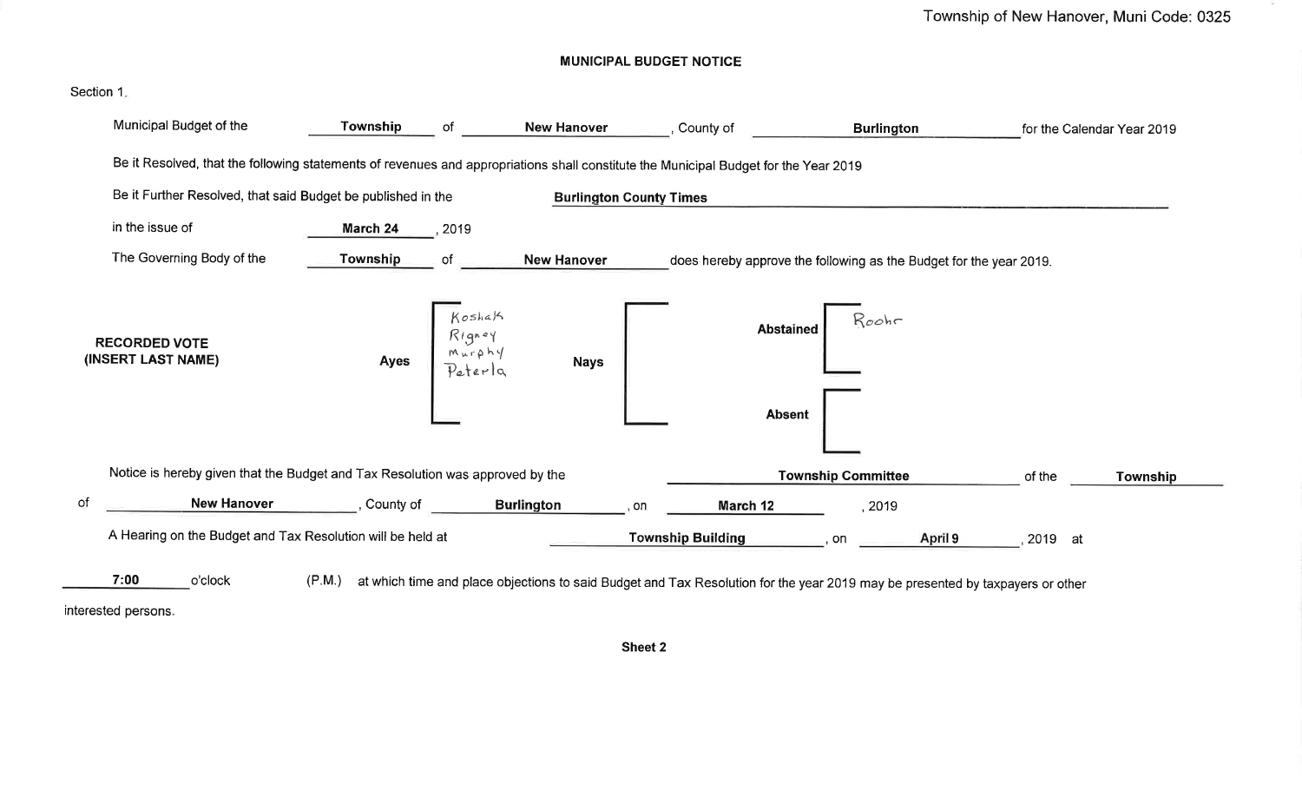**MUNICIPAL BUDGET NOTICE** 



interested persons.

Sheet 2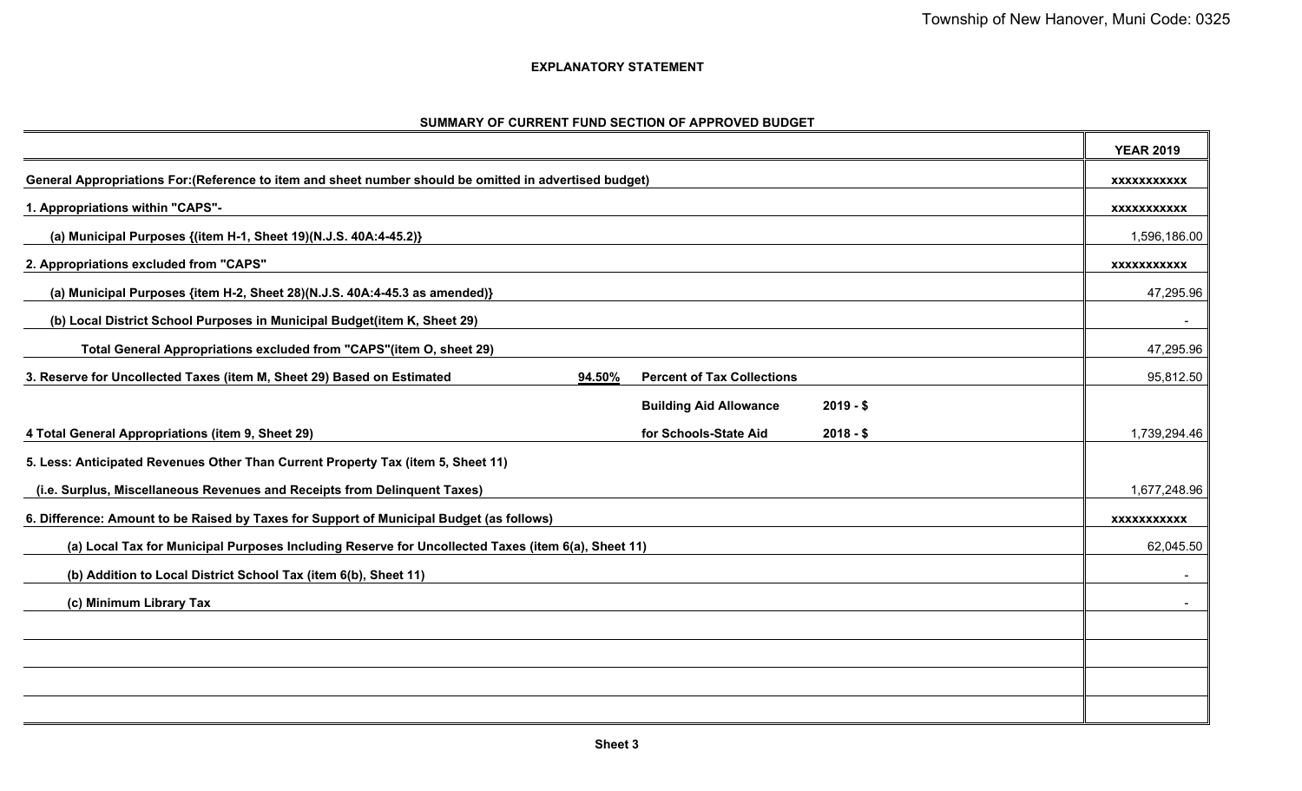$\overline{ }$ 

 $\overline{\phantom{0}}$ 

# **EXPLANATORY STATEMENT**

| SUMMARY OF CURRENT FUND SECTION OF APPROVED BUDGET |  |  |
|----------------------------------------------------|--|--|
|                                                    |  |  |

|                                                                                                                       |            | <b>YEAR 2019</b>   |
|-----------------------------------------------------------------------------------------------------------------------|------------|--------------------|
| General Appropriations For: (Reference to item and sheet number should be omitted in advertised budget)               |            | <b>XXXXXXXXXXX</b> |
| 1. Appropriations within "CAPS"-                                                                                      |            | XXXXXXXXXXX        |
| (a) Municipal Purposes {(item H-1, Sheet 19)(N.J.S. 40A:4-45.2)}                                                      |            | 1,596,186.00       |
| 2. Appropriations excluded from "CAPS"                                                                                |            | <b>XXXXXXXXXXX</b> |
| (a) Municipal Purposes {item H-2, Sheet 28)(N.J.S. 40A:4-45.3 as amended)}                                            |            | 47,295.96          |
| (b) Local District School Purposes in Municipal Budget(item K, Sheet 29)                                              |            | $\sim$             |
| Total General Appropriations excluded from "CAPS"(item O, sheet 29)                                                   |            | 47,295.96          |
| 3. Reserve for Uncollected Taxes (item M, Sheet 29) Based on Estimated<br>94.50%<br><b>Percent of Tax Collections</b> |            | 95,812.50          |
| <b>Building Aid Allowance</b>                                                                                         | $2019 - $$ |                    |
| 4 Total General Appropriations (item 9, Sheet 29)<br>for Schools-State Aid                                            | $2018 - $$ | 1,739,294.46       |
| 5. Less: Anticipated Revenues Other Than Current Property Tax (item 5, Sheet 11)                                      |            |                    |
| (i.e. Surplus, Miscellaneous Revenues and Receipts from Delinquent Taxes)                                             |            | 1,677,248.96       |
| 6. Difference: Amount to be Raised by Taxes for Support of Municipal Budget (as follows)                              |            | <b>XXXXXXXXXXX</b> |
| (a) Local Tax for Municipal Purposes Including Reserve for Uncollected Taxes (item 6(a), Sheet 11)                    |            | 62,045.50          |
| (b) Addition to Local District School Tax (item 6(b), Sheet 11)                                                       |            |                    |
| (c) Minimum Library Tax                                                                                               |            |                    |
|                                                                                                                       |            |                    |
|                                                                                                                       |            |                    |
|                                                                                                                       |            |                    |
|                                                                                                                       |            |                    |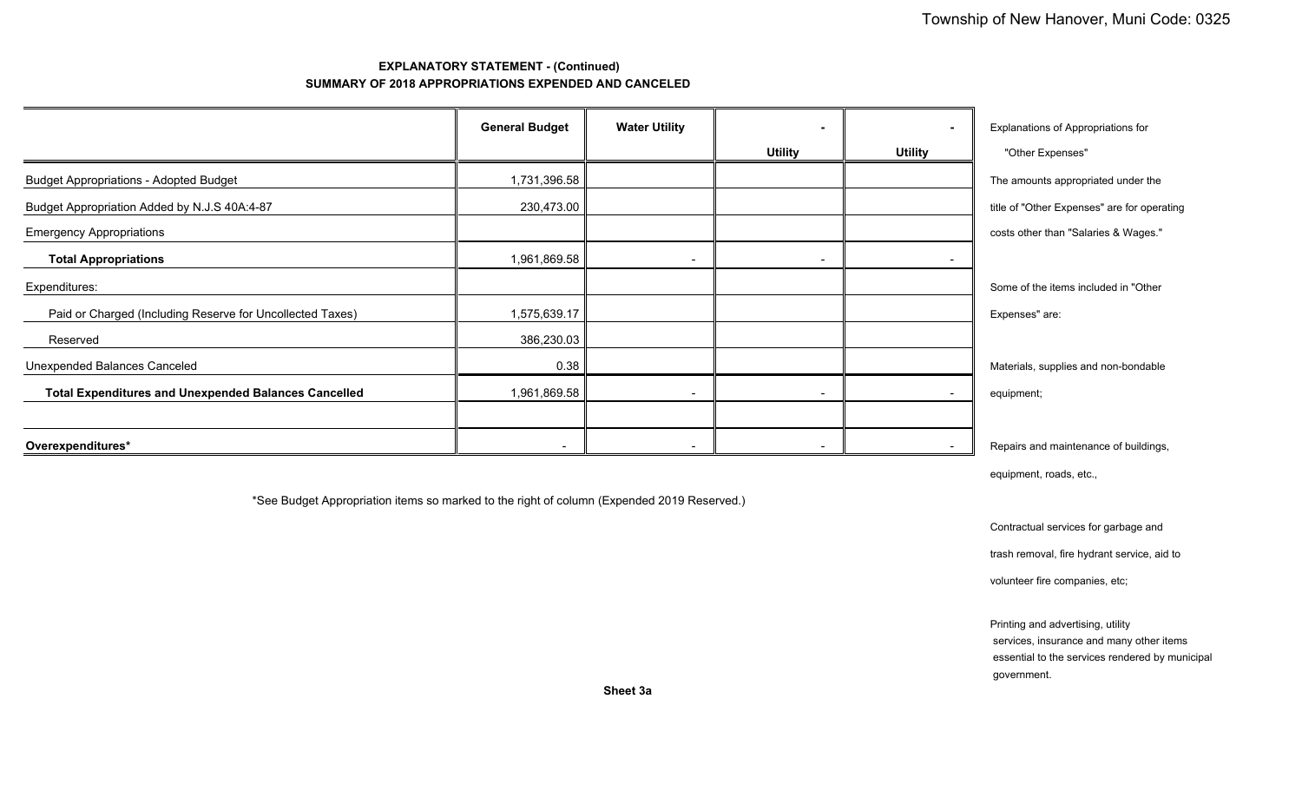# **EXPLANATORY STATEMENT - (Continued) SUMMARY OF 2018 APPROPRIATIONS EXPENDED AND CANCELED**

|                                                             | <b>General Budget</b> | <b>Water Utility</b>     |                | $\overline{\phantom{0}}$ | Explanations of Appropriations for          |
|-------------------------------------------------------------|-----------------------|--------------------------|----------------|--------------------------|---------------------------------------------|
|                                                             |                       |                          | <b>Utility</b> | <b>Utility</b>           | "Other Expenses"                            |
| <b>Budget Appropriations - Adopted Budget</b>               | 1,731,396.58          |                          |                |                          | The amounts appropriated under the          |
| Budget Appropriation Added by N.J.S 40A:4-87                | 230,473.00            |                          |                |                          | title of "Other Expenses" are for operating |
| <b>Emergency Appropriations</b>                             |                       |                          |                |                          | costs other than "Salaries & Wages."        |
| <b>Total Appropriations</b>                                 | 1,961,869.58          | $\overline{\phantom{a}}$ | $\blacksquare$ | $\overline{\phantom{a}}$ |                                             |
| Expenditures:                                               |                       |                          |                |                          | Some of the items included in "Other        |
| Paid or Charged (Including Reserve for Uncollected Taxes)   | 1,575,639.17          |                          |                |                          | Expenses" are:                              |
| Reserved                                                    | 386,230.03            |                          |                |                          |                                             |
| Unexpended Balances Canceled                                | 0.38                  |                          |                |                          | Materials, supplies and non-bondable        |
| <b>Total Expenditures and Unexpended Balances Cancelled</b> | 1,961,869.58          | $\overline{\phantom{a}}$ |                |                          | equipment;                                  |
|                                                             |                       |                          |                |                          |                                             |
| Overexpenditures*                                           |                       |                          |                |                          | Repairs and maintenance of buildings,       |

equipment, roads, etc.,

\*See Budget Appropriation items so marked to the right of column (Expended 2019 Reserved.)

Contractual services for garbage and

trash removal, fire hydrant service, aid to

volunteer fire companies, etc;

 Printing and advertising, utility services, insurance and many other items essential to the services rendered by municipal government.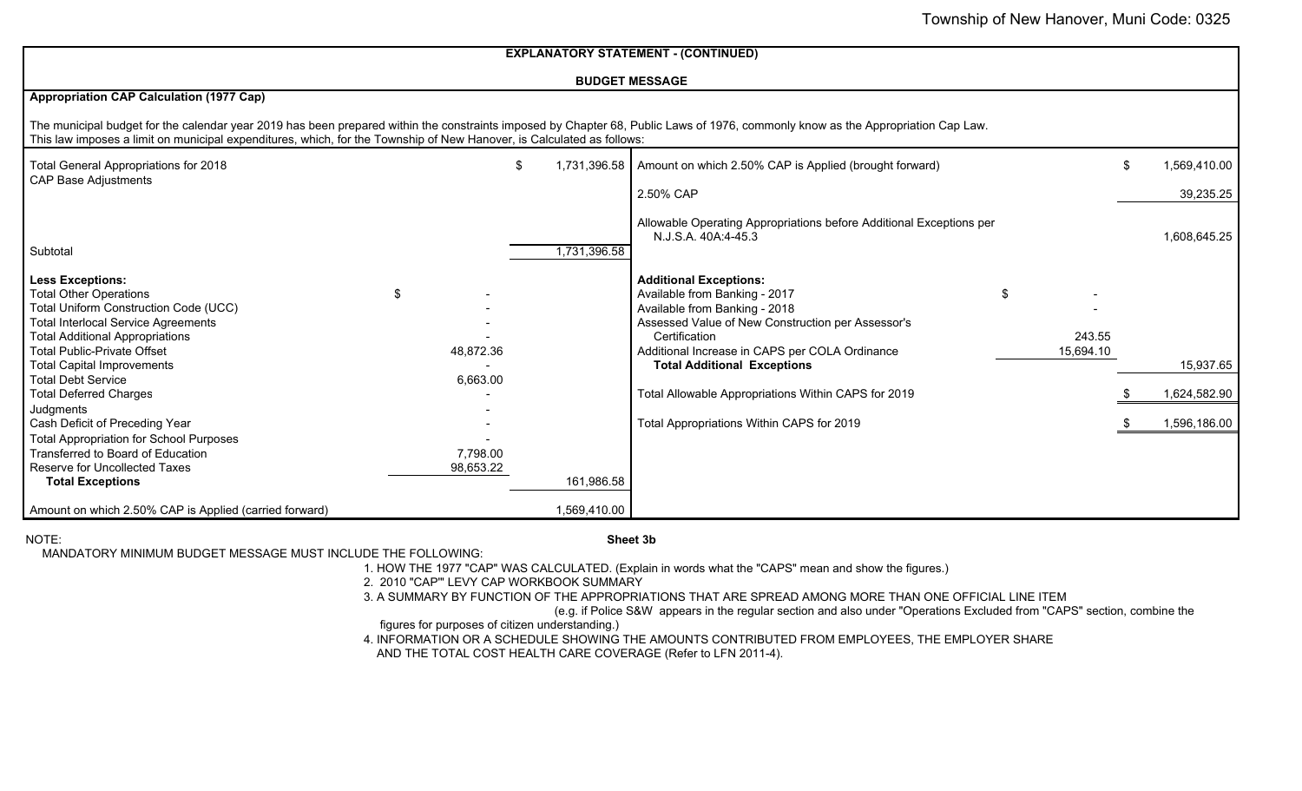|                                                                                                                                                                                                                                 |                 |                    | <b>EXPLANATORY STATEMENT - (CONTINUED)</b>                                                                                                                                                                                    |                     |                    |
|---------------------------------------------------------------------------------------------------------------------------------------------------------------------------------------------------------------------------------|-----------------|--------------------|-------------------------------------------------------------------------------------------------------------------------------------------------------------------------------------------------------------------------------|---------------------|--------------------|
|                                                                                                                                                                                                                                 |                 |                    | <b>BUDGET MESSAGE</b>                                                                                                                                                                                                         |                     |                    |
| <b>Appropriation CAP Calculation (1977 Cap)</b>                                                                                                                                                                                 |                 |                    |                                                                                                                                                                                                                               |                     |                    |
| This law imposes a limit on municipal expenditures, which, for the Township of New Hanover, is Calculated as follows:                                                                                                           |                 |                    | The municipal budget for the calendar year 2019 has been prepared within the constraints imposed by Chapter 68, Public Laws of 1976, commonly know as the Appropriation Cap Law.                                              |                     |                    |
| Total General Appropriations for 2018                                                                                                                                                                                           |                 | \$<br>1,731,396.58 | Amount on which 2.50% CAP is Applied (brought forward)                                                                                                                                                                        |                     | \$<br>1,569,410.00 |
| <b>CAP Base Adjustments</b>                                                                                                                                                                                                     |                 |                    | 2.50% CAP                                                                                                                                                                                                                     |                     | 39,235.25          |
| Subtotal                                                                                                                                                                                                                        |                 | 1,731,396.58       | Allowable Operating Appropriations before Additional Exceptions per<br>N.J.S.A. 40A:4-45.3                                                                                                                                    |                     | 1,608,645.25       |
| <b>Less Exceptions:</b><br><b>Total Other Operations</b><br>Total Uniform Construction Code (UCC)<br><b>Total Interlocal Service Agreements</b><br><b>Total Additional Appropriations</b><br><b>Total Public-Private Offset</b> | \$<br>48,872.36 |                    | <b>Additional Exceptions:</b><br>Available from Banking - 2017<br>\$<br>Available from Banking - 2018<br>Assessed Value of New Construction per Assessor's<br>Certification<br>Additional Increase in CAPS per COLA Ordinance | 243.55<br>15,694.10 |                    |
| <b>Total Capital Improvements</b>                                                                                                                                                                                               |                 |                    | <b>Total Additional Exceptions</b>                                                                                                                                                                                            |                     | 15,937.65          |
| <b>Total Debt Service</b><br><b>Total Deferred Charges</b>                                                                                                                                                                      | 6,663.00        |                    | Total Allowable Appropriations Within CAPS for 2019                                                                                                                                                                           |                     | 1,624,582.90       |
| Judgments<br>Cash Deficit of Preceding Year<br><b>Total Appropriation for School Purposes</b><br>Transferred to Board of Education                                                                                              | 7,798.00        |                    | Total Appropriations Within CAPS for 2019                                                                                                                                                                                     |                     | 1,596,186.00       |
| Reserve for Uncollected Taxes<br><b>Total Exceptions</b>                                                                                                                                                                        | 98,653.22       | 161,986.58         |                                                                                                                                                                                                                               |                     |                    |
| Amount on which 2.50% CAP is Applied (carried forward)                                                                                                                                                                          |                 | 1,569,410.00       |                                                                                                                                                                                                                               |                     |                    |

NOTE:

# **Sheet 3b**

MANDATORY MINIMUM BUDGET MESSAGE MUST INCLUDE THE FOLLOWING:

1. HOW THE 1977 "CAP" WAS CALCULATED. (Explain in words what the "CAPS" mean and show the figures.)

2. 2010 "CAP'" LEVY CAP WORKBOOK SUMMARY

3. A SUMMARY BY FUNCTION OF THE APPROPRIATIONS THAT ARE SPREAD AMONG MORE THAN ONE OFFICIAL LINE ITEM

(e.g. if Police S&W appears in the regular section and also under "Operations Excluded from "CAPS" section, combine the

 4. INFORMATION OR A SCHEDULE SHOWING THE AMOUNTS CONTRIBUTED FROM EMPLOYEES, THE EMPLOYER SHARE figures for purposes of citizen understanding.)

AND THE TOTAL COST HEALTH CARE COVERAGE (Refer to LFN 2011-4).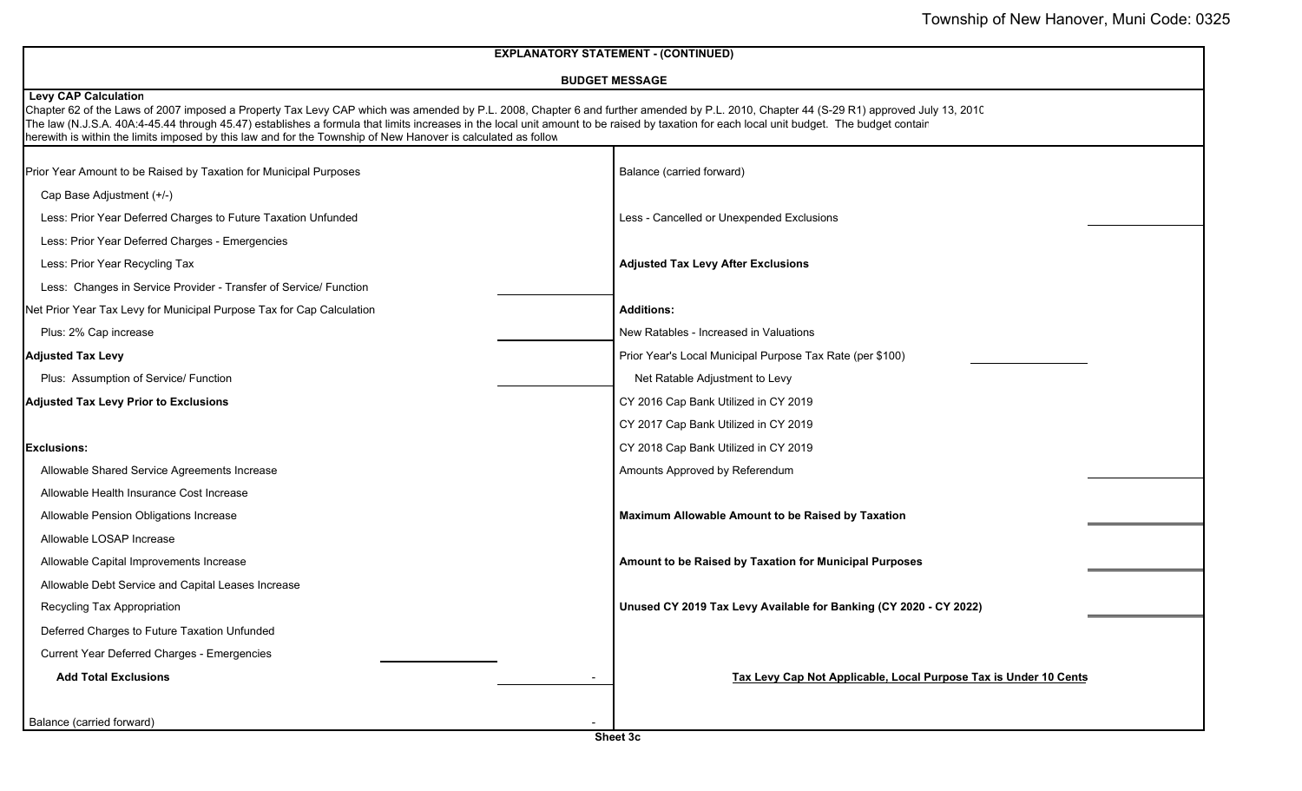| <b>EXPLANATORY STATEMENT - (CONTINUED)</b>                            |                                                                                                                                                                                                                                                                                                                                                                                                                                                                                                      |                                                                   |  |  |  |
|-----------------------------------------------------------------------|------------------------------------------------------------------------------------------------------------------------------------------------------------------------------------------------------------------------------------------------------------------------------------------------------------------------------------------------------------------------------------------------------------------------------------------------------------------------------------------------------|-------------------------------------------------------------------|--|--|--|
|                                                                       | <b>BUDGET MESSAGE</b>                                                                                                                                                                                                                                                                                                                                                                                                                                                                                |                                                                   |  |  |  |
| <b>Levy CAP Calculation</b>                                           | Chapter 62 of the Laws of 2007 imposed a Property Tax Levy CAP which was amended by P.L. 2008, Chapter 6 and further amended by P.L. 2010, Chapter 44 (S-29 R1) approved July 13, 2010<br>The law (N.J.S.A. 40A:4-45.44 through 45.47) establishes a formula that limits increases in the local unit amount to be raised by taxation for each local unit budget. The budget contair<br>herewith is within the limits imposed by this law and for the Township of New Hanover is calculated as follow |                                                                   |  |  |  |
| Prior Year Amount to be Raised by Taxation for Municipal Purposes     |                                                                                                                                                                                                                                                                                                                                                                                                                                                                                                      | Balance (carried forward)                                         |  |  |  |
| Cap Base Adjustment (+/-)                                             |                                                                                                                                                                                                                                                                                                                                                                                                                                                                                                      |                                                                   |  |  |  |
| Less: Prior Year Deferred Charges to Future Taxation Unfunded         |                                                                                                                                                                                                                                                                                                                                                                                                                                                                                                      | Less - Cancelled or Unexpended Exclusions                         |  |  |  |
| Less: Prior Year Deferred Charges - Emergencies                       |                                                                                                                                                                                                                                                                                                                                                                                                                                                                                                      |                                                                   |  |  |  |
| Less: Prior Year Recycling Tax                                        |                                                                                                                                                                                                                                                                                                                                                                                                                                                                                                      | <b>Adjusted Tax Levy After Exclusions</b>                         |  |  |  |
| Less: Changes in Service Provider - Transfer of Service/ Function     |                                                                                                                                                                                                                                                                                                                                                                                                                                                                                                      |                                                                   |  |  |  |
| Net Prior Year Tax Levy for Municipal Purpose Tax for Cap Calculation |                                                                                                                                                                                                                                                                                                                                                                                                                                                                                                      | <b>Additions:</b>                                                 |  |  |  |
| Plus: 2% Cap increase                                                 |                                                                                                                                                                                                                                                                                                                                                                                                                                                                                                      | New Ratables - Increased in Valuations                            |  |  |  |
| <b>Adjusted Tax Levy</b>                                              |                                                                                                                                                                                                                                                                                                                                                                                                                                                                                                      | Prior Year's Local Municipal Purpose Tax Rate (per \$100)         |  |  |  |
| Plus: Assumption of Service/ Function                                 |                                                                                                                                                                                                                                                                                                                                                                                                                                                                                                      | Net Ratable Adjustment to Levy                                    |  |  |  |
| <b>Adjusted Tax Levy Prior to Exclusions</b>                          |                                                                                                                                                                                                                                                                                                                                                                                                                                                                                                      | CY 2016 Cap Bank Utilized in CY 2019                              |  |  |  |
|                                                                       |                                                                                                                                                                                                                                                                                                                                                                                                                                                                                                      | CY 2017 Cap Bank Utilized in CY 2019                              |  |  |  |
| <b>Exclusions:</b>                                                    |                                                                                                                                                                                                                                                                                                                                                                                                                                                                                                      | CY 2018 Cap Bank Utilized in CY 2019                              |  |  |  |
| Allowable Shared Service Agreements Increase                          |                                                                                                                                                                                                                                                                                                                                                                                                                                                                                                      | Amounts Approved by Referendum                                    |  |  |  |
| Allowable Health Insurance Cost Increase                              |                                                                                                                                                                                                                                                                                                                                                                                                                                                                                                      |                                                                   |  |  |  |
| Allowable Pension Obligations Increase                                |                                                                                                                                                                                                                                                                                                                                                                                                                                                                                                      | Maximum Allowable Amount to be Raised by Taxation                 |  |  |  |
| Allowable LOSAP Increase                                              |                                                                                                                                                                                                                                                                                                                                                                                                                                                                                                      |                                                                   |  |  |  |
| Allowable Capital Improvements Increase                               |                                                                                                                                                                                                                                                                                                                                                                                                                                                                                                      | Amount to be Raised by Taxation for Municipal Purposes            |  |  |  |
| Allowable Debt Service and Capital Leases Increase                    |                                                                                                                                                                                                                                                                                                                                                                                                                                                                                                      |                                                                   |  |  |  |
| Recycling Tax Appropriation                                           |                                                                                                                                                                                                                                                                                                                                                                                                                                                                                                      | Unused CY 2019 Tax Levy Available for Banking (CY 2020 - CY 2022) |  |  |  |
| Deferred Charges to Future Taxation Unfunded                          |                                                                                                                                                                                                                                                                                                                                                                                                                                                                                                      |                                                                   |  |  |  |
| <b>Current Year Deferred Charges - Emergencies</b>                    |                                                                                                                                                                                                                                                                                                                                                                                                                                                                                                      |                                                                   |  |  |  |
| <b>Add Total Exclusions</b>                                           |                                                                                                                                                                                                                                                                                                                                                                                                                                                                                                      | Tax Levy Cap Not Applicable, Local Purpose Tax is Under 10 Cents  |  |  |  |
|                                                                       |                                                                                                                                                                                                                                                                                                                                                                                                                                                                                                      |                                                                   |  |  |  |
| Balance (carried forward)                                             |                                                                                                                                                                                                                                                                                                                                                                                                                                                                                                      |                                                                   |  |  |  |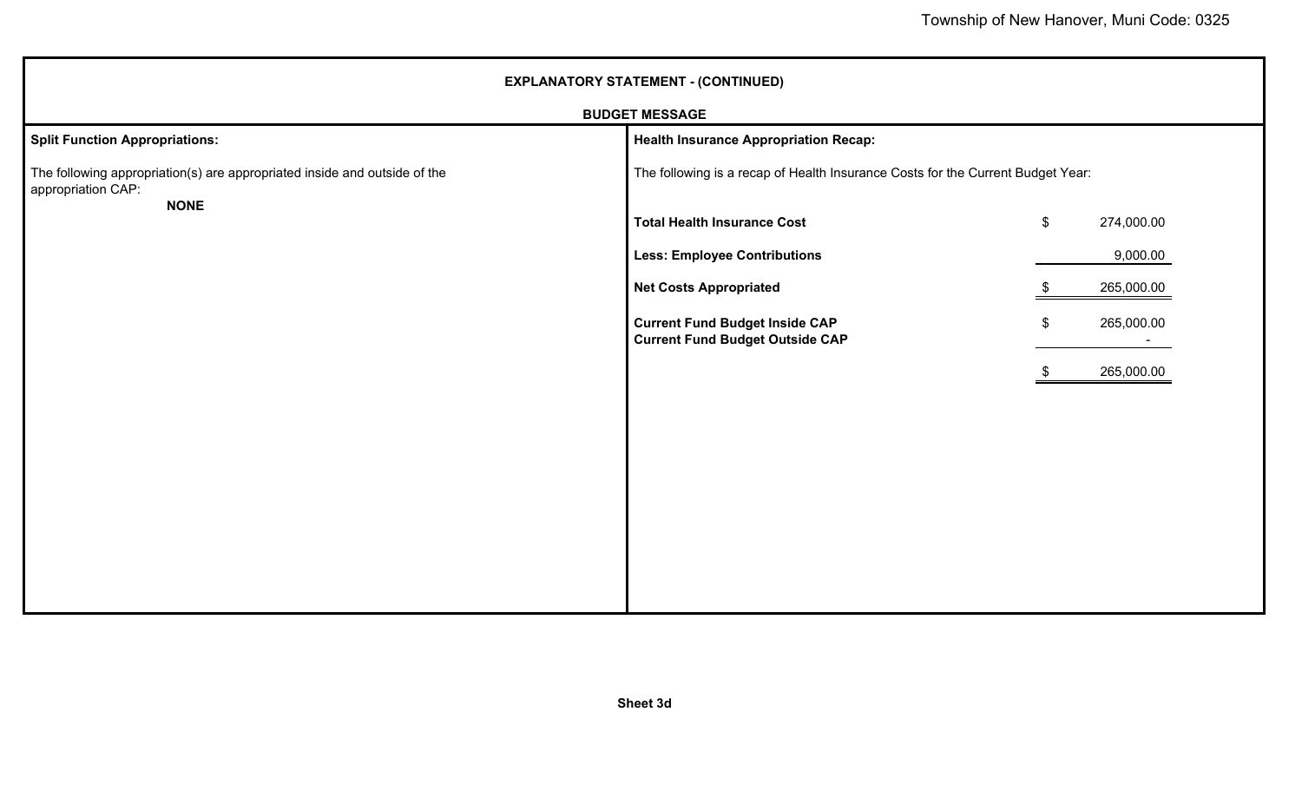| <b>EXPLANATORY STATEMENT - (CONTINUED)</b>                                                                     |                                                                                 |                                         |  |  |  |
|----------------------------------------------------------------------------------------------------------------|---------------------------------------------------------------------------------|-----------------------------------------|--|--|--|
|                                                                                                                | <b>BUDGET MESSAGE</b>                                                           |                                         |  |  |  |
| <b>Split Function Appropriations:</b>                                                                          | <b>Health Insurance Appropriation Recap:</b>                                    |                                         |  |  |  |
| The following appropriation(s) are appropriated inside and outside of the<br>appropriation CAP:<br><b>NONE</b> | The following is a recap of Health Insurance Costs for the Current Budget Year: |                                         |  |  |  |
|                                                                                                                | <b>Total Health Insurance Cost</b>                                              | 274,000.00<br>\$                        |  |  |  |
|                                                                                                                | <b>Less: Employee Contributions</b>                                             | 9,000.00                                |  |  |  |
|                                                                                                                | <b>Net Costs Appropriated</b>                                                   | 265,000.00<br>-SS                       |  |  |  |
|                                                                                                                | <b>Current Fund Budget Inside CAP</b><br><b>Current Fund Budget Outside CAP</b> | 265,000.00<br>$\boldsymbol{\mathsf{s}}$ |  |  |  |
|                                                                                                                |                                                                                 | 265,000.00                              |  |  |  |
|                                                                                                                |                                                                                 |                                         |  |  |  |
|                                                                                                                |                                                                                 |                                         |  |  |  |
|                                                                                                                |                                                                                 |                                         |  |  |  |
|                                                                                                                |                                                                                 |                                         |  |  |  |
|                                                                                                                |                                                                                 |                                         |  |  |  |
|                                                                                                                |                                                                                 |                                         |  |  |  |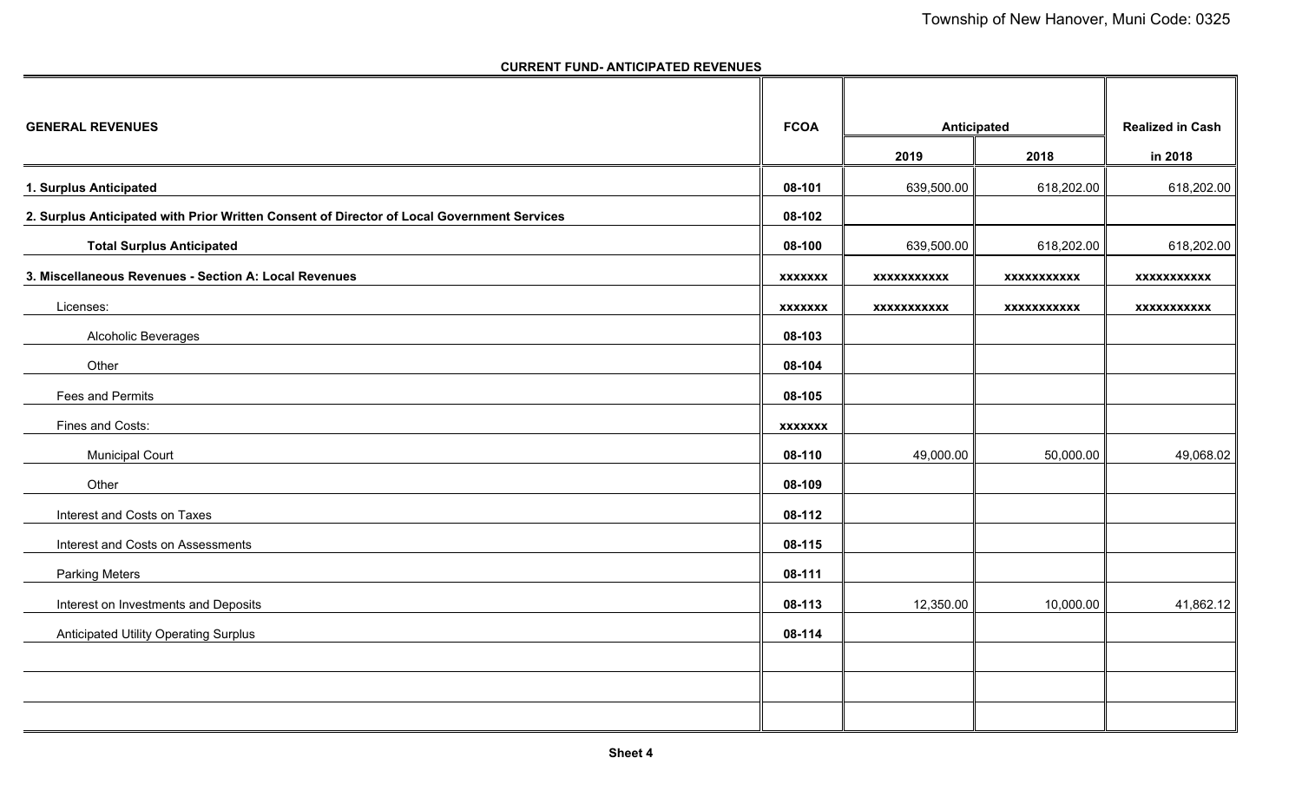#### **CURRENT FUND- ANTICIPATED REVENUES**

| <b>GENERAL REVENUES</b>                                                                    | <b>FCOA</b>    |                    | Anticipated        | <b>Realized in Cash</b> |
|--------------------------------------------------------------------------------------------|----------------|--------------------|--------------------|-------------------------|
|                                                                                            |                | 2019               | 2018               | in 2018                 |
| 1. Surplus Anticipated                                                                     | 08-101         | 639,500.00         | 618,202.00         | 618,202.00              |
| 2. Surplus Anticipated with Prior Written Consent of Director of Local Government Services | 08-102         |                    |                    |                         |
| <b>Total Surplus Anticipated</b>                                                           | 08-100         | 639,500.00         | 618,202.00         | 618,202.00              |
| 3. Miscellaneous Revenues - Section A: Local Revenues                                      | <b>XXXXXXX</b> | <b>XXXXXXXXXXX</b> | <b>XXXXXXXXXXX</b> | <b>XXXXXXXXXXX</b>      |
| Licenses:                                                                                  | <b>XXXXXXX</b> | <b>XXXXXXXXXXX</b> | <b>XXXXXXXXXXX</b> | <b>XXXXXXXXXXX</b>      |
| Alcoholic Beverages                                                                        | 08-103         |                    |                    |                         |
| Other                                                                                      | 08-104         |                    |                    |                         |
| Fees and Permits                                                                           | 08-105         |                    |                    |                         |
| Fines and Costs:                                                                           | <b>XXXXXXX</b> |                    |                    |                         |
| <b>Municipal Court</b>                                                                     | 08-110         | 49,000.00          | 50,000.00          | 49,068.02               |
| Other                                                                                      | 08-109         |                    |                    |                         |
| Interest and Costs on Taxes                                                                | 08-112         |                    |                    |                         |
| Interest and Costs on Assessments                                                          | 08-115         |                    |                    |                         |
| <b>Parking Meters</b>                                                                      | 08-111         |                    |                    |                         |
| Interest on Investments and Deposits                                                       | 08-113         | 12,350.00          | 10,000.00          | 41,862.12               |
| Anticipated Utility Operating Surplus                                                      | 08-114         |                    |                    |                         |
|                                                                                            |                |                    |                    |                         |
|                                                                                            |                |                    |                    |                         |
|                                                                                            |                |                    |                    |                         |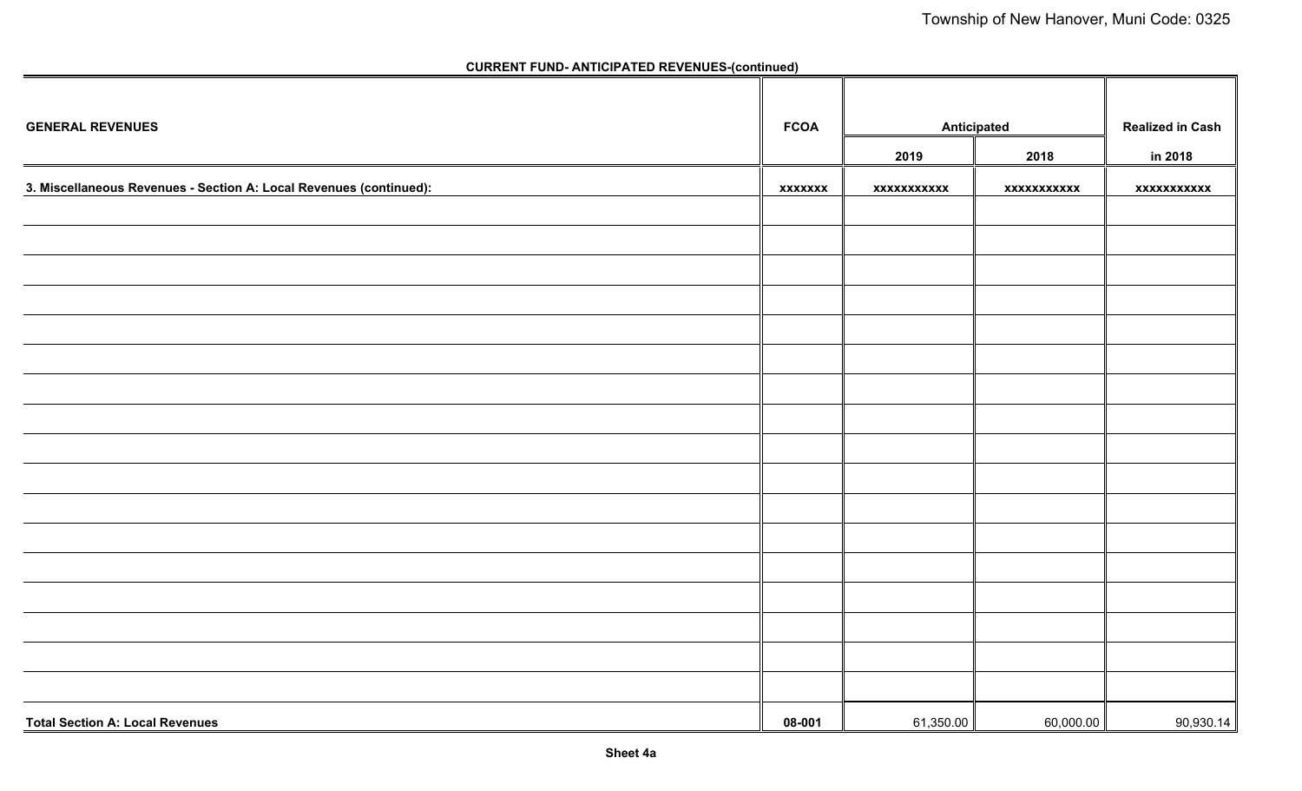| <b>GENERAL REVENUES</b>                                            | <b>FCOA</b>    | <b>Anticipated</b> |             | <b>Realized in Cash</b> |
|--------------------------------------------------------------------|----------------|--------------------|-------------|-------------------------|
|                                                                    |                | 2019               | 2018        | in 2018                 |
| 3. Miscellaneous Revenues - Section A: Local Revenues (continued): | <b>XXXXXXX</b> | xxxxxxxxxxx        | xxxxxxxxxxx | xxxxxxxxxxx             |
|                                                                    |                |                    |             |                         |
|                                                                    |                |                    |             |                         |
|                                                                    |                |                    |             |                         |
|                                                                    |                |                    |             |                         |
|                                                                    |                |                    |             |                         |
|                                                                    |                |                    |             |                         |
|                                                                    |                |                    |             |                         |
|                                                                    |                |                    |             |                         |
|                                                                    |                |                    |             |                         |
|                                                                    |                |                    |             |                         |
|                                                                    |                |                    |             |                         |
|                                                                    |                |                    |             |                         |
|                                                                    |                |                    |             |                         |
|                                                                    |                |                    |             |                         |
|                                                                    |                |                    |             |                         |
|                                                                    |                |                    |             |                         |
|                                                                    |                |                    |             |                         |
| <b>Total Section A: Local Revenues</b>                             | 08-001         | 61,350.00          | 60,000.00   | 90,930.14               |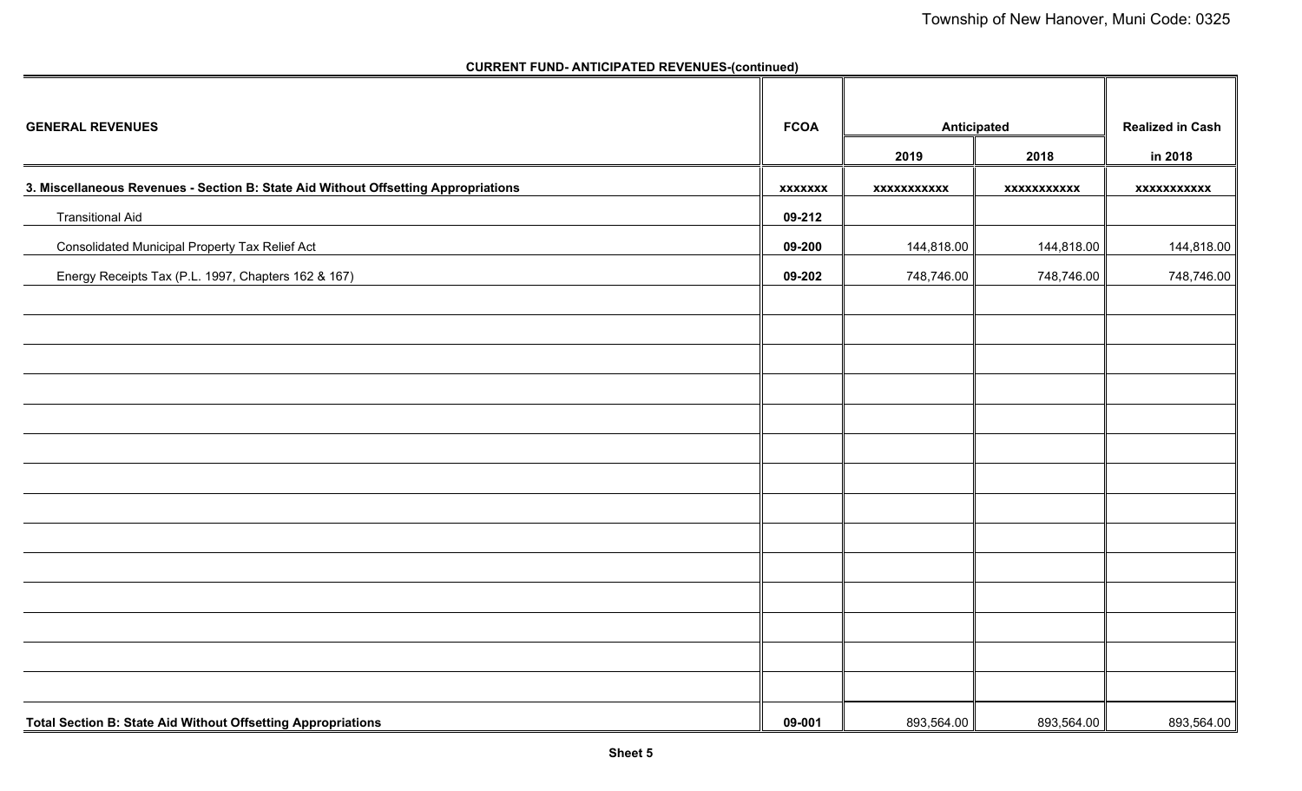| <b>GENERAL REVENUES</b>                                                            | <b>FCOA</b>    | <b>Anticipated</b> |             | <b>Realized in Cash</b> |
|------------------------------------------------------------------------------------|----------------|--------------------|-------------|-------------------------|
|                                                                                    |                | 2019               | 2018        | in 2018                 |
| 3. Miscellaneous Revenues - Section B: State Aid Without Offsetting Appropriations | <b>XXXXXXX</b> | xxxxxxxxxxx        | xxxxxxxxxxx | xxxxxxxxxxx             |
| <b>Transitional Aid</b>                                                            | 09-212         |                    |             |                         |
| Consolidated Municipal Property Tax Relief Act                                     | 09-200         | 144,818.00         | 144,818.00  | 144,818.00              |
| Energy Receipts Tax (P.L. 1997, Chapters 162 & 167)                                | 09-202         | 748,746.00         | 748,746.00  | 748,746.00              |
|                                                                                    |                |                    |             |                         |
|                                                                                    |                |                    |             |                         |
|                                                                                    |                |                    |             |                         |
|                                                                                    |                |                    |             |                         |
|                                                                                    |                |                    |             |                         |
|                                                                                    |                |                    |             |                         |
|                                                                                    |                |                    |             |                         |
|                                                                                    |                |                    |             |                         |
|                                                                                    |                |                    |             |                         |
|                                                                                    |                |                    |             |                         |
|                                                                                    |                |                    |             |                         |
|                                                                                    |                |                    |             |                         |
|                                                                                    |                |                    |             |                         |
|                                                                                    |                |                    |             |                         |
| Total Section B: State Aid Without Offsetting Appropriations                       | 09-001         | 893,564.00         | 893,564.00  | 893,564.00              |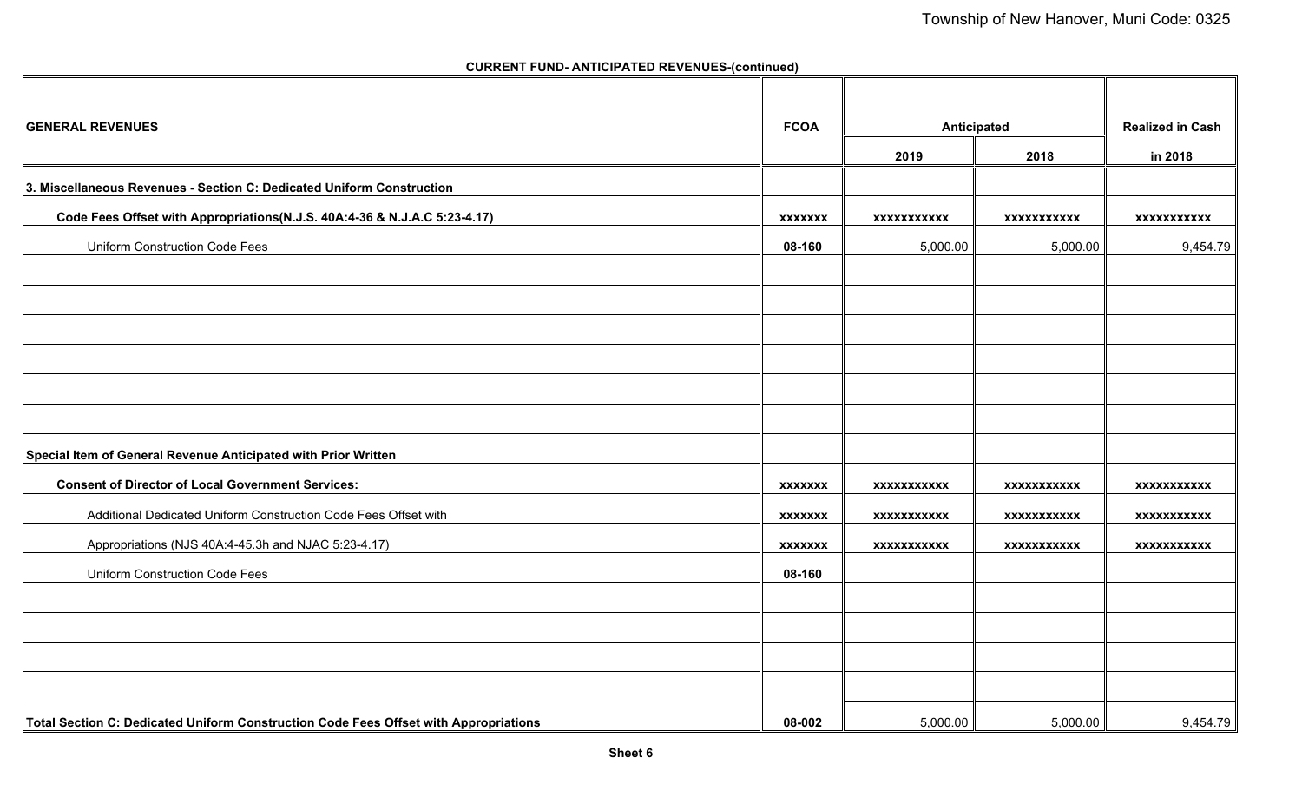| <b>GENERAL REVENUES</b>                                                              | <b>FCOA</b>    | Anticipated        |                    | <b>Realized in Cash</b> |
|--------------------------------------------------------------------------------------|----------------|--------------------|--------------------|-------------------------|
|                                                                                      |                | 2019               | 2018               | in 2018                 |
| 3. Miscellaneous Revenues - Section C: Dedicated Uniform Construction                |                |                    |                    |                         |
| Code Fees Offset with Appropriations(N.J.S. 40A:4-36 & N.J.A.C 5:23-4.17)            | <b>XXXXXXX</b> | XXXXXXXXXXX        | XXXXXXXXXXX        | XXXXXXXXXXX             |
| <b>Uniform Construction Code Fees</b>                                                | 08-160         | 5,000.00           | 5,000.00           | 9,454.79                |
|                                                                                      |                |                    |                    |                         |
|                                                                                      |                |                    |                    |                         |
|                                                                                      |                |                    |                    |                         |
|                                                                                      |                |                    |                    |                         |
|                                                                                      |                |                    |                    |                         |
| Special Item of General Revenue Anticipated with Prior Written                       |                |                    |                    |                         |
| <b>Consent of Director of Local Government Services:</b>                             | <b>XXXXXXX</b> | <b>XXXXXXXXXXX</b> | XXXXXXXXXXX        | <b>XXXXXXXXXXX</b>      |
| Additional Dedicated Uniform Construction Code Fees Offset with                      | <b>XXXXXXX</b> | XXXXXXXXXXX        | <b>XXXXXXXXXXX</b> | XXXXXXXXXXX             |
| Appropriations (NJS 40A:4-45.3h and NJAC 5:23-4.17)                                  | <b>XXXXXXX</b> | <b>XXXXXXXXXXX</b> | <b>XXXXXXXXXXX</b> | <b>XXXXXXXXXXX</b>      |
| <b>Uniform Construction Code Fees</b>                                                | 08-160         |                    |                    |                         |
|                                                                                      |                |                    |                    |                         |
|                                                                                      |                |                    |                    |                         |
|                                                                                      |                |                    |                    |                         |
|                                                                                      |                |                    |                    |                         |
| Total Section C: Dedicated Uniform Construction Code Fees Offset with Appropriations | 08-002         | 5,000.00           | 5,000.00           | 9,454.79                |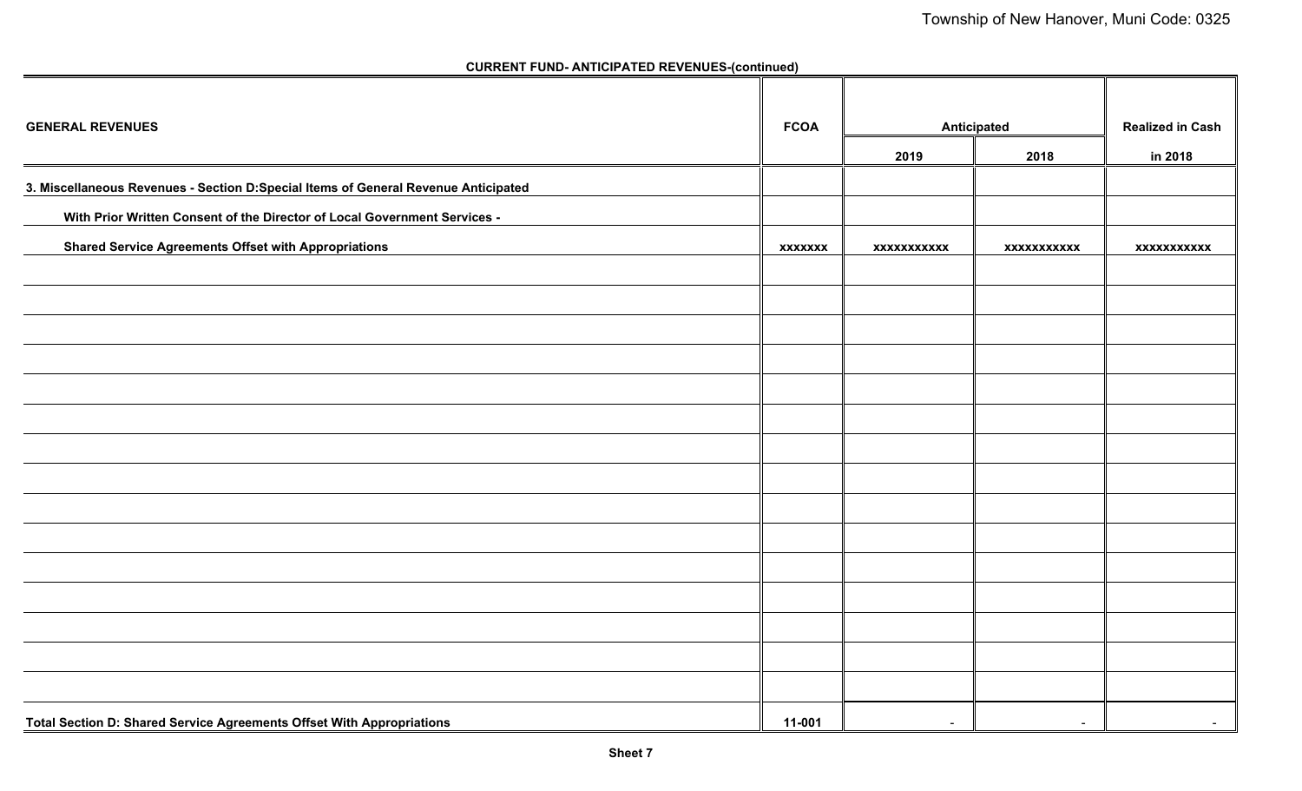| <b>GENERAL REVENUES</b>                                                            | <b>FCOA</b>    |                    | Anticipated        | <b>Realized in Cash</b> |
|------------------------------------------------------------------------------------|----------------|--------------------|--------------------|-------------------------|
|                                                                                    |                | 2019               | 2018               | in 2018                 |
| 3. Miscellaneous Revenues - Section D:Special Items of General Revenue Anticipated |                |                    |                    |                         |
| With Prior Written Consent of the Director of Local Government Services -          |                |                    |                    |                         |
| <b>Shared Service Agreements Offset with Appropriations</b>                        | <b>XXXXXXX</b> | <b>XXXXXXXXXXX</b> | <b>XXXXXXXXXXX</b> | <b>XXXXXXXXXXX</b>      |
|                                                                                    |                |                    |                    |                         |
|                                                                                    |                |                    |                    |                         |
|                                                                                    |                |                    |                    |                         |
|                                                                                    |                |                    |                    |                         |
|                                                                                    |                |                    |                    |                         |
|                                                                                    |                |                    |                    |                         |
|                                                                                    |                |                    |                    |                         |
|                                                                                    |                |                    |                    |                         |
|                                                                                    |                |                    |                    |                         |
|                                                                                    |                |                    |                    |                         |
|                                                                                    |                |                    |                    |                         |
|                                                                                    |                |                    |                    |                         |
|                                                                                    |                |                    |                    |                         |
|                                                                                    |                |                    |                    |                         |
|                                                                                    |                |                    |                    |                         |
| Total Section D: Shared Service Agreements Offset With Appropriations              | 11-001         | $\sim$             | $\sim$             | $\sim$                  |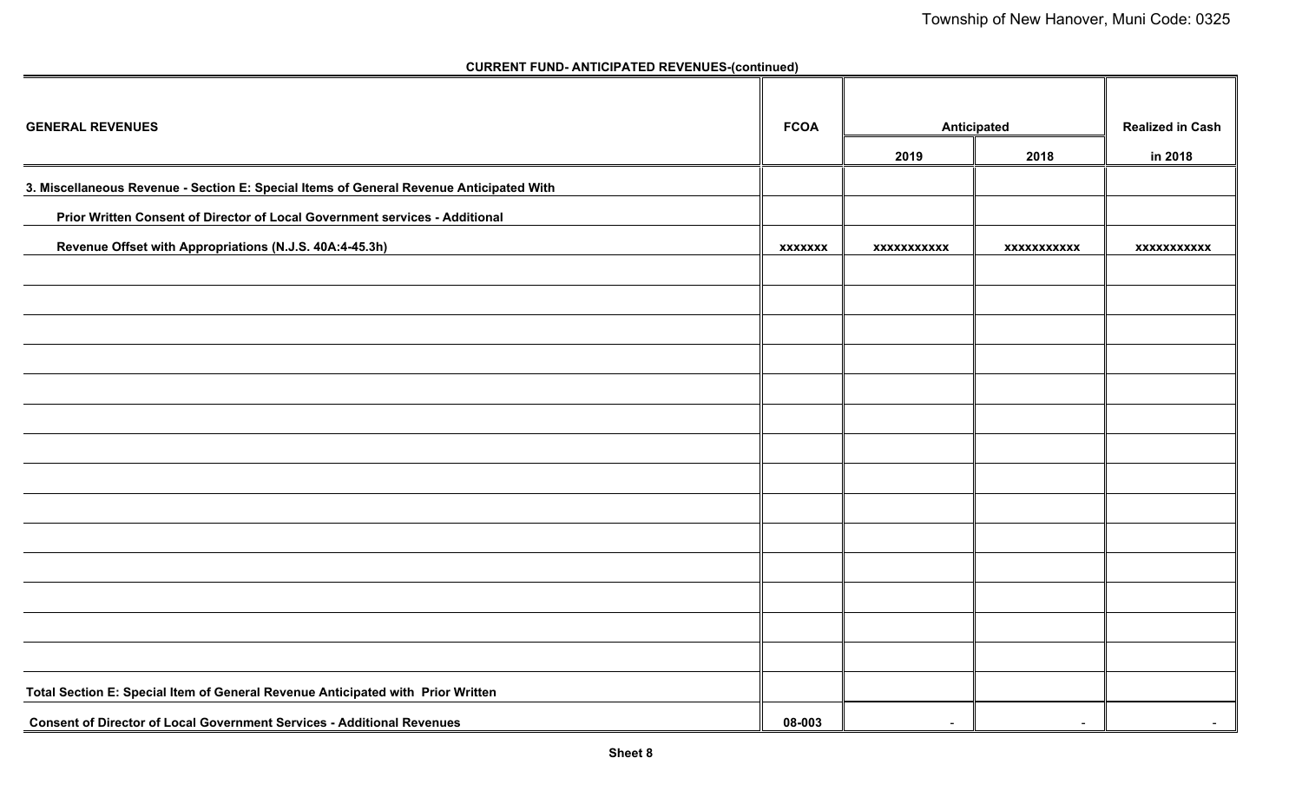| <b>GENERAL REVENUES</b>                                                                 | <b>FCOA</b>    | Anticipated        | <b>Realized in Cash</b> |                    |
|-----------------------------------------------------------------------------------------|----------------|--------------------|-------------------------|--------------------|
|                                                                                         |                | 2019               | 2018                    | in 2018            |
| 3. Miscellaneous Revenue - Section E: Special Items of General Revenue Anticipated With |                |                    |                         |                    |
| Prior Written Consent of Director of Local Government services - Additional             |                |                    |                         |                    |
| Revenue Offset with Appropriations (N.J.S. 40A:4-45.3h)                                 | <b>XXXXXXX</b> | <b>XXXXXXXXXXX</b> | <b>XXXXXXXXXXX</b>      | <b>XXXXXXXXXXX</b> |
|                                                                                         |                |                    |                         |                    |
|                                                                                         |                |                    |                         |                    |
|                                                                                         |                |                    |                         |                    |
|                                                                                         |                |                    |                         |                    |
|                                                                                         |                |                    |                         |                    |
|                                                                                         |                |                    |                         |                    |
|                                                                                         |                |                    |                         |                    |
|                                                                                         |                |                    |                         |                    |
|                                                                                         |                |                    |                         |                    |
|                                                                                         |                |                    |                         |                    |
|                                                                                         |                |                    |                         |                    |
|                                                                                         |                |                    |                         |                    |
|                                                                                         |                |                    |                         |                    |
|                                                                                         |                |                    |                         |                    |
| Total Section E: Special Item of General Revenue Anticipated with Prior Written         |                |                    |                         |                    |
| <b>Consent of Director of Local Government Services - Additional Revenues</b>           | 08-003         | $\sim$             | $\sim$                  | $\sim$             |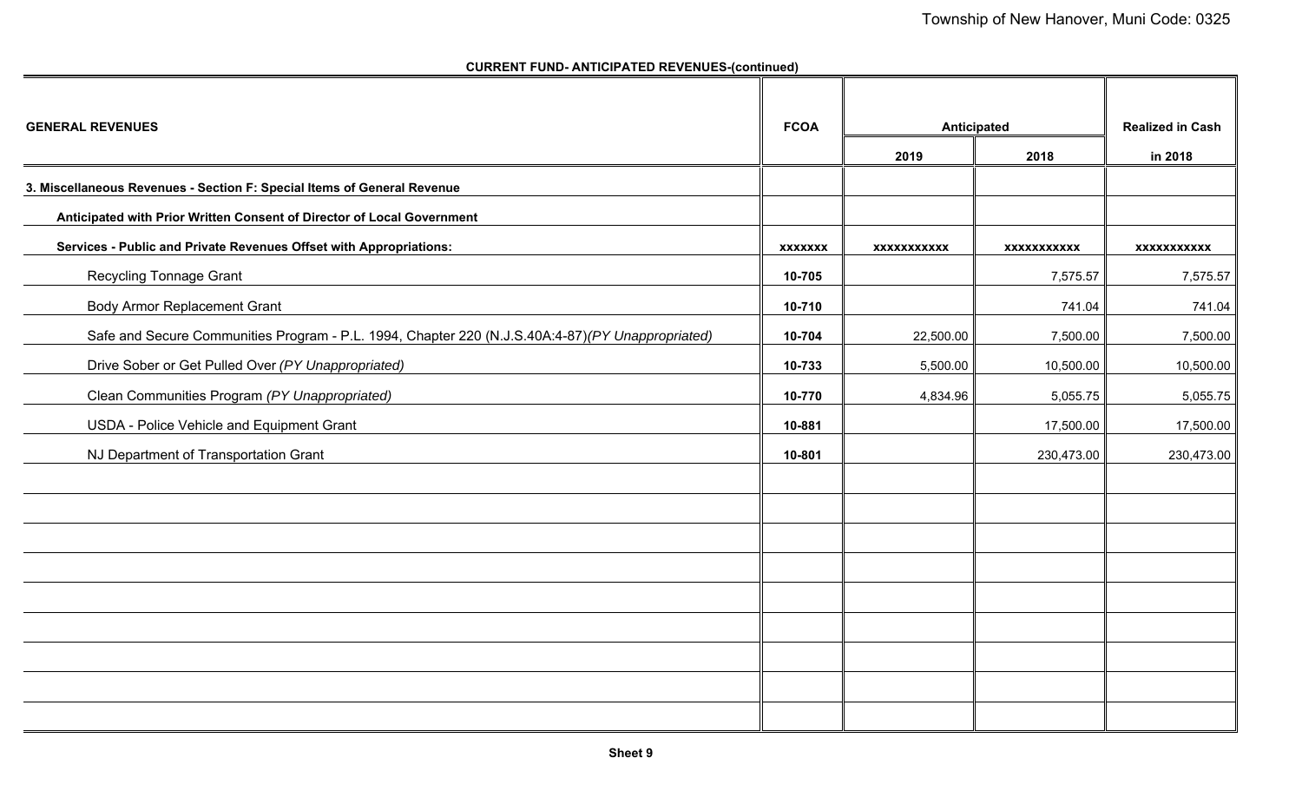| <b>GENERAL REVENUES</b>                                                                           | <b>FCOA</b>    | Anticipated        | <b>Realized in Cash</b> |                    |
|---------------------------------------------------------------------------------------------------|----------------|--------------------|-------------------------|--------------------|
|                                                                                                   |                | 2019               | 2018                    | in 2018            |
| 3. Miscellaneous Revenues - Section F: Special Items of General Revenue                           |                |                    |                         |                    |
| Anticipated with Prior Written Consent of Director of Local Government                            |                |                    |                         |                    |
| Services - Public and Private Revenues Offset with Appropriations:                                | <b>XXXXXXX</b> | <b>XXXXXXXXXXX</b> | <b>XXXXXXXXXXX</b>      | <b>XXXXXXXXXXX</b> |
| <b>Recycling Tonnage Grant</b>                                                                    | 10-705         |                    | 7,575.57                | 7,575.57           |
| <b>Body Armor Replacement Grant</b>                                                               | 10-710         |                    | 741.04                  | 741.04             |
| Safe and Secure Communities Program - P.L. 1994, Chapter 220 (N.J.S.40A:4-87) (PY Unappropriated) | 10-704         | 22,500.00          | 7,500.00                | 7,500.00           |
| Drive Sober or Get Pulled Over (PY Unappropriated)                                                | 10-733         | 5,500.00           | 10,500.00               | 10,500.00          |
| Clean Communities Program (PY Unappropriated)                                                     | 10-770         | 4,834.96           | 5,055.75                | 5,055.75           |
| USDA - Police Vehicle and Equipment Grant                                                         | 10-881         |                    | 17,500.00               | 17,500.00          |
| NJ Department of Transportation Grant                                                             | 10-801         |                    | 230,473.00              | 230,473.00         |
|                                                                                                   |                |                    |                         |                    |
|                                                                                                   |                |                    |                         |                    |
|                                                                                                   |                |                    |                         |                    |
|                                                                                                   |                |                    |                         |                    |
|                                                                                                   |                |                    |                         |                    |
|                                                                                                   |                |                    |                         |                    |
|                                                                                                   |                |                    |                         |                    |
|                                                                                                   |                |                    |                         |                    |
|                                                                                                   |                |                    |                         |                    |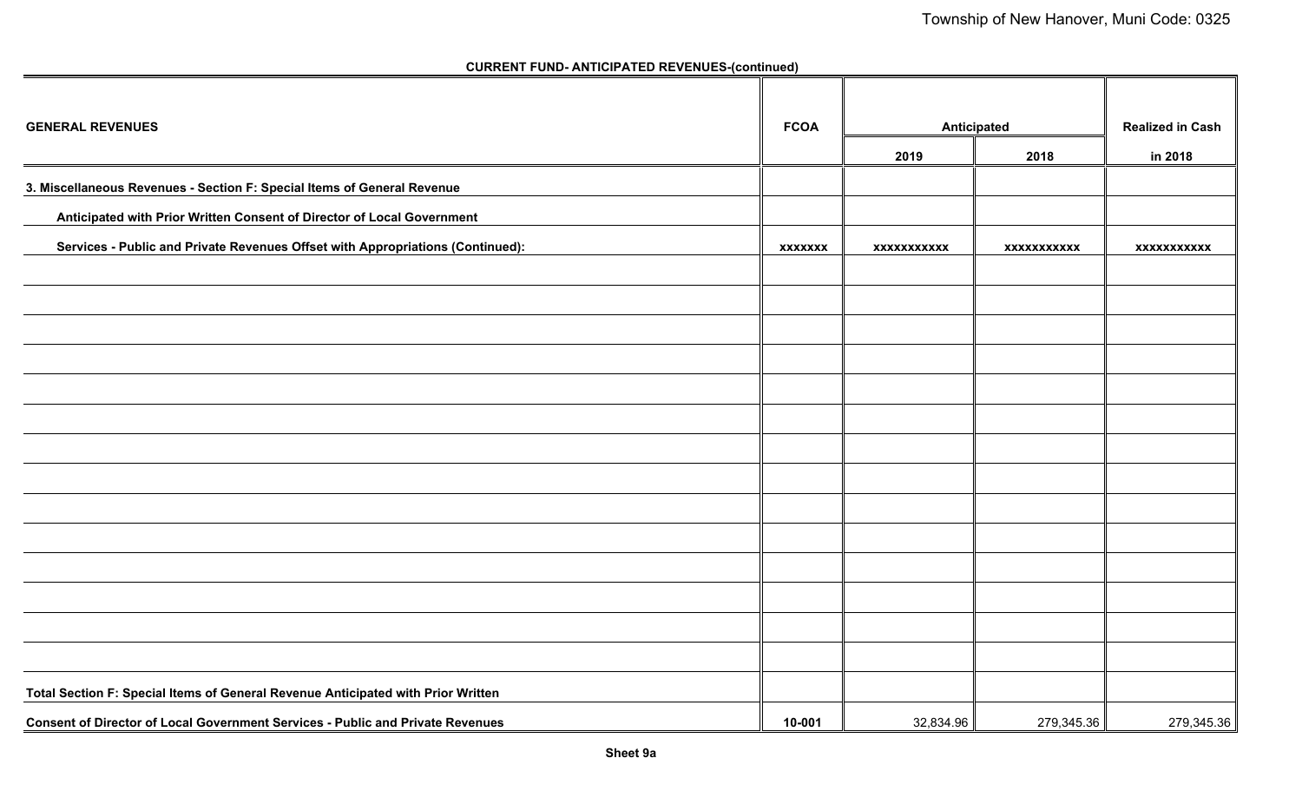| <b>GENERAL REVENUES</b>                                                          | <b>FCOA</b>    | Anticipated        | <b>Realized in Cash</b> |                    |
|----------------------------------------------------------------------------------|----------------|--------------------|-------------------------|--------------------|
|                                                                                  |                | 2019               | 2018                    | in 2018            |
| 3. Miscellaneous Revenues - Section F: Special Items of General Revenue          |                |                    |                         |                    |
| Anticipated with Prior Written Consent of Director of Local Government           |                |                    |                         |                    |
| Services - Public and Private Revenues Offset with Appropriations (Continued):   | <b>XXXXXXX</b> | <b>XXXXXXXXXXX</b> | <b>XXXXXXXXXXX</b>      | <b>XXXXXXXXXXX</b> |
|                                                                                  |                |                    |                         |                    |
|                                                                                  |                |                    |                         |                    |
|                                                                                  |                |                    |                         |                    |
|                                                                                  |                |                    |                         |                    |
|                                                                                  |                |                    |                         |                    |
|                                                                                  |                |                    |                         |                    |
|                                                                                  |                |                    |                         |                    |
|                                                                                  |                |                    |                         |                    |
|                                                                                  |                |                    |                         |                    |
|                                                                                  |                |                    |                         |                    |
|                                                                                  |                |                    |                         |                    |
|                                                                                  |                |                    |                         |                    |
|                                                                                  |                |                    |                         |                    |
|                                                                                  |                |                    |                         |                    |
| Total Section F: Special Items of General Revenue Anticipated with Prior Written |                |                    |                         |                    |
| Consent of Director of Local Government Services - Public and Private Revenues   | 10-001         | 32,834.96          | 279,345.36              | 279,345.36         |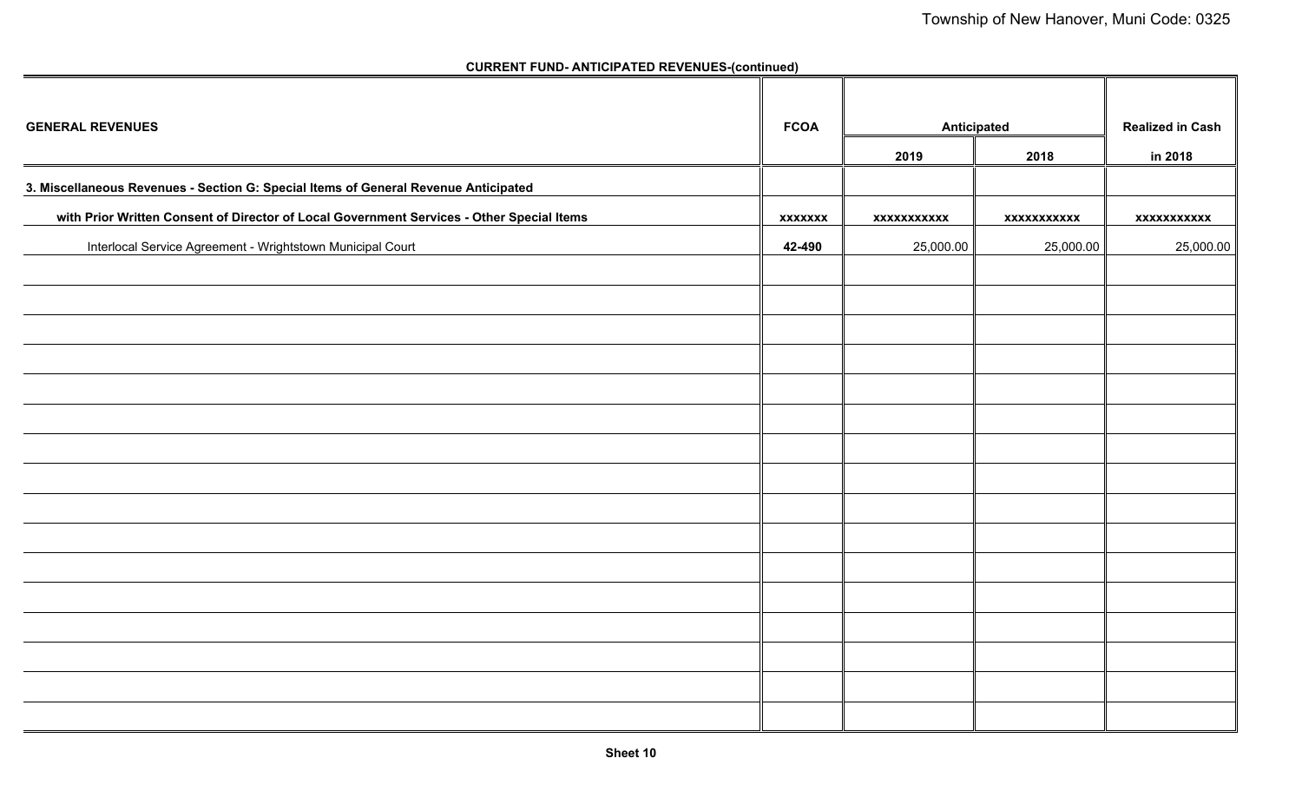| <b>GENERAL REVENUES</b>                                                                   | <b>FCOA</b>    | <b>Anticipated</b> | <b>Realized in Cash</b> |             |
|-------------------------------------------------------------------------------------------|----------------|--------------------|-------------------------|-------------|
|                                                                                           |                | 2019               | 2018                    | in 2018     |
| 3. Miscellaneous Revenues - Section G: Special Items of General Revenue Anticipated       |                |                    |                         |             |
| with Prior Written Consent of Director of Local Government Services - Other Special Items | <b>XXXXXXX</b> | <b>XXXXXXXXXXX</b> | xxxxxxxxxxx             | xxxxxxxxxxx |
| Interlocal Service Agreement - Wrightstown Municipal Court                                | 42-490         | 25,000.00          | 25,000.00               | 25,000.00   |
|                                                                                           |                |                    |                         |             |
|                                                                                           |                |                    |                         |             |
|                                                                                           |                |                    |                         |             |
|                                                                                           |                |                    |                         |             |
|                                                                                           |                |                    |                         |             |
|                                                                                           |                |                    |                         |             |
|                                                                                           |                |                    |                         |             |
|                                                                                           |                |                    |                         |             |
|                                                                                           |                |                    |                         |             |
|                                                                                           |                |                    |                         |             |
|                                                                                           |                |                    |                         |             |
|                                                                                           |                |                    |                         |             |
|                                                                                           |                |                    |                         |             |
|                                                                                           |                |                    |                         |             |
|                                                                                           |                |                    |                         |             |
|                                                                                           |                |                    |                         |             |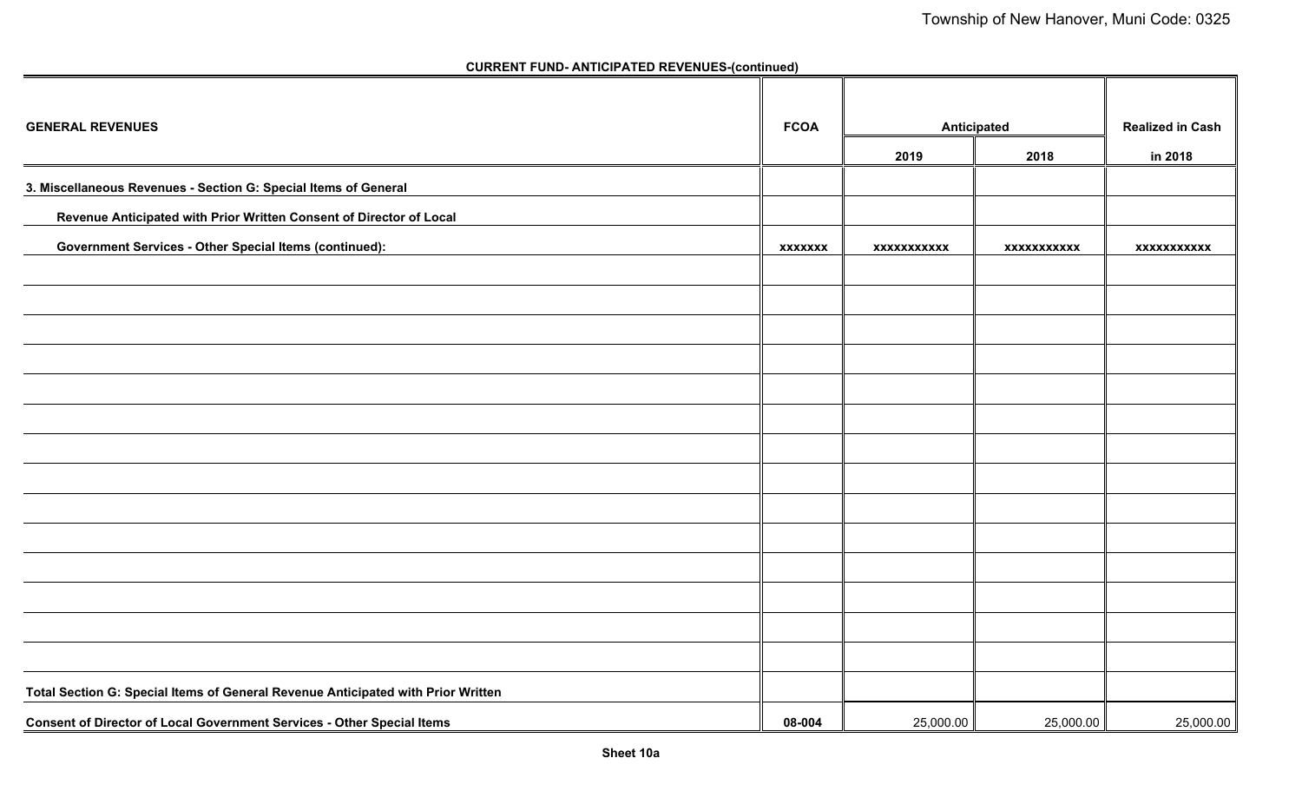| <b>GENERAL REVENUES</b>                                                          | <b>FCOA</b>    | Anticipated        | <b>Realized in Cash</b> |                    |
|----------------------------------------------------------------------------------|----------------|--------------------|-------------------------|--------------------|
|                                                                                  |                | 2019               | 2018                    | in 2018            |
| 3. Miscellaneous Revenues - Section G: Special Items of General                  |                |                    |                         |                    |
| Revenue Anticipated with Prior Written Consent of Director of Local              |                |                    |                         |                    |
| <b>Government Services - Other Special Items (continued):</b>                    | <b>XXXXXXX</b> | <b>XXXXXXXXXXX</b> | <b>XXXXXXXXXXX</b>      | <b>XXXXXXXXXXX</b> |
|                                                                                  |                |                    |                         |                    |
|                                                                                  |                |                    |                         |                    |
|                                                                                  |                |                    |                         |                    |
|                                                                                  |                |                    |                         |                    |
|                                                                                  |                |                    |                         |                    |
|                                                                                  |                |                    |                         |                    |
|                                                                                  |                |                    |                         |                    |
|                                                                                  |                |                    |                         |                    |
|                                                                                  |                |                    |                         |                    |
|                                                                                  |                |                    |                         |                    |
|                                                                                  |                |                    |                         |                    |
|                                                                                  |                |                    |                         |                    |
|                                                                                  |                |                    |                         |                    |
|                                                                                  |                |                    |                         |                    |
| Total Section G: Special Items of General Revenue Anticipated with Prior Written |                |                    |                         |                    |
| Consent of Director of Local Government Services - Other Special Items           | 08-004         | 25,000.00          | 25,000.00               | 25,000.00          |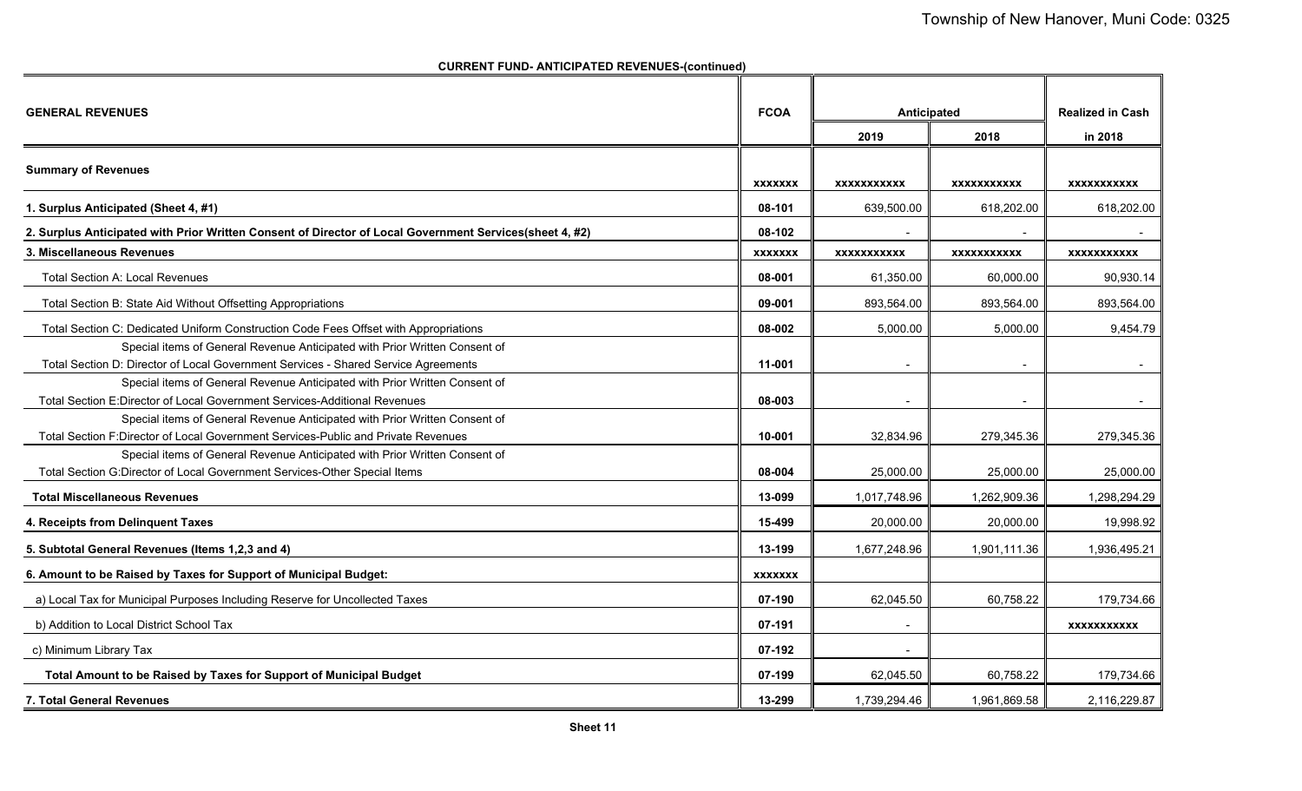**CURRENT FUND- ANTICIPATED REVENUES-(continued)**

| <b>GENERAL REVENUES</b>                                                                                 | <b>FCOA</b>    |                    | Anticipated        |                    |  |
|---------------------------------------------------------------------------------------------------------|----------------|--------------------|--------------------|--------------------|--|
|                                                                                                         |                | 2019               | 2018               | in 2018            |  |
| <b>Summary of Revenues</b>                                                                              |                |                    |                    |                    |  |
|                                                                                                         | <b>XXXXXXX</b> | <b>XXXXXXXXXXX</b> | <b>XXXXXXXXXXX</b> | <b>XXXXXXXXXXX</b> |  |
| 1. Surplus Anticipated (Sheet 4, #1)                                                                    | 08-101         | 639.500.00         | 618.202.00         | 618,202.00         |  |
| 2. Surplus Anticipated with Prior Written Consent of Director of Local Government Services(sheet 4, #2) | 08-102         |                    | $\sim$             |                    |  |
| 3. Miscellaneous Revenues                                                                               | <b>XXXXXXX</b> | <b>XXXXXXXXXXX</b> | <b>XXXXXXXXXXX</b> | <b>XXXXXXXXXXX</b> |  |
| <b>Total Section A: Local Revenues</b>                                                                  | 08-001         | 61,350.00          | 60,000.00          | 90,930.14          |  |
| Total Section B: State Aid Without Offsetting Appropriations                                            | 09-001         | 893,564.00         | 893,564.00         | 893,564.00         |  |
| Total Section C: Dedicated Uniform Construction Code Fees Offset with Appropriations                    | 08-002         | 5,000.00           | 5,000.00           | 9,454.79           |  |
| Special items of General Revenue Anticipated with Prior Written Consent of                              |                |                    |                    |                    |  |
| Total Section D: Director of Local Government Services - Shared Service Agreements                      | 11-001         |                    |                    |                    |  |
| Special items of General Revenue Anticipated with Prior Written Consent of                              |                |                    |                    |                    |  |
| Total Section E:Director of Local Government Services-Additional Revenues                               | 08-003         |                    |                    |                    |  |
| Special items of General Revenue Anticipated with Prior Written Consent of                              |                |                    |                    |                    |  |
| Total Section F:Director of Local Government Services-Public and Private Revenues                       | 10-001         | 32,834.96          | 279,345.36         | 279,345.36         |  |
| Special items of General Revenue Anticipated with Prior Written Consent of                              |                |                    |                    |                    |  |
| Total Section G:Director of Local Government Services-Other Special Items                               | 08-004         | 25,000.00          | 25,000.00          | 25,000.00          |  |
| <b>Total Miscellaneous Revenues</b>                                                                     | 13-099         | 1,017,748.96       | 1,262,909.36       | 1,298,294.29       |  |
| 4. Receipts from Delinquent Taxes                                                                       | 15-499         | 20,000.00          | 20,000.00          | 19,998.92          |  |
| 5. Subtotal General Revenues (Items 1,2,3 and 4)                                                        | 13-199         | 1,677,248.96       | 1,901,111.36       | 1,936,495.21       |  |
| 6. Amount to be Raised by Taxes for Support of Municipal Budget:                                        | <b>XXXXXXX</b> |                    |                    |                    |  |
| a) Local Tax for Municipal Purposes Including Reserve for Uncollected Taxes                             | 07-190         | 62,045.50          | 60,758.22          | 179,734.66         |  |
| b) Addition to Local District School Tax                                                                | 07-191         | $\blacksquare$     |                    | <b>XXXXXXXXXXX</b> |  |
| c) Minimum Library Tax                                                                                  | 07-192         |                    |                    |                    |  |
| Total Amount to be Raised by Taxes for Support of Municipal Budget                                      | 07-199         | 62,045.50          | 60,758.22          | 179,734.66         |  |
| <b>7. Total General Revenues</b>                                                                        | 13-299         | 1,739,294.46       | 1,961,869.58       | 2,116,229.87       |  |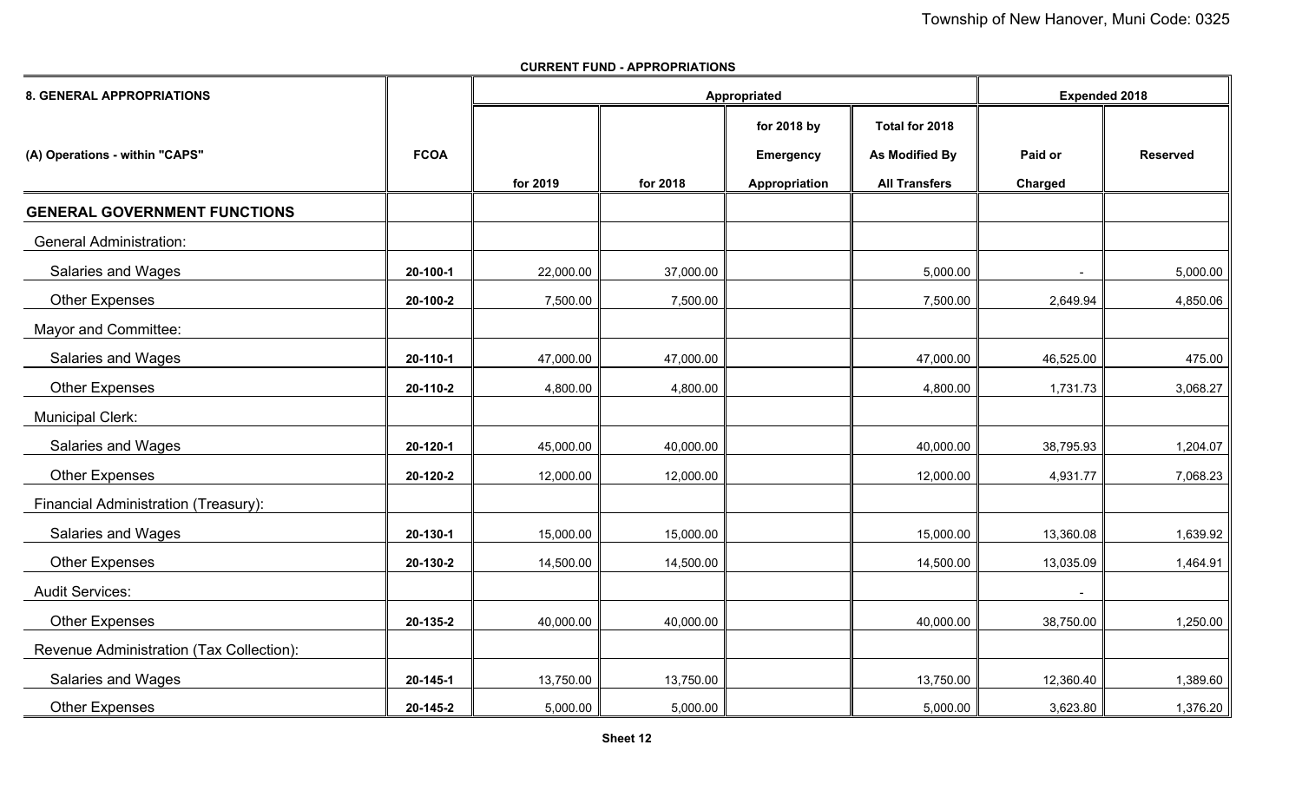| <b>8. GENERAL APPROPRIATIONS</b>         |             |           | Appropriated | <b>Expended 2018</b> |                       |           |                 |
|------------------------------------------|-------------|-----------|--------------|----------------------|-----------------------|-----------|-----------------|
|                                          |             |           |              | for 2018 by          | Total for 2018        |           |                 |
| (A) Operations - within "CAPS"           | <b>FCOA</b> |           |              | <b>Emergency</b>     | <b>As Modified By</b> | Paid or   | <b>Reserved</b> |
|                                          |             | for 2019  | for 2018     | Appropriation        | <b>All Transfers</b>  | Charged   |                 |
| <b>GENERAL GOVERNMENT FUNCTIONS</b>      |             |           |              |                      |                       |           |                 |
| <b>General Administration:</b>           |             |           |              |                      |                       |           |                 |
| Salaries and Wages                       | 20-100-1    | 22,000.00 | 37,000.00    |                      | 5,000.00              |           | 5,000.00        |
| <b>Other Expenses</b>                    | 20-100-2    | 7,500.00  | 7,500.00     |                      | 7,500.00              | 2,649.94  | 4,850.06        |
| Mayor and Committee:                     |             |           |              |                      |                       |           |                 |
| Salaries and Wages                       | 20-110-1    | 47,000.00 | 47,000.00    |                      | 47,000.00             | 46,525.00 | 475.00          |
| <b>Other Expenses</b>                    | 20-110-2    | 4,800.00  | 4,800.00     |                      | 4,800.00              | 1,731.73  | 3,068.27        |
| <b>Municipal Clerk:</b>                  |             |           |              |                      |                       |           |                 |
| <b>Salaries and Wages</b>                | 20-120-1    | 45,000.00 | 40,000.00    |                      | 40,000.00             | 38,795.93 | 1,204.07        |
| <b>Other Expenses</b>                    | 20-120-2    | 12,000.00 | 12,000.00    |                      | 12,000.00             | 4,931.77  | 7,068.23        |
| Financial Administration (Treasury):     |             |           |              |                      |                       |           |                 |
| Salaries and Wages                       | 20-130-1    | 15,000.00 | 15,000.00    |                      | 15,000.00             | 13,360.08 | 1,639.92        |
| <b>Other Expenses</b>                    | 20-130-2    | 14,500.00 | 14,500.00    |                      | 14,500.00             | 13,035.09 | 1,464.91        |
| <b>Audit Services:</b>                   |             |           |              |                      |                       |           |                 |
| <b>Other Expenses</b>                    | 20-135-2    | 40,000.00 | 40,000.00    |                      | 40,000.00             | 38,750.00 | 1,250.00        |
| Revenue Administration (Tax Collection): |             |           |              |                      |                       |           |                 |
| Salaries and Wages                       | 20-145-1    | 13,750.00 | 13,750.00    |                      | 13,750.00             | 12,360.40 | 1,389.60        |
| <b>Other Expenses</b>                    | 20-145-2    | 5,000.00  | 5,000.00     |                      | 5,000.00              | 3,623.80  | 1,376.20        |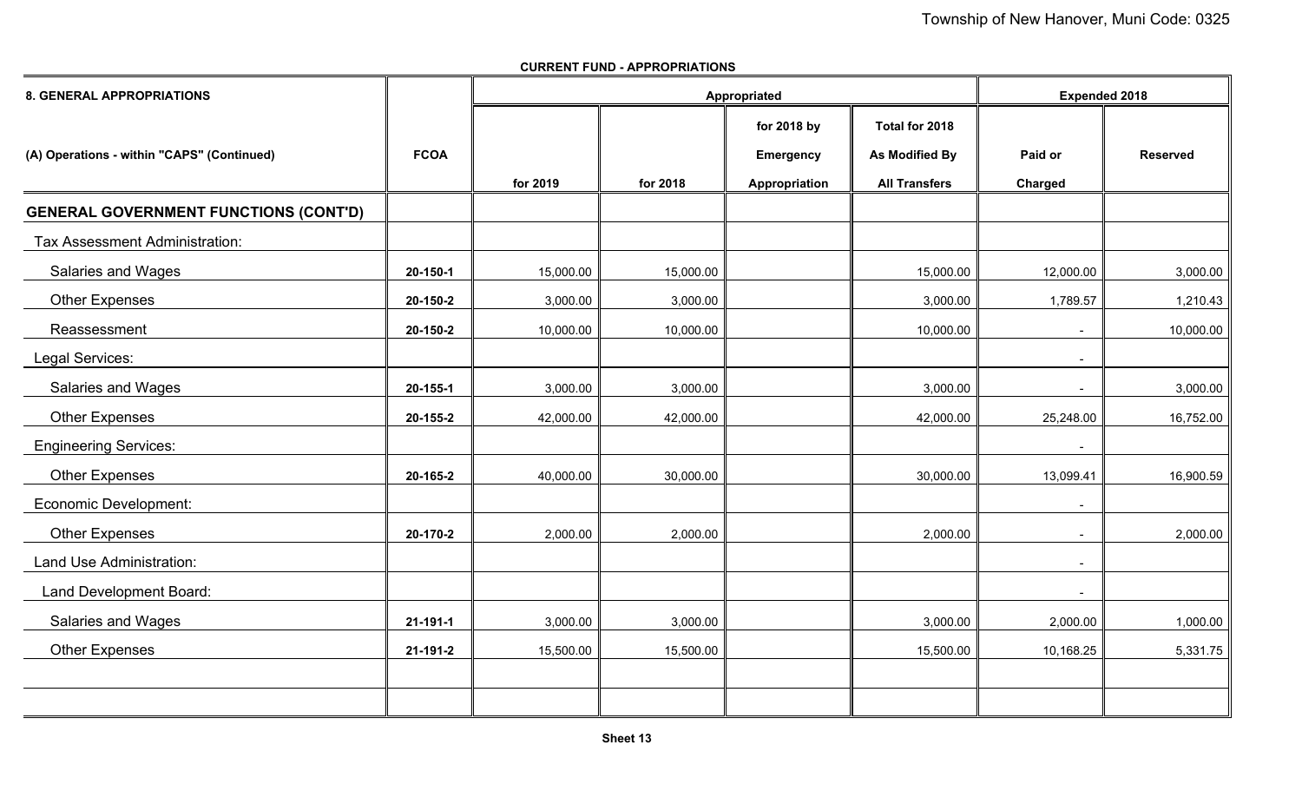| <b>8. GENERAL APPROPRIATIONS</b>             |             |           | Appropriated | <b>Expended 2018</b>                             |                                                                 |                    |                 |
|----------------------------------------------|-------------|-----------|--------------|--------------------------------------------------|-----------------------------------------------------------------|--------------------|-----------------|
| (A) Operations - within "CAPS" (Continued)   | <b>FCOA</b> | for 2019  | for 2018     | for 2018 by<br><b>Emergency</b><br>Appropriation | Total for 2018<br><b>As Modified By</b><br><b>All Transfers</b> | Paid or<br>Charged | <b>Reserved</b> |
| <b>GENERAL GOVERNMENT FUNCTIONS (CONT'D)</b> |             |           |              |                                                  |                                                                 |                    |                 |
| <b>Tax Assessment Administration:</b>        |             |           |              |                                                  |                                                                 |                    |                 |
| <b>Salaries and Wages</b>                    | 20-150-1    | 15,000.00 | 15,000.00    |                                                  | 15,000.00                                                       | 12,000.00          | 3,000.00        |
| <b>Other Expenses</b>                        | 20-150-2    | 3,000.00  | 3,000.00     |                                                  | 3,000.00                                                        | 1,789.57           | 1,210.43        |
| Reassessment                                 | 20-150-2    | 10,000.00 | 10,000.00    |                                                  | 10,000.00                                                       | $\sim$             | 10,000.00       |
| Legal Services:                              |             |           |              |                                                  |                                                                 | $\blacksquare$     |                 |
| <b>Salaries and Wages</b>                    | 20-155-1    | 3,000.00  | 3,000.00     |                                                  | 3,000.00                                                        | $\blacksquare$     | 3,000.00        |
| <b>Other Expenses</b>                        | 20-155-2    | 42,000.00 | 42,000.00    |                                                  | 42,000.00                                                       | 25,248.00          | 16,752.00       |
| <b>Engineering Services:</b>                 |             |           |              |                                                  |                                                                 |                    |                 |
| <b>Other Expenses</b>                        | 20-165-2    | 40,000.00 | 30,000.00    |                                                  | 30,000.00                                                       | 13,099.41          | 16,900.59       |
| <b>Economic Development:</b>                 |             |           |              |                                                  |                                                                 |                    |                 |
| <b>Other Expenses</b>                        | 20-170-2    | 2,000.00  | 2,000.00     |                                                  | 2,000.00                                                        | $\blacksquare$     | 2,000.00        |
| Land Use Administration:                     |             |           |              |                                                  |                                                                 | $\blacksquare$     |                 |
| Land Development Board:                      |             |           |              |                                                  |                                                                 | $\blacksquare$     |                 |
| <b>Salaries and Wages</b>                    | 21-191-1    | 3,000.00  | 3,000.00     |                                                  | 3,000.00                                                        | 2,000.00           | 1,000.00        |
| <b>Other Expenses</b>                        | 21-191-2    | 15,500.00 | 15,500.00    |                                                  | 15,500.00                                                       | 10,168.25          | 5,331.75        |
|                                              |             |           |              |                                                  |                                                                 |                    |                 |
|                                              |             |           |              |                                                  |                                                                 |                    |                 |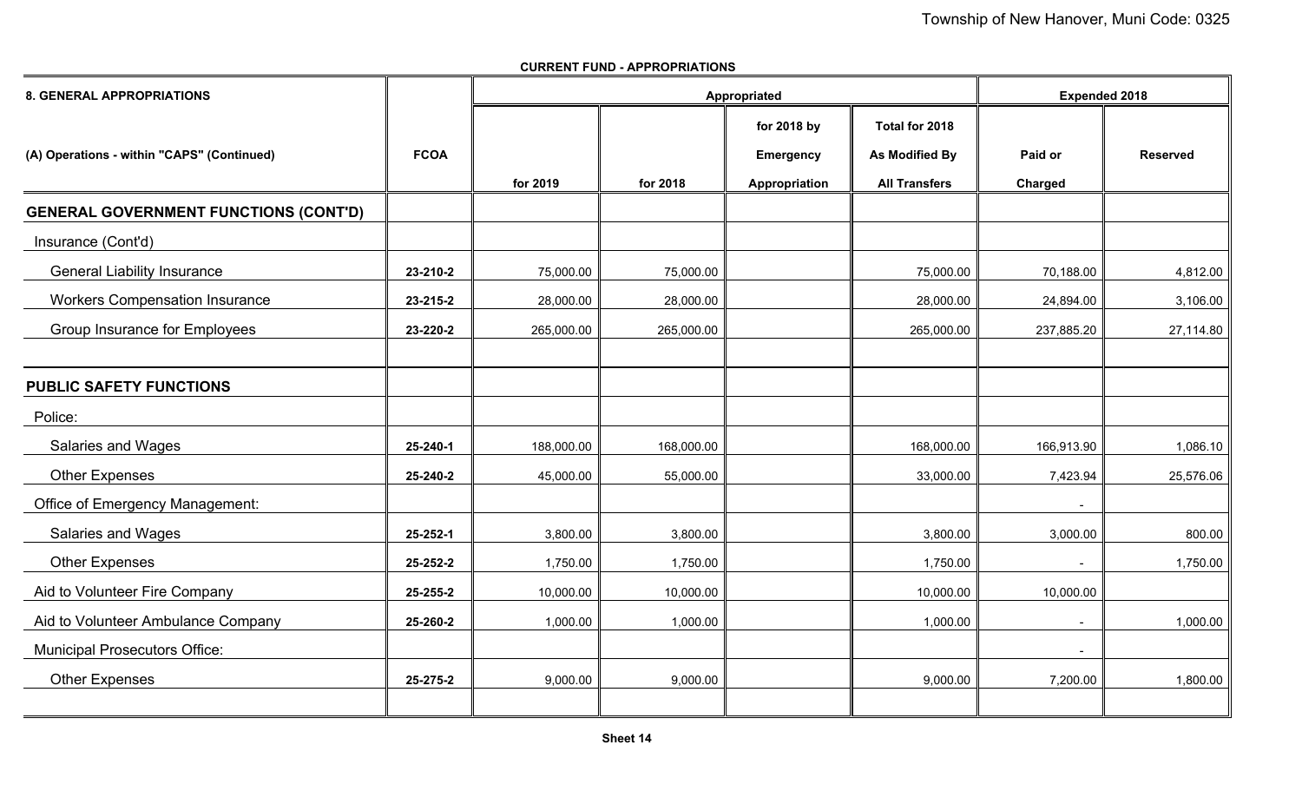| <b>8. GENERAL APPROPRIATIONS</b>             |             |            |            | Appropriated     |                      | <b>Expended 2018</b> |                 |  |
|----------------------------------------------|-------------|------------|------------|------------------|----------------------|----------------------|-----------------|--|
|                                              |             |            |            | for 2018 by      | Total for 2018       |                      |                 |  |
| (A) Operations - within "CAPS" (Continued)   | <b>FCOA</b> |            |            | <b>Emergency</b> | As Modified By       | Paid or              | <b>Reserved</b> |  |
|                                              |             | for 2019   | for 2018   | Appropriation    | <b>All Transfers</b> | Charged              |                 |  |
| <b>GENERAL GOVERNMENT FUNCTIONS (CONT'D)</b> |             |            |            |                  |                      |                      |                 |  |
| Insurance (Cont'd)                           |             |            |            |                  |                      |                      |                 |  |
| <b>General Liability Insurance</b>           | 23-210-2    | 75,000.00  | 75,000.00  |                  | 75,000.00            | 70,188.00            | 4,812.00        |  |
| <b>Workers Compensation Insurance</b>        | 23-215-2    | 28,000.00  | 28,000.00  |                  | 28,000.00            | 24,894.00            | 3,106.00        |  |
| Group Insurance for Employees                | 23-220-2    | 265,000.00 | 265,000.00 |                  | 265,000.00           | 237,885.20           | 27,114.80       |  |
|                                              |             |            |            |                  |                      |                      |                 |  |
| <b>PUBLIC SAFETY FUNCTIONS</b>               |             |            |            |                  |                      |                      |                 |  |
| Police:                                      |             |            |            |                  |                      |                      |                 |  |
| <b>Salaries and Wages</b>                    | 25-240-1    | 188,000.00 | 168,000.00 |                  | 168,000.00           | 166,913.90           | 1,086.10        |  |
| <b>Other Expenses</b>                        | 25-240-2    | 45,000.00  | 55,000.00  |                  | 33,000.00            | 7,423.94             | 25,576.06       |  |
| Office of Emergency Management:              |             |            |            |                  |                      |                      |                 |  |
| <b>Salaries and Wages</b>                    | 25-252-1    | 3,800.00   | 3,800.00   |                  | 3,800.00             | 3,000.00             | 800.00          |  |
| <b>Other Expenses</b>                        | 25-252-2    | 1,750.00   | 1,750.00   |                  | 1,750.00             |                      | 1,750.00        |  |
| Aid to Volunteer Fire Company                | 25-255-2    | 10,000.00  | 10,000.00  |                  | 10,000.00            | 10,000.00            |                 |  |
| Aid to Volunteer Ambulance Company           | 25-260-2    | 1,000.00   | 1,000.00   |                  | 1,000.00             | $\blacksquare$       | 1,000.00        |  |
| <b>Municipal Prosecutors Office:</b>         |             |            |            |                  |                      |                      |                 |  |
| <b>Other Expenses</b>                        | 25-275-2    | 9,000.00   | 9,000.00   |                  | 9,000.00             | 7,200.00             | 1,800.00        |  |
|                                              |             |            |            |                  |                      |                      |                 |  |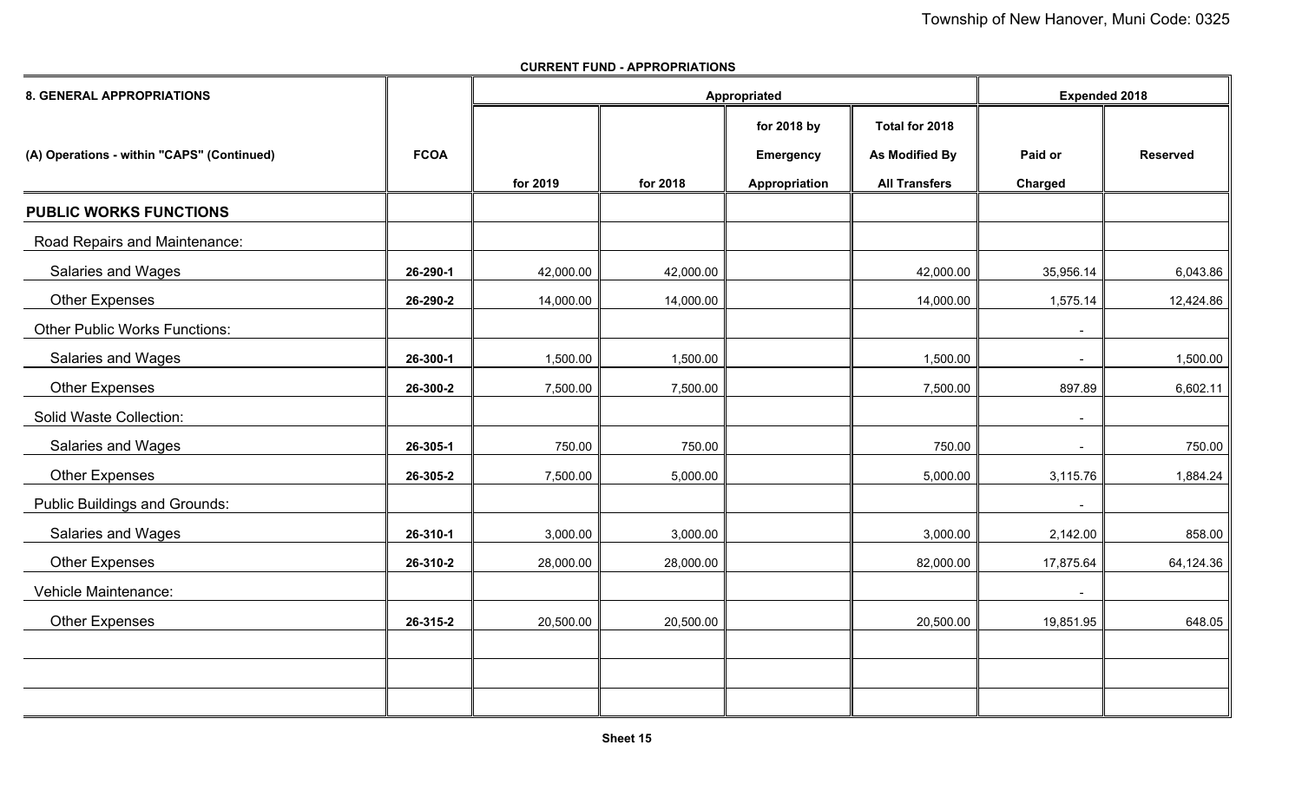| <b>8. GENERAL APPROPRIATIONS</b>           |             |           |           | Appropriated     |                      | <b>Expended 2018</b> |                 |  |
|--------------------------------------------|-------------|-----------|-----------|------------------|----------------------|----------------------|-----------------|--|
|                                            |             |           |           | for 2018 by      | Total for 2018       |                      |                 |  |
| (A) Operations - within "CAPS" (Continued) | <b>FCOA</b> |           |           | <b>Emergency</b> | As Modified By       | Paid or              | <b>Reserved</b> |  |
|                                            |             | for 2019  | for 2018  | Appropriation    | <b>All Transfers</b> | Charged              |                 |  |
| <b>PUBLIC WORKS FUNCTIONS</b>              |             |           |           |                  |                      |                      |                 |  |
| Road Repairs and Maintenance:              |             |           |           |                  |                      |                      |                 |  |
| <b>Salaries and Wages</b>                  | 26-290-1    | 42,000.00 | 42,000.00 |                  | 42,000.00            | 35,956.14            | 6,043.86        |  |
| <b>Other Expenses</b>                      | 26-290-2    | 14,000.00 | 14,000.00 |                  | 14,000.00            | 1,575.14             | 12,424.86       |  |
| <b>Other Public Works Functions:</b>       |             |           |           |                  |                      | $\blacksquare$       |                 |  |
| <b>Salaries and Wages</b>                  | 26-300-1    | 1,500.00  | 1,500.00  |                  | 1,500.00             | $\blacksquare$       | 1,500.00        |  |
| <b>Other Expenses</b>                      | 26-300-2    | 7,500.00  | 7,500.00  |                  | 7,500.00             | 897.89               | 6,602.11        |  |
| <b>Solid Waste Collection:</b>             |             |           |           |                  |                      |                      |                 |  |
| <b>Salaries and Wages</b>                  | 26-305-1    | 750.00    | 750.00    |                  | 750.00               | $\blacksquare$       | 750.00          |  |
| <b>Other Expenses</b>                      | 26-305-2    | 7,500.00  | 5,000.00  |                  | 5,000.00             | 3,115.76             | 1,884.24        |  |
| <b>Public Buildings and Grounds:</b>       |             |           |           |                  |                      |                      |                 |  |
| <b>Salaries and Wages</b>                  | 26-310-1    | 3,000.00  | 3,000.00  |                  | 3,000.00             | 2,142.00             | 858.00          |  |
| <b>Other Expenses</b>                      | 26-310-2    | 28,000.00 | 28,000.00 |                  | 82,000.00            | 17,875.64            | 64,124.36       |  |
| Vehicle Maintenance:                       |             |           |           |                  |                      | $\blacksquare$       |                 |  |
| <b>Other Expenses</b>                      | 26-315-2    | 20,500.00 | 20,500.00 |                  | 20,500.00            | 19,851.95            | 648.05          |  |
|                                            |             |           |           |                  |                      |                      |                 |  |
|                                            |             |           |           |                  |                      |                      |                 |  |
|                                            |             |           |           |                  |                      |                      |                 |  |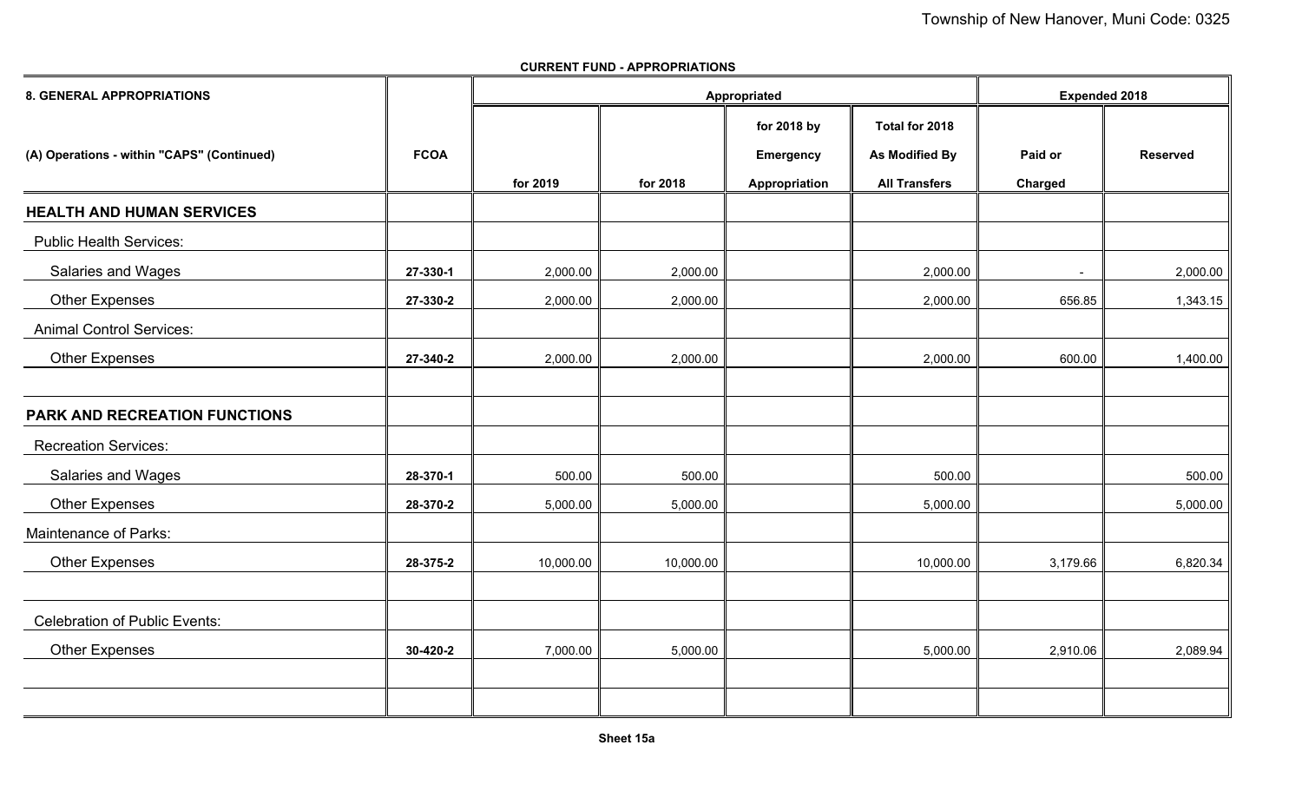# **8. GENERAL APPROPRIATIONSfor 2018 by Total for 2018 (A) Operations - within "CAPS" (Continued) FCOA Emergency As Modified By Paid or Reserved for 2019 for 2018 Appropriation All Transfers Charged HEALTH AND HUMAN SERVICES** Public Health Services: Salaries and Wages **2008** 27-330-1 **27-330-1** 2,000.00 **2**,000.00 **2**,000.00 **2,000.00** 2,000.00 **2,000.00** - 2,000.00 Other Expenses **27-330-2** 2,000.00 2,000.00 2,000.00 656.85 1,343.15 Animal Control Services: Other Expenses **27-340-2** 2,000.00 2,000.00 2,000.00 600.00 1,400.00 **PARK AND RECREATION FUNCTIONS** Recreation Services: Salaries and Wages **28 Contract 1 Contract 1 Contract 1 Contract 1 Contract 1 Contract 1 Contract 1 Contract 1 Contract 1 Contract 1 Contract 1 Contract 1 Contract 1 Contract 1 Contract 1 Contract 1 Contract 1 Contract 1 C**  Other Expenses **28-370-2** 5,000.00 5,000.00 5,000.00 5,000.00 Maintenance of Parks: Other Expenses **28-375-2** 10,000.00 10,000.00 10,000.00 3,179.66 6,820.34 Celebration of Public Events:Other Expenses ∥ 3**0-420-2** ∥ 7,000.00 ∥ 5,000.00 ∥ 5,000.00 ∥ 2,910.06 ∥ 2,089.94  **Appropriated Expended 2018**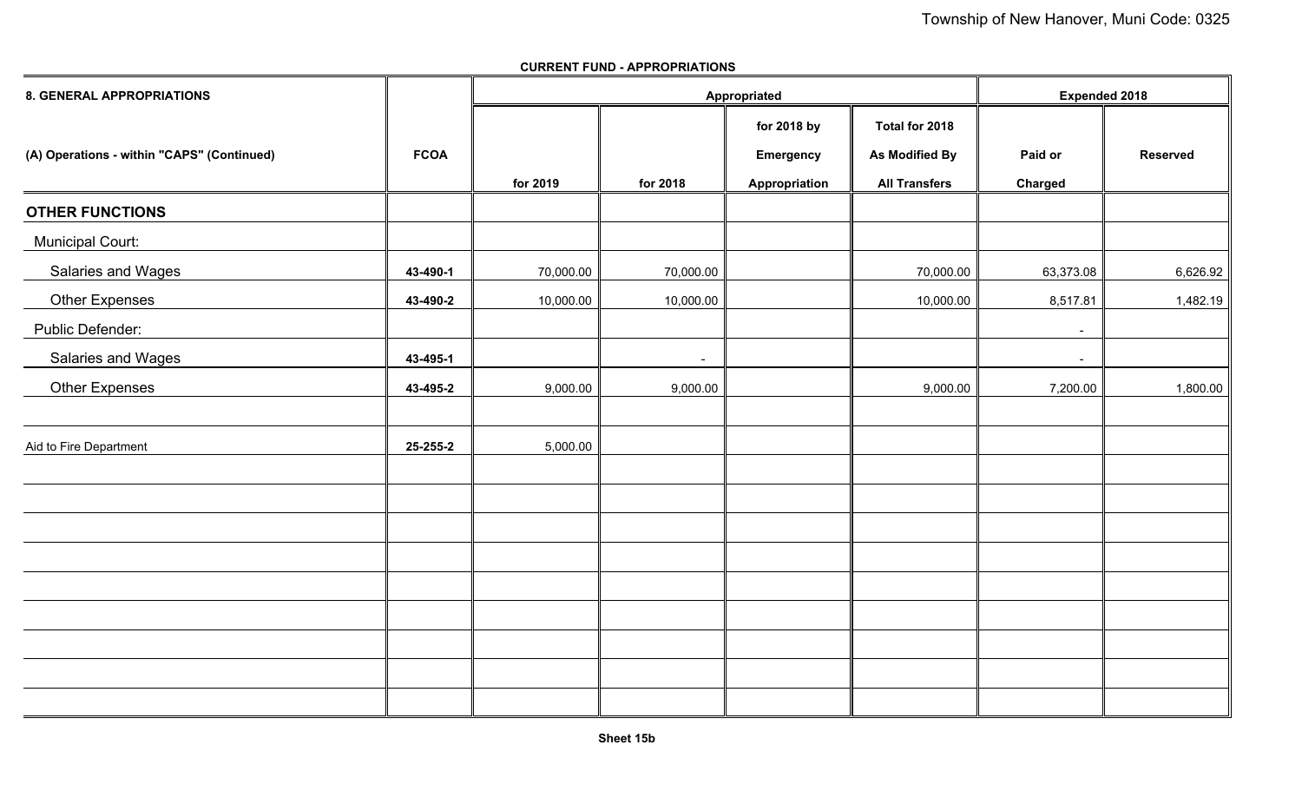| 8. GENERAL APPROPRIATIONS                  |             |           | Appropriated | <b>Expended 2018</b> |                      |                |                 |
|--------------------------------------------|-------------|-----------|--------------|----------------------|----------------------|----------------|-----------------|
|                                            |             |           |              | for 2018 by          | Total for 2018       |                |                 |
| (A) Operations - within "CAPS" (Continued) | <b>FCOA</b> |           |              | <b>Emergency</b>     | As Modified By       | Paid or        | <b>Reserved</b> |
|                                            |             | for 2019  | for 2018     | Appropriation        | <b>All Transfers</b> | <b>Charged</b> |                 |
| <b>OTHER FUNCTIONS</b>                     |             |           |              |                      |                      |                |                 |
| <b>Municipal Court:</b>                    |             |           |              |                      |                      |                |                 |
| Salaries and Wages                         | 43-490-1    | 70,000.00 | 70,000.00    |                      | 70,000.00            | 63,373.08      | 6,626.92        |
| <b>Other Expenses</b>                      | 43-490-2    | 10,000.00 | 10,000.00    |                      | 10,000.00            | 8,517.81       | 1,482.19        |
| Public Defender:                           |             |           |              |                      |                      | $\sim$         |                 |
| Salaries and Wages                         | 43-495-1    |           | $\sim$       |                      |                      | $\sim$         |                 |
| <b>Other Expenses</b>                      | 43-495-2    | 9,000.00  | 9,000.00     |                      | 9,000.00             | 7,200.00       | 1,800.00        |
|                                            |             |           |              |                      |                      |                |                 |
| Aid to Fire Department                     | 25-255-2    | 5,000.00  |              |                      |                      |                |                 |
|                                            |             |           |              |                      |                      |                |                 |
|                                            |             |           |              |                      |                      |                |                 |
|                                            |             |           |              |                      |                      |                |                 |
|                                            |             |           |              |                      |                      |                |                 |
|                                            |             |           |              |                      |                      |                |                 |
|                                            |             |           |              |                      |                      |                |                 |
|                                            |             |           |              |                      |                      |                |                 |
|                                            |             |           |              |                      |                      |                |                 |
|                                            |             |           |              |                      |                      |                |                 |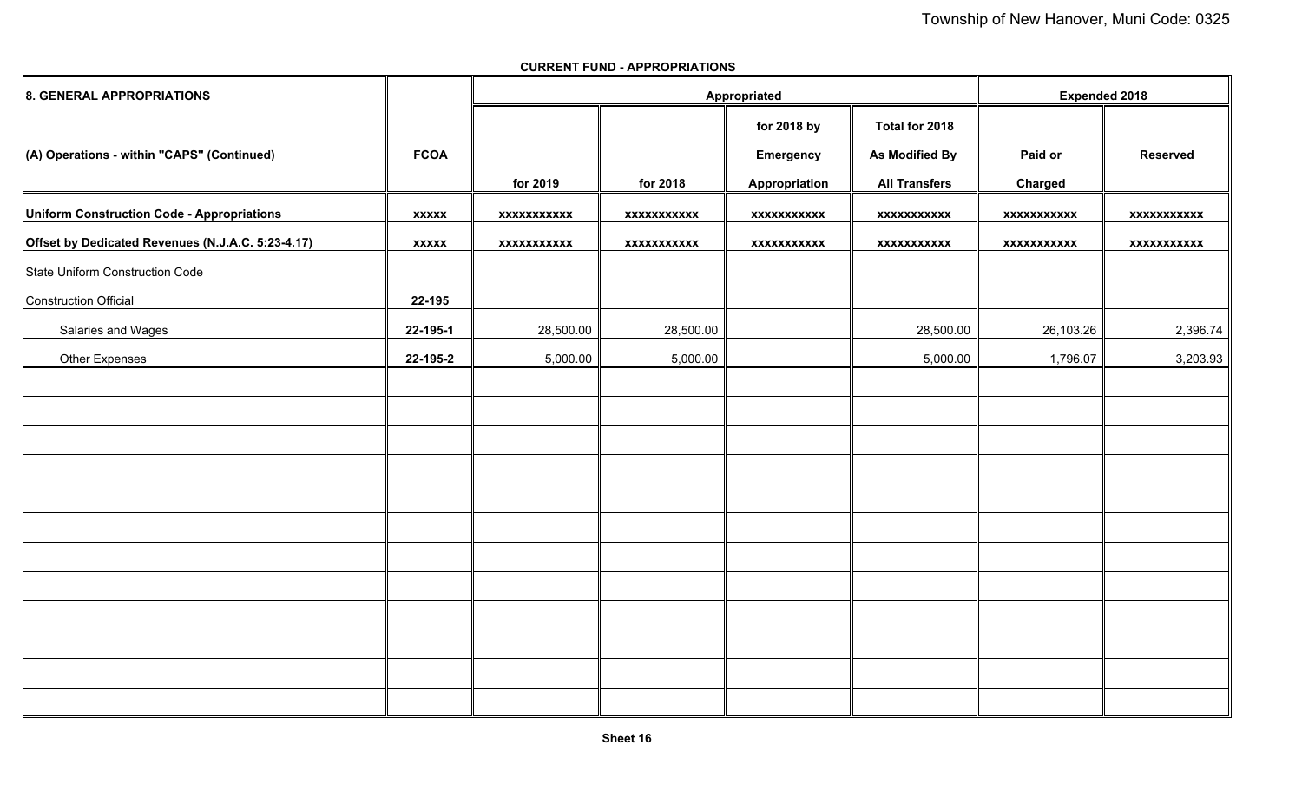| 8. GENERAL APPROPRIATIONS                         |              |                    |                    | Appropriated     |                       | <b>Expended 2018</b> |                    |
|---------------------------------------------------|--------------|--------------------|--------------------|------------------|-----------------------|----------------------|--------------------|
|                                                   |              |                    |                    | for 2018 by      | Total for 2018        |                      |                    |
| (A) Operations - within "CAPS" (Continued)        | <b>FCOA</b>  |                    |                    | <b>Emergency</b> | <b>As Modified By</b> | Paid or              | <b>Reserved</b>    |
|                                                   |              | for 2019           | for 2018           | Appropriation    | <b>All Transfers</b>  | Charged              |                    |
| <b>Uniform Construction Code - Appropriations</b> | <b>XXXXX</b> | <b>XXXXXXXXXXX</b> | <b>XXXXXXXXXXX</b> | xxxxxxxxxxx      | <b>XXXXXXXXXXX</b>    | <b>XXXXXXXXXXX</b>   | <b>XXXXXXXXXXX</b> |
| Offset by Dedicated Revenues (N.J.A.C. 5:23-4.17) | <b>XXXXX</b> | <b>XXXXXXXXXXX</b> | xxxxxxxxxxx        | xxxxxxxxxxx      | xxxxxxxxxxx           | xxxxxxxxxxx          | <b>XXXXXXXXXXX</b> |
| State Uniform Construction Code                   |              |                    |                    |                  |                       |                      |                    |
| <b>Construction Official</b>                      | 22-195       |                    |                    |                  |                       |                      |                    |
| Salaries and Wages                                | 22-195-1     | 28,500.00          | 28,500.00          |                  | 28,500.00             | 26,103.26            | 2,396.74           |
| <b>Other Expenses</b>                             | 22-195-2     | 5,000.00           | 5,000.00           |                  | 5,000.00              | 1,796.07             | 3,203.93           |
|                                                   |              |                    |                    |                  |                       |                      |                    |
|                                                   |              |                    |                    |                  |                       |                      |                    |
|                                                   |              |                    |                    |                  |                       |                      |                    |
|                                                   |              |                    |                    |                  |                       |                      |                    |
|                                                   |              |                    |                    |                  |                       |                      |                    |
|                                                   |              |                    |                    |                  |                       |                      |                    |
|                                                   |              |                    |                    |                  |                       |                      |                    |
|                                                   |              |                    |                    |                  |                       |                      |                    |
|                                                   |              |                    |                    |                  |                       |                      |                    |
|                                                   |              |                    |                    |                  |                       |                      |                    |
|                                                   |              |                    |                    |                  |                       |                      |                    |
|                                                   |              |                    |                    |                  |                       |                      |                    |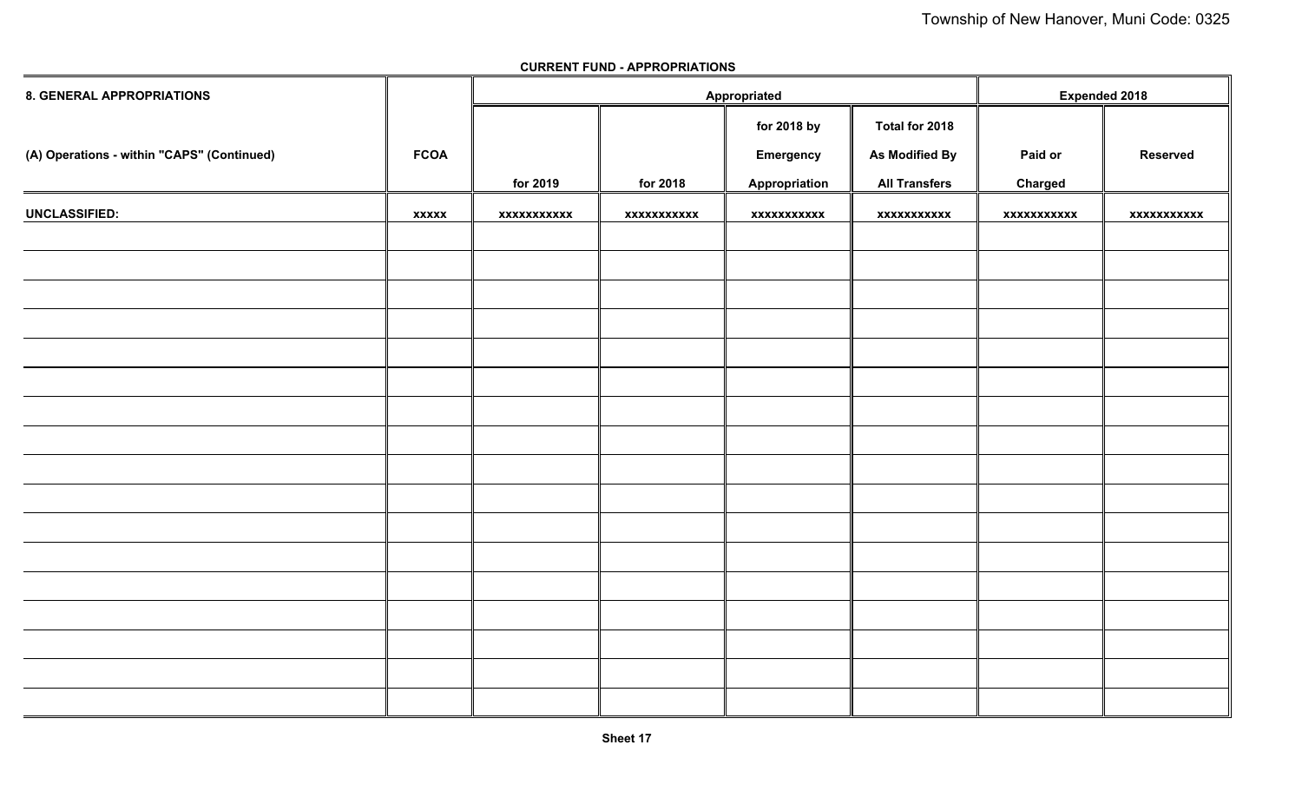| <b>8. GENERAL APPROPRIATIONS</b>           |              |             |             | Appropriated     |                      | <b>Expended 2018</b> |                 |
|--------------------------------------------|--------------|-------------|-------------|------------------|----------------------|----------------------|-----------------|
|                                            |              |             |             | for 2018 by      | Total for 2018       |                      |                 |
| (A) Operations - within "CAPS" (Continued) | <b>FCOA</b>  |             |             | <b>Emergency</b> | As Modified By       | Paid or              | <b>Reserved</b> |
|                                            |              | for 2019    | for 2018    | Appropriation    | <b>All Transfers</b> | Charged              |                 |
| <b>UNCLASSIFIED:</b>                       | <b>XXXXX</b> | xxxxxxxxxxx | xxxxxxxxxxx | xxxxxxxxxxx      | xxxxxxxxxxx          | xxxxxxxxxxx          | xxxxxxxxxxx     |
|                                            |              |             |             |                  |                      |                      |                 |
|                                            |              |             |             |                  |                      |                      |                 |
|                                            |              |             |             |                  |                      |                      |                 |
|                                            |              |             |             |                  |                      |                      |                 |
|                                            |              |             |             |                  |                      |                      |                 |
|                                            |              |             |             |                  |                      |                      |                 |
|                                            |              |             |             |                  |                      |                      |                 |
|                                            |              |             |             |                  |                      |                      |                 |
|                                            |              |             |             |                  |                      |                      |                 |
|                                            |              |             |             |                  |                      |                      |                 |
|                                            |              |             |             |                  |                      |                      |                 |
|                                            |              |             |             |                  |                      |                      |                 |
|                                            |              |             |             |                  |                      |                      |                 |
|                                            |              |             |             |                  |                      |                      |                 |
|                                            |              |             |             |                  |                      |                      |                 |
|                                            |              |             |             |                  |                      |                      |                 |
|                                            |              |             |             |                  |                      |                      |                 |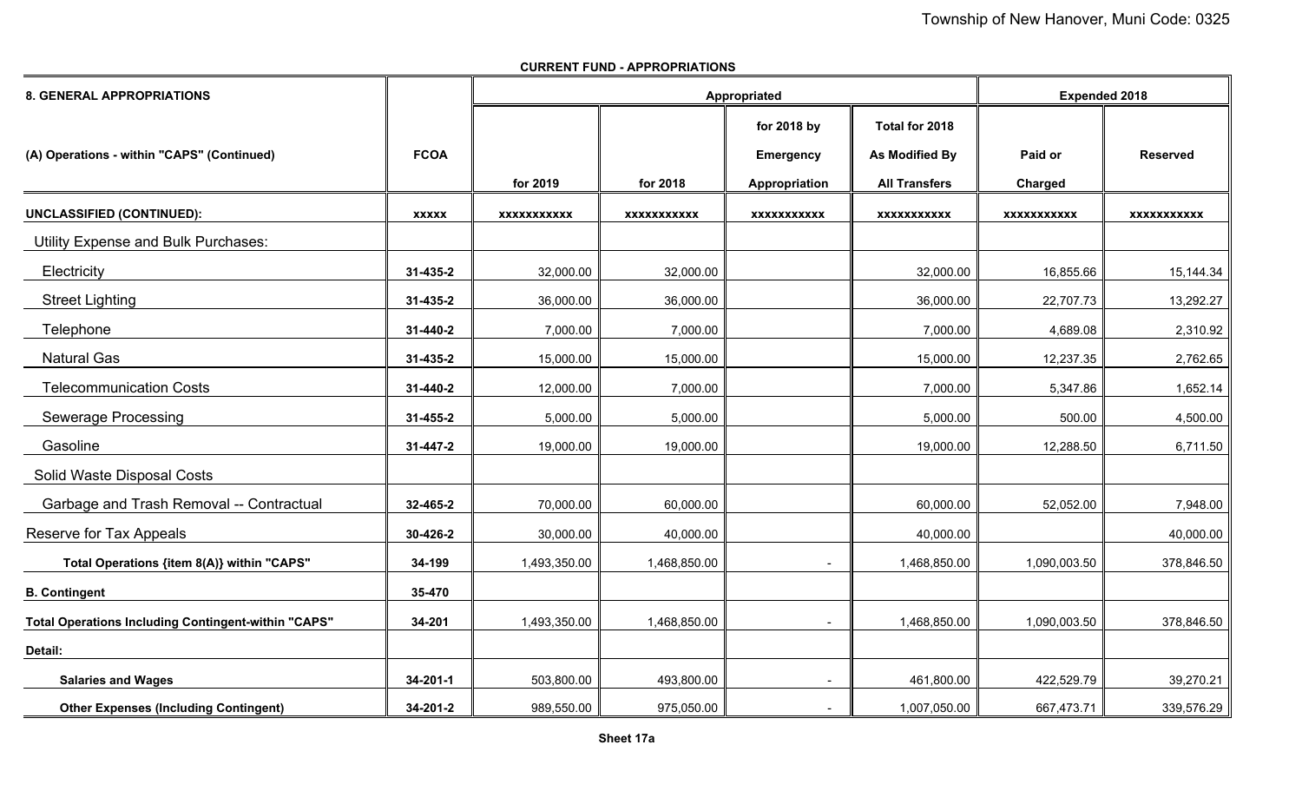| <b>8. GENERAL APPROPRIATIONS</b>                           |                |                    | Appropriated       | <b>Expended 2018</b>     |                       |                    |                 |
|------------------------------------------------------------|----------------|--------------------|--------------------|--------------------------|-----------------------|--------------------|-----------------|
|                                                            |                |                    |                    | for 2018 by              | Total for 2018        |                    |                 |
| (A) Operations - within "CAPS" (Continued)                 | <b>FCOA</b>    |                    |                    | <b>Emergency</b>         | <b>As Modified By</b> | Paid or            | <b>Reserved</b> |
|                                                            |                | for 2019           | for 2018           | Appropriation            | <b>All Transfers</b>  | Charged            |                 |
| <b>UNCLASSIFIED (CONTINUED):</b>                           | <b>XXXXX</b>   | <b>XXXXXXXXXXX</b> | <b>XXXXXXXXXXX</b> | <b>XXXXXXXXXXX</b>       | <b>XXXXXXXXXXX</b>    | <b>XXXXXXXXXXX</b> | XXXXXXXXXXX     |
| <b>Utility Expense and Bulk Purchases:</b>                 |                |                    |                    |                          |                       |                    |                 |
| Electricity                                                | 31-435-2       | 32,000.00          | 32,000.00          |                          | 32,000.00             | 16,855.66          | 15,144.34       |
| <b>Street Lighting</b>                                     | 31-435-2       | 36,000.00          | 36,000.00          |                          | 36,000.00             | 22,707.73          | 13,292.27       |
| Telephone                                                  | 31-440-2       | 7,000.00           | 7,000.00           |                          | 7,000.00              | 4,689.08           | 2,310.92        |
| <b>Natural Gas</b>                                         | 31-435-2       | 15,000.00          | 15,000.00          |                          | 15,000.00             | 12,237.35          | 2,762.65        |
| <b>Telecommunication Costs</b>                             | 31-440-2       | 12,000.00          | 7,000.00           |                          | 7,000.00              | 5,347.86           | 1,652.14        |
| <b>Sewerage Processing</b>                                 | 31-455-2       | 5,000.00           | 5,000.00           |                          | 5,000.00              | 500.00             | 4,500.00        |
| Gasoline                                                   | 31-447-2       | 19,000.00          | 19,000.00          |                          | 19,000.00             | 12,288.50          | 6,711.50        |
| Solid Waste Disposal Costs                                 |                |                    |                    |                          |                       |                    |                 |
| Garbage and Trash Removal -- Contractual                   | 32-465-2       | 70,000.00          | 60,000.00          |                          | 60,000.00             | 52,052.00          | 7,948.00        |
| Reserve for Tax Appeals                                    | 30-426-2       | 30,000.00          | 40,000.00          |                          | 40,000.00             |                    | 40,000.00       |
| Total Operations {item 8(A)} within "CAPS"                 | 34-199         | 1,493,350.00       | 1,468,850.00       |                          | 1,468,850.00          | 1,090,003.50       | 378,846.50      |
| <b>B. Contingent</b>                                       | 35-470         |                    |                    |                          |                       |                    |                 |
| <b>Total Operations Including Contingent-within "CAPS"</b> | 34-201         | 1,493,350.00       | 1,468,850.00       |                          | 1,468,850.00          | 1,090,003.50       | 378,846.50      |
| Detail:                                                    |                |                    |                    |                          |                       |                    |                 |
| <b>Salaries and Wages</b>                                  | 34-201-1       | 503,800.00         | 493,800.00         | $\overline{\phantom{a}}$ | 461,800.00            | 422,529.79         | 39,270.21       |
| <b>Other Expenses (Including Contingent)</b>               | $34 - 201 - 2$ | 989,550.00         | 975,050.00         |                          | 1,007,050.00          | 667,473.71         | 339,576.29      |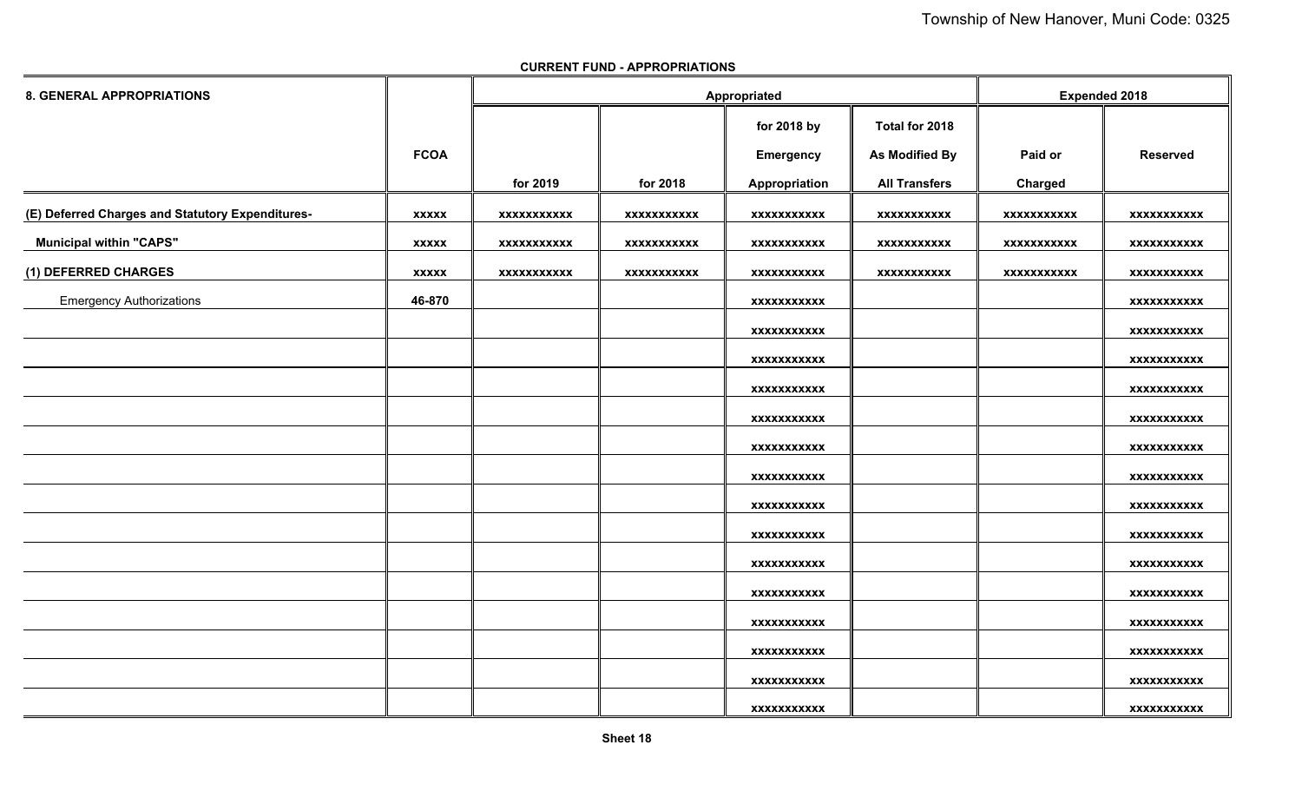| <b>8. GENERAL APPROPRIATIONS</b>                 |              |             |             | Appropriated       |                      | <b>Expended 2018</b> |                    |
|--------------------------------------------------|--------------|-------------|-------------|--------------------|----------------------|----------------------|--------------------|
|                                                  |              |             |             | for 2018 by        | Total for 2018       |                      |                    |
|                                                  | <b>FCOA</b>  |             |             | <b>Emergency</b>   | As Modified By       | Paid or              | <b>Reserved</b>    |
|                                                  |              | for 2019    | for 2018    | Appropriation      | <b>All Transfers</b> | Charged              |                    |
| (E) Deferred Charges and Statutory Expenditures- | <b>XXXXX</b> | XXXXXXXXXXX | XXXXXXXXXXX | XXXXXXXXXXX        | <b>XXXXXXXXXXX</b>   | XXXXXXXXXXX          | XXXXXXXXXXX        |
| <b>Municipal within "CAPS"</b>                   | <b>XXXXX</b> | XXXXXXXXXXX | XXXXXXXXXXX | XXXXXXXXXXX        | <b>XXXXXXXXXXX</b>   | XXXXXXXXXXX          | XXXXXXXXXXX        |
| (1) DEFERRED CHARGES                             | <b>XXXXX</b> | XXXXXXXXXXX | xxxxxxxxxxx | <b>XXXXXXXXXXX</b> | XXXXXXXXXXX          | XXXXXXXXXXX          | XXXXXXXXXXX        |
| <b>Emergency Authorizations</b>                  | 46-870       |             |             | XXXXXXXXXXX        |                      |                      | <b>XXXXXXXXXXX</b> |
|                                                  |              |             |             | xxxxxxxxxxx        |                      |                      | <b>XXXXXXXXXXX</b> |
|                                                  |              |             |             | <b>XXXXXXXXXXX</b> |                      |                      | XXXXXXXXXXX        |
|                                                  |              |             |             | xxxxxxxxxxx        |                      |                      | xxxxxxxxxxx        |
|                                                  |              |             |             | <b>XXXXXXXXXXX</b> |                      |                      | <b>XXXXXXXXXXX</b> |
|                                                  |              |             |             | <b>XXXXXXXXXXX</b> |                      |                      | <b>XXXXXXXXXXX</b> |
|                                                  |              |             |             | XXXXXXXXXXX        |                      |                      | XXXXXXXXXXX        |
|                                                  |              |             |             | XXXXXXXXXXX        |                      |                      | <b>XXXXXXXXXXX</b> |
|                                                  |              |             |             | <b>XXXXXXXXXXX</b> |                      |                      | <b>XXXXXXXXXXX</b> |
|                                                  |              |             |             | xxxxxxxxxxx        |                      |                      | <b>XXXXXXXXXXX</b> |
|                                                  |              |             |             | xxxxxxxxxxx        |                      |                      | xxxxxxxxxxx        |
|                                                  |              |             |             | <b>XXXXXXXXXXX</b> |                      |                      | <b>XXXXXXXXXXX</b> |
|                                                  |              |             |             | XXXXXXXXXXX        |                      |                      | XXXXXXXXXXX        |
|                                                  |              |             |             | xxxxxxxxxxx        |                      |                      | <b>XXXXXXXXXXX</b> |
|                                                  |              |             |             | XXXXXXXXXXX        |                      |                      | XXXXXXXXXXX        |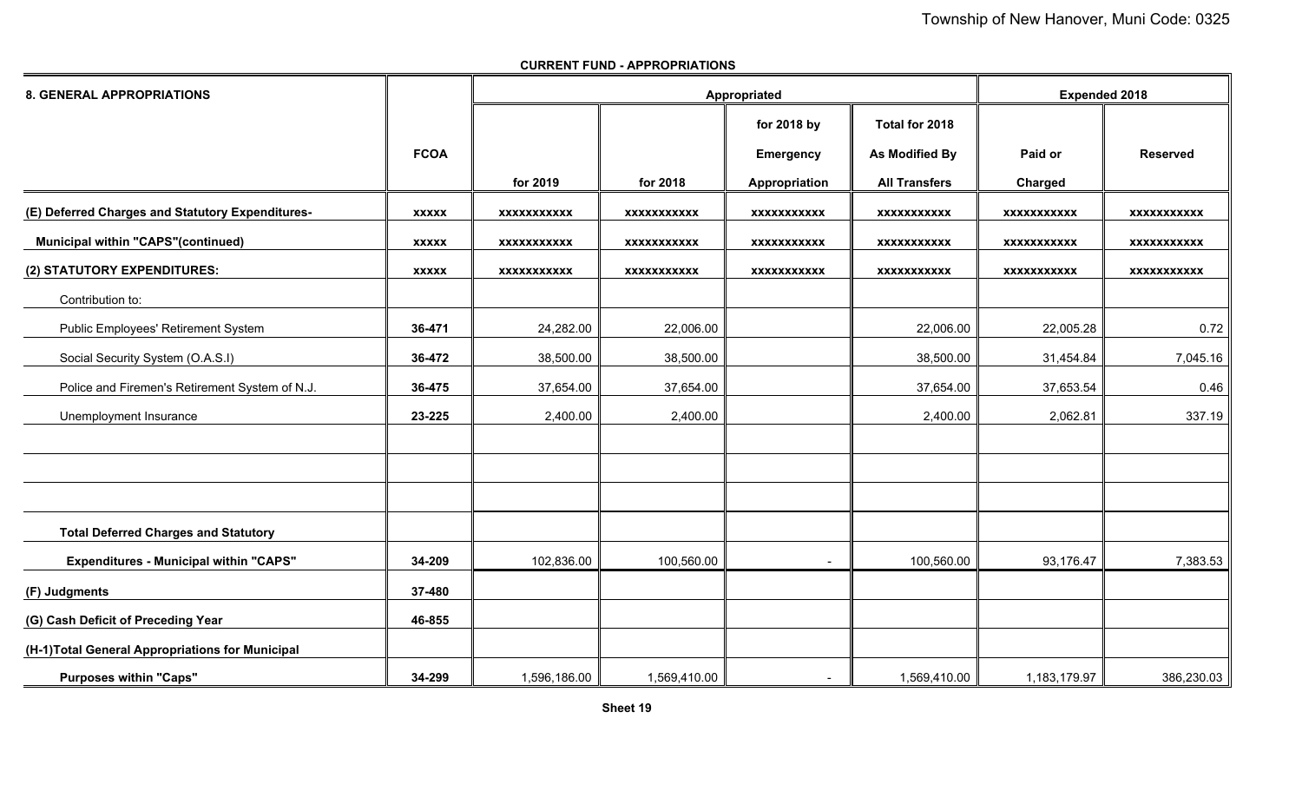| <b>8. GENERAL APPROPRIATIONS</b>                 |              |                    |                    | Appropriated       |                      | <b>Expended 2018</b> |                    |
|--------------------------------------------------|--------------|--------------------|--------------------|--------------------|----------------------|----------------------|--------------------|
|                                                  |              |                    |                    | for 2018 by        | Total for 2018       |                      |                    |
|                                                  | <b>FCOA</b>  |                    |                    | <b>Emergency</b>   | As Modified By       | Paid or              | <b>Reserved</b>    |
|                                                  |              | for 2019           | for 2018           | Appropriation      | <b>All Transfers</b> | Charged              |                    |
| (E) Deferred Charges and Statutory Expenditures- | <b>XXXXX</b> | <b>XXXXXXXXXXX</b> | <b>XXXXXXXXXXX</b> | <b>XXXXXXXXXXX</b> | <b>XXXXXXXXXXX</b>   | <b>XXXXXXXXXXX</b>   | <b>XXXXXXXXXXX</b> |
| <b>Municipal within "CAPS"(continued)</b>        | <b>XXXXX</b> | <b>XXXXXXXXXXX</b> | XXXXXXXXXXX        | <b>XXXXXXXXXXX</b> | <b>XXXXXXXXXXX</b>   | XXXXXXXXXXX          | XXXXXXXXXXX        |
| (2) STATUTORY EXPENDITURES:                      | <b>XXXXX</b> | <b>XXXXXXXXXXX</b> | <b>XXXXXXXXXXX</b> | <b>XXXXXXXXXXX</b> | <b>XXXXXXXXXXX</b>   | <b>XXXXXXXXXXX</b>   | <b>XXXXXXXXXXX</b> |
| Contribution to:                                 |              |                    |                    |                    |                      |                      |                    |
| Public Employees' Retirement System              | 36-471       | 24,282.00          | 22,006.00          |                    | 22,006.00            | 22,005.28            | 0.72               |
| Social Security System (O.A.S.I)                 | 36-472       | 38,500.00          | 38,500.00          |                    | 38,500.00            | 31,454.84            | 7,045.16           |
| Police and Firemen's Retirement System of N.J.   | 36-475       | 37,654.00          | 37,654.00          |                    | 37,654.00            | 37,653.54            | 0.46               |
| Unemployment Insurance                           | 23-225       | 2,400.00           | 2,400.00           |                    | 2,400.00             | 2,062.81             | 337.19             |
|                                                  |              |                    |                    |                    |                      |                      |                    |
|                                                  |              |                    |                    |                    |                      |                      |                    |
|                                                  |              |                    |                    |                    |                      |                      |                    |
| <b>Total Deferred Charges and Statutory</b>      |              |                    |                    |                    |                      |                      |                    |
| <b>Expenditures - Municipal within "CAPS"</b>    | 34-209       | 102,836.00         | 100,560.00         |                    | 100,560.00           | 93,176.47            | 7,383.53           |
| (F) Judgments                                    | 37-480       |                    |                    |                    |                      |                      |                    |
| (G) Cash Deficit of Preceding Year               | 46-855       |                    |                    |                    |                      |                      |                    |
| (H-1)Total General Appropriations for Municipal  |              |                    |                    |                    |                      |                      |                    |
| <b>Purposes within "Caps"</b>                    | 34-299       | 1,596,186.00       | 1,569,410.00       |                    | 1,569,410.00         | 1,183,179.97         | 386,230.03         |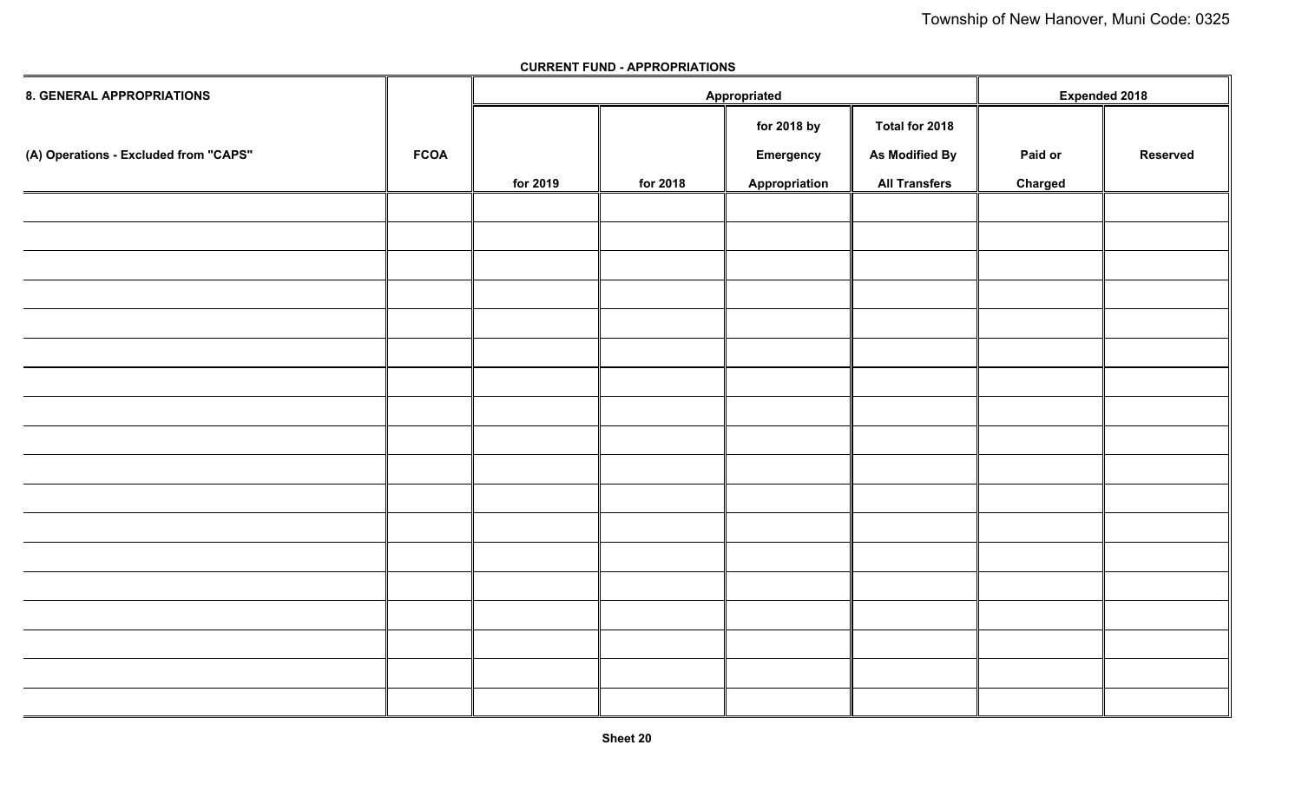| <b>8. GENERAL APPROPRIATIONS</b>      |             |          |          | Appropriated  |                      | <b>Expended 2018</b> |                 |
|---------------------------------------|-------------|----------|----------|---------------|----------------------|----------------------|-----------------|
|                                       |             |          |          | for 2018 by   | Total for 2018       |                      |                 |
| (A) Operations - Excluded from "CAPS" | <b>FCOA</b> |          |          | Emergency     | As Modified By       | Paid or              | <b>Reserved</b> |
|                                       |             | for 2019 | for 2018 | Appropriation | <b>All Transfers</b> | Charged              |                 |
|                                       |             |          |          |               |                      |                      |                 |
|                                       |             |          |          |               |                      |                      |                 |
|                                       |             |          |          |               |                      |                      |                 |
|                                       |             |          |          |               |                      |                      |                 |
|                                       |             |          |          |               |                      |                      |                 |
|                                       |             |          |          |               |                      |                      |                 |
|                                       |             |          |          |               |                      |                      |                 |
|                                       |             |          |          |               |                      |                      |                 |
|                                       |             |          |          |               |                      |                      |                 |
|                                       |             |          |          |               |                      |                      |                 |
|                                       |             |          |          |               |                      |                      |                 |
|                                       |             |          |          |               |                      |                      |                 |
|                                       |             |          |          |               |                      |                      |                 |
|                                       |             |          |          |               |                      |                      |                 |
|                                       |             |          |          |               |                      |                      |                 |
|                                       |             |          |          |               |                      |                      |                 |
|                                       |             |          |          |               |                      |                      |                 |
|                                       |             |          |          |               |                      |                      |                 |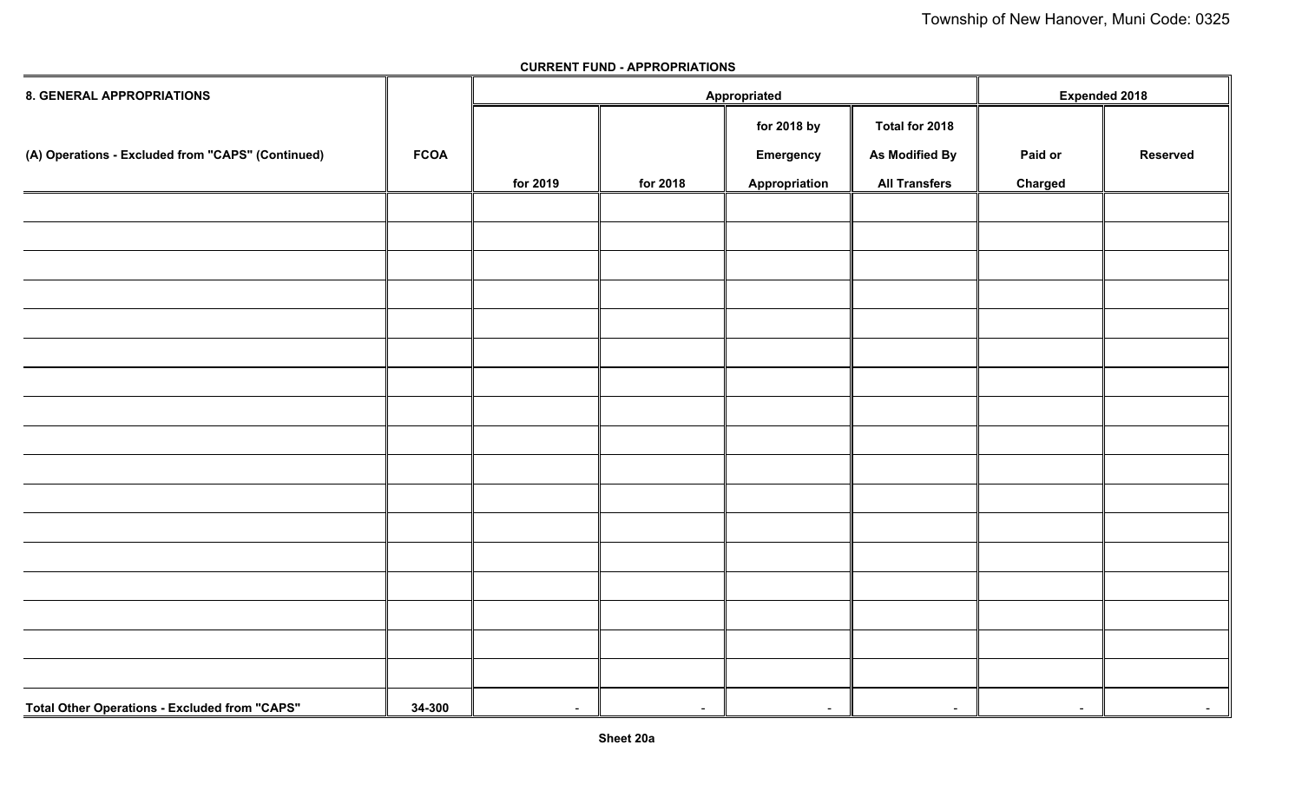| <b>8. GENERAL APPROPRIATIONS</b>                     |             |          |          | Appropriated     |                          | <b>Expended 2018</b> |                 |
|------------------------------------------------------|-------------|----------|----------|------------------|--------------------------|----------------------|-----------------|
|                                                      |             |          |          | for 2018 by      | Total for 2018           |                      |                 |
| (A) Operations - Excluded from "CAPS" (Continued)    | <b>FCOA</b> |          |          | <b>Emergency</b> | As Modified By           | Paid or              | <b>Reserved</b> |
|                                                      |             | for 2019 | for 2018 | Appropriation    | <b>All Transfers</b>     | Charged              |                 |
|                                                      |             |          |          |                  |                          |                      |                 |
|                                                      |             |          |          |                  |                          |                      |                 |
|                                                      |             |          |          |                  |                          |                      |                 |
|                                                      |             |          |          |                  |                          |                      |                 |
|                                                      |             |          |          |                  |                          |                      |                 |
|                                                      |             |          |          |                  |                          |                      |                 |
|                                                      |             |          |          |                  |                          |                      |                 |
|                                                      |             |          |          |                  |                          |                      |                 |
|                                                      |             |          |          |                  |                          |                      |                 |
|                                                      |             |          |          |                  |                          |                      |                 |
|                                                      |             |          |          |                  |                          |                      |                 |
|                                                      |             |          |          |                  |                          |                      |                 |
|                                                      |             |          |          |                  |                          |                      |                 |
|                                                      |             |          |          |                  |                          |                      |                 |
|                                                      |             |          |          |                  |                          |                      |                 |
|                                                      |             |          |          |                  |                          |                      |                 |
|                                                      |             |          |          |                  |                          |                      |                 |
| <b>Total Other Operations - Excluded from "CAPS"</b> | 34-300      | $\sim$   | $\sim$   | $\sim$           | $\overline{\phantom{a}}$ | $\blacksquare$       | $\sim$          |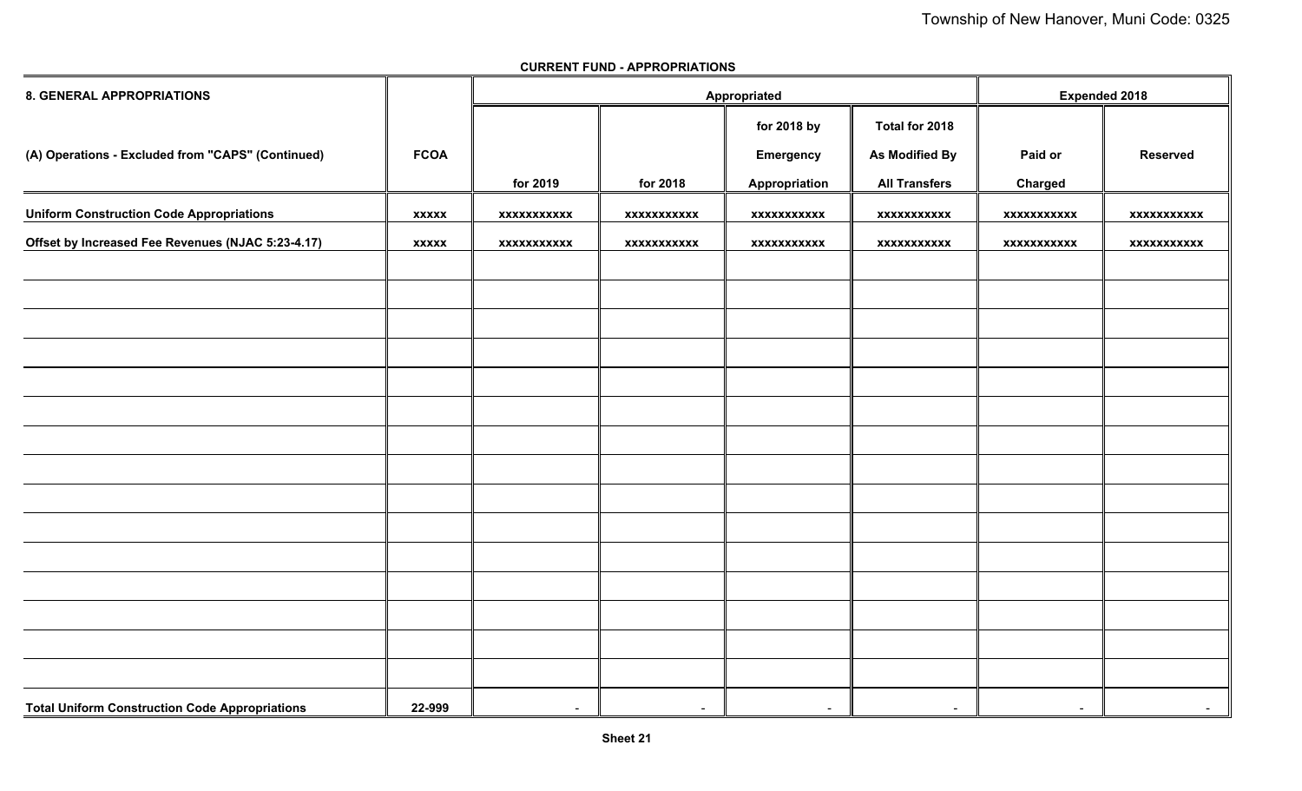| <b>8. GENERAL APPROPRIATIONS</b>                      |              |                    |             | Appropriated       |                      | <b>Expended 2018</b> |                    |  |
|-------------------------------------------------------|--------------|--------------------|-------------|--------------------|----------------------|----------------------|--------------------|--|
|                                                       |              |                    |             | for 2018 by        | Total for 2018       |                      |                    |  |
| (A) Operations - Excluded from "CAPS" (Continued)     | <b>FCOA</b>  |                    |             | <b>Emergency</b>   | As Modified By       | Paid or              | <b>Reserved</b>    |  |
|                                                       |              | for 2019           | for 2018    | Appropriation      | <b>All Transfers</b> | Charged              |                    |  |
| <b>Uniform Construction Code Appropriations</b>       | <b>XXXXX</b> | <b>XXXXXXXXXXX</b> | xxxxxxxxxxx | <b>XXXXXXXXXXX</b> | xxxxxxxxxxx          | <b>XXXXXXXXXXX</b>   | <b>XXXXXXXXXXX</b> |  |
| Offset by Increased Fee Revenues (NJAC 5:23-4.17)     | <b>XXXXX</b> | <b>XXXXXXXXXXX</b> | xxxxxxxxxxx | xxxxxxxxxxx        | xxxxxxxxxxx          | xxxxxxxxxxx          | xxxxxxxxxxx        |  |
|                                                       |              |                    |             |                    |                      |                      |                    |  |
|                                                       |              |                    |             |                    |                      |                      |                    |  |
|                                                       |              |                    |             |                    |                      |                      |                    |  |
|                                                       |              |                    |             |                    |                      |                      |                    |  |
|                                                       |              |                    |             |                    |                      |                      |                    |  |
|                                                       |              |                    |             |                    |                      |                      |                    |  |
|                                                       |              |                    |             |                    |                      |                      |                    |  |
|                                                       |              |                    |             |                    |                      |                      |                    |  |
|                                                       |              |                    |             |                    |                      |                      |                    |  |
|                                                       |              |                    |             |                    |                      |                      |                    |  |
|                                                       |              |                    |             |                    |                      |                      |                    |  |
|                                                       |              |                    |             |                    |                      |                      |                    |  |
|                                                       |              |                    |             |                    |                      |                      |                    |  |
|                                                       |              |                    |             |                    |                      |                      |                    |  |
|                                                       |              |                    |             |                    |                      |                      |                    |  |
| <b>Total Uniform Construction Code Appropriations</b> | 22-999       | $\sim$             | $\sim$      | $\sim$             | $\sim$               | $\sim$               | $\sim$             |  |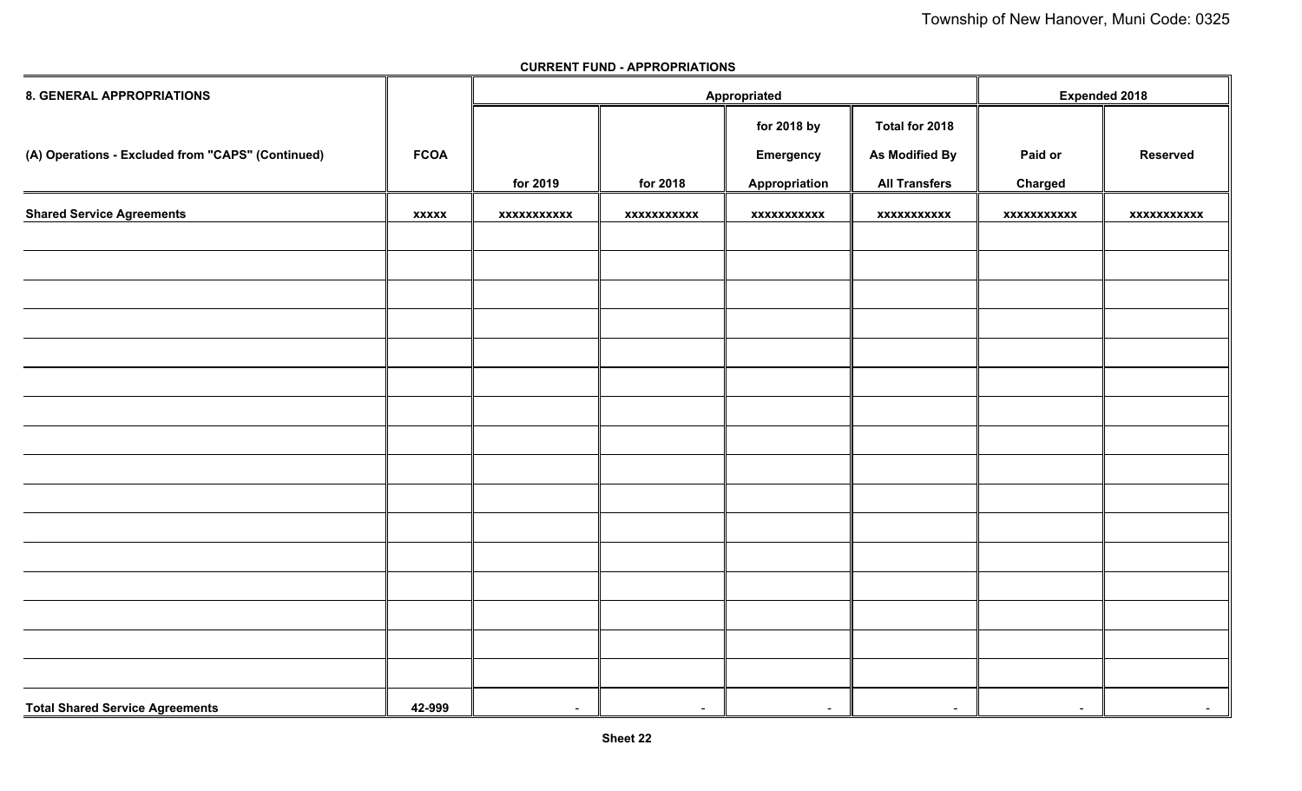| <b>8. GENERAL APPROPRIATIONS</b>                  |              |                    |                          | Appropriated             |                      | <b>Expended 2018</b>     |                 |
|---------------------------------------------------|--------------|--------------------|--------------------------|--------------------------|----------------------|--------------------------|-----------------|
|                                                   |              |                    |                          | for 2018 by              | Total for 2018       |                          |                 |
| (A) Operations - Excluded from "CAPS" (Continued) | <b>FCOA</b>  |                    |                          | <b>Emergency</b>         | As Modified By       | Paid or                  | <b>Reserved</b> |
|                                                   |              | for 2019           | for 2018                 | Appropriation            | <b>All Transfers</b> | Charged                  |                 |
| <b>Shared Service Agreements</b>                  | <b>XXXXX</b> | <b>XXXXXXXXXXX</b> | xxxxxxxxxxx              | XXXXXXXXXXX              | <b>XXXXXXXXXXX</b>   | <b>XXXXXXXXXXX</b>       | xxxxxxxxxxx     |
|                                                   |              |                    |                          |                          |                      |                          |                 |
|                                                   |              |                    |                          |                          |                      |                          |                 |
|                                                   |              |                    |                          |                          |                      |                          |                 |
|                                                   |              |                    |                          |                          |                      |                          |                 |
|                                                   |              |                    |                          |                          |                      |                          |                 |
|                                                   |              |                    |                          |                          |                      |                          |                 |
|                                                   |              |                    |                          |                          |                      |                          |                 |
|                                                   |              |                    |                          |                          |                      |                          |                 |
|                                                   |              |                    |                          |                          |                      |                          |                 |
|                                                   |              |                    |                          |                          |                      |                          |                 |
|                                                   |              |                    |                          |                          |                      |                          |                 |
|                                                   |              |                    |                          |                          |                      |                          |                 |
|                                                   |              |                    |                          |                          |                      |                          |                 |
|                                                   |              |                    |                          |                          |                      |                          |                 |
|                                                   |              |                    |                          |                          |                      |                          |                 |
|                                                   |              |                    |                          |                          |                      |                          |                 |
| <b>Total Shared Service Agreements</b>            | 42-999       | $\sim$             | $\overline{\phantom{0}}$ | $\overline{\phantom{a}}$ | $\sim$               | $\overline{\phantom{0}}$ | $\sim$          |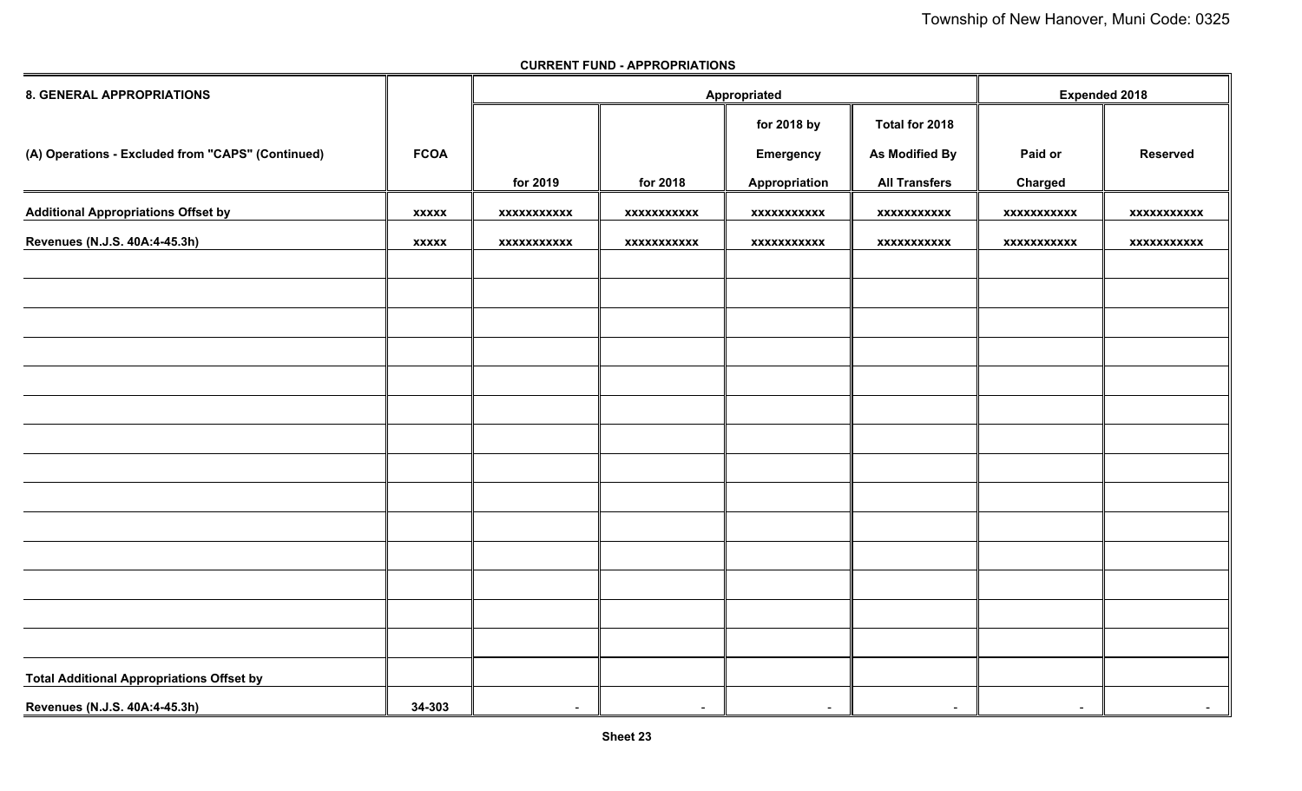| 8. GENERAL APPROPRIATIONS                         |              |                          | Appropriated       | <b>Expended 2018</b>     |                      |                    |                    |
|---------------------------------------------------|--------------|--------------------------|--------------------|--------------------------|----------------------|--------------------|--------------------|
|                                                   |              |                          |                    | for 2018 by              | Total for 2018       |                    |                    |
| (A) Operations - Excluded from "CAPS" (Continued) | <b>FCOA</b>  |                          |                    | <b>Emergency</b>         | As Modified By       | Paid or            | <b>Reserved</b>    |
|                                                   |              | for 2019                 | for 2018           | Appropriation            | <b>All Transfers</b> | <b>Charged</b>     |                    |
| <b>Additional Appropriations Offset by</b>        | <b>XXXXX</b> | <b>XXXXXXXXXXX</b>       | <b>XXXXXXXXXXX</b> | XXXXXXXXXXX              | <b>XXXXXXXXXXX</b>   | <b>XXXXXXXXXXX</b> | <b>XXXXXXXXXXX</b> |
| Revenues (N.J.S. 40A:4-45.3h)                     | <b>XXXXX</b> | <b>XXXXXXXXXXX</b>       | XXXXXXXXXXX        | xxxxxxxxxxx              | xxxxxxxxxxx          | <b>XXXXXXXXXXX</b> | XXXXXXXXXXX        |
|                                                   |              |                          |                    |                          |                      |                    |                    |
|                                                   |              |                          |                    |                          |                      |                    |                    |
|                                                   |              |                          |                    |                          |                      |                    |                    |
|                                                   |              |                          |                    |                          |                      |                    |                    |
|                                                   |              |                          |                    |                          |                      |                    |                    |
|                                                   |              |                          |                    |                          |                      |                    |                    |
|                                                   |              |                          |                    |                          |                      |                    |                    |
|                                                   |              |                          |                    |                          |                      |                    |                    |
|                                                   |              |                          |                    |                          |                      |                    |                    |
|                                                   |              |                          |                    |                          |                      |                    |                    |
|                                                   |              |                          |                    |                          |                      |                    |                    |
|                                                   |              |                          |                    |                          |                      |                    |                    |
|                                                   |              |                          |                    |                          |                      |                    |                    |
|                                                   |              |                          |                    |                          |                      |                    |                    |
| <b>Total Additional Appropriations Offset by</b>  |              |                          |                    |                          |                      |                    |                    |
| Revenues (N.J.S. 40A:4-45.3h)                     | 34-303       | $\overline{\phantom{0}}$ | $\sim$             | $\overline{\phantom{a}}$ | $\sim$               | $\sim$             | $\sim$             |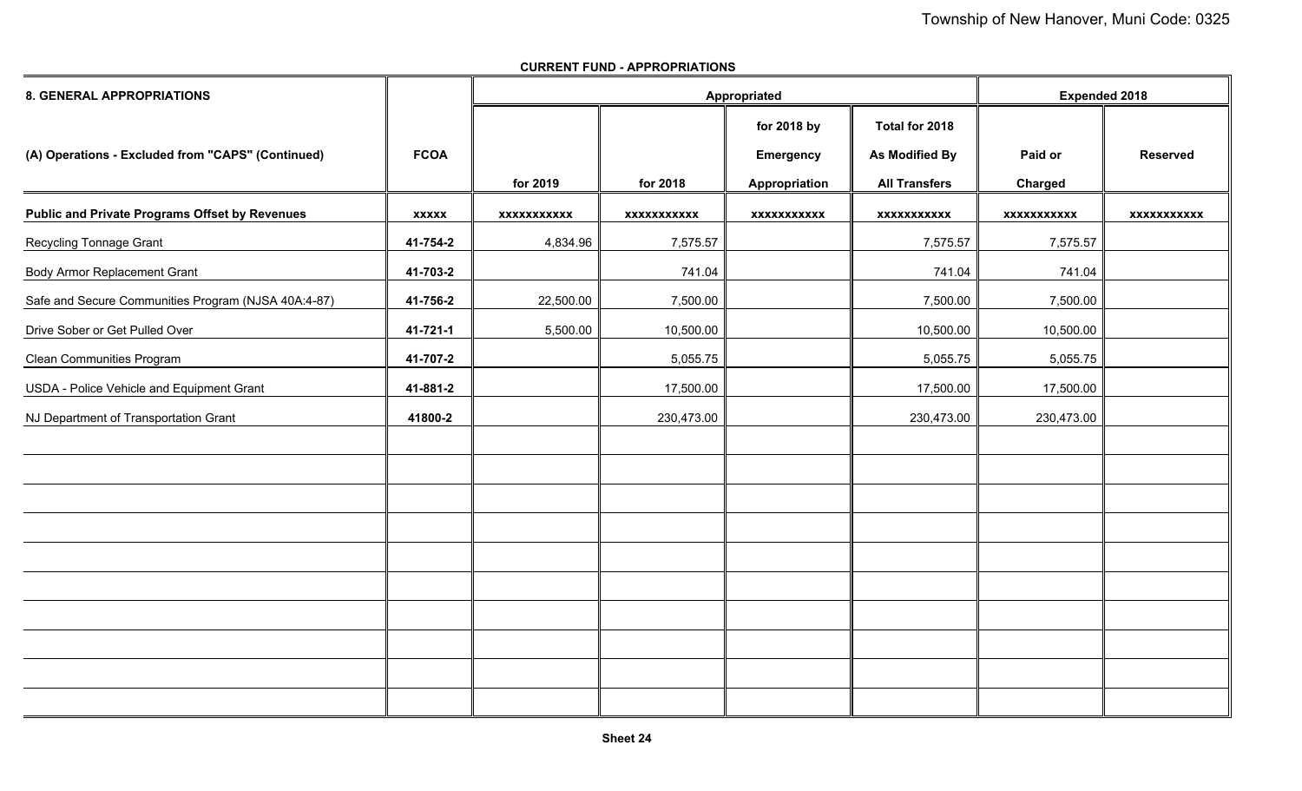| <b>8. GENERAL APPROPRIATIONS</b>                      |              |                    |                    | Appropriated                                     |                                                                 | <b>Expended 2018</b>      |                    |
|-------------------------------------------------------|--------------|--------------------|--------------------|--------------------------------------------------|-----------------------------------------------------------------|---------------------------|--------------------|
| (A) Operations - Excluded from "CAPS" (Continued)     | <b>FCOA</b>  | for 2019           | for 2018           | for 2018 by<br><b>Emergency</b><br>Appropriation | Total for 2018<br><b>As Modified By</b><br><b>All Transfers</b> | Paid or<br><b>Charged</b> | <b>Reserved</b>    |
| <b>Public and Private Programs Offset by Revenues</b> | <b>XXXXX</b> | <b>XXXXXXXXXXX</b> | <b>XXXXXXXXXXX</b> | <b>XXXXXXXXXXX</b>                               | <b>XXXXXXXXXXX</b>                                              | <b>XXXXXXXXXXX</b>        | <b>XXXXXXXXXXX</b> |
| Recycling Tonnage Grant                               | 41-754-2     | 4,834.96           | 7,575.57           |                                                  | 7,575.57                                                        | 7,575.57                  |                    |
| <b>Body Armor Replacement Grant</b>                   | 41-703-2     |                    | 741.04             |                                                  | 741.04                                                          | 741.04                    |                    |
| Safe and Secure Communities Program (NJSA 40A:4-87)   | 41-756-2     | 22,500.00          | 7,500.00           |                                                  | 7,500.00                                                        | 7,500.00                  |                    |
| Drive Sober or Get Pulled Over                        | 41-721-1     | 5,500.00           | 10,500.00          |                                                  | 10,500.00                                                       | 10,500.00                 |                    |
| <b>Clean Communities Program</b>                      | 41-707-2     |                    | 5,055.75           |                                                  | 5,055.75                                                        | 5,055.75                  |                    |
| USDA - Police Vehicle and Equipment Grant             | 41-881-2     |                    | 17,500.00          |                                                  | 17,500.00                                                       | 17,500.00                 |                    |
| NJ Department of Transportation Grant                 | 41800-2      |                    | 230,473.00         |                                                  | 230,473.00                                                      | 230,473.00                |                    |
|                                                       |              |                    |                    |                                                  |                                                                 |                           |                    |
|                                                       |              |                    |                    |                                                  |                                                                 |                           |                    |
|                                                       |              |                    |                    |                                                  |                                                                 |                           |                    |
|                                                       |              |                    |                    |                                                  |                                                                 |                           |                    |
|                                                       |              |                    |                    |                                                  |                                                                 |                           |                    |
|                                                       |              |                    |                    |                                                  |                                                                 |                           |                    |
|                                                       |              |                    |                    |                                                  |                                                                 |                           |                    |
|                                                       |              |                    |                    |                                                  |                                                                 |                           |                    |
|                                                       |              |                    |                    |                                                  |                                                                 |                           |                    |
|                                                       |              |                    |                    |                                                  |                                                                 |                           |                    |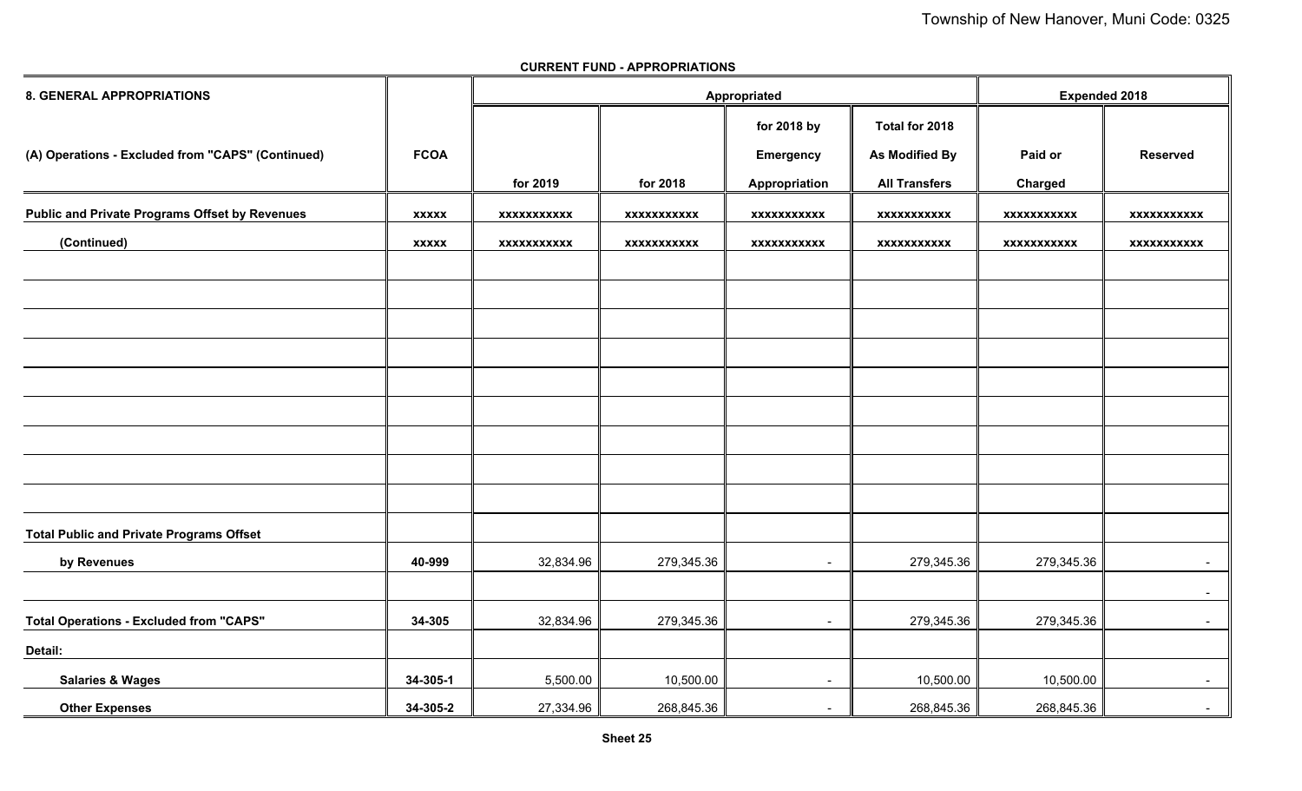| <b>8. GENERAL APPROPRIATIONS</b>                      |              |                    | Appropriated       |                          | <b>Expended 2018</b>  |                    |                    |
|-------------------------------------------------------|--------------|--------------------|--------------------|--------------------------|-----------------------|--------------------|--------------------|
|                                                       |              |                    |                    | for 2018 by              | Total for 2018        |                    |                    |
| (A) Operations - Excluded from "CAPS" (Continued)     | <b>FCOA</b>  |                    |                    | <b>Emergency</b>         | <b>As Modified By</b> | Paid or            | <b>Reserved</b>    |
|                                                       |              | for 2019           | for 2018           | Appropriation            | <b>All Transfers</b>  | Charged            |                    |
| <b>Public and Private Programs Offset by Revenues</b> | <b>XXXXX</b> | <b>XXXXXXXXXXX</b> | <b>XXXXXXXXXXX</b> | <b>XXXXXXXXXXX</b>       | <b>XXXXXXXXXXX</b>    | <b>XXXXXXXXXXX</b> | <b>XXXXXXXXXXX</b> |
| (Continued)                                           | <b>XXXXX</b> | <b>XXXXXXXXXXX</b> | <b>XXXXXXXXXXX</b> | xxxxxxxxxxx              | <b>XXXXXXXXXXX</b>    | <b>XXXXXXXXXXX</b> | <b>XXXXXXXXXXX</b> |
|                                                       |              |                    |                    |                          |                       |                    |                    |
|                                                       |              |                    |                    |                          |                       |                    |                    |
|                                                       |              |                    |                    |                          |                       |                    |                    |
|                                                       |              |                    |                    |                          |                       |                    |                    |
|                                                       |              |                    |                    |                          |                       |                    |                    |
|                                                       |              |                    |                    |                          |                       |                    |                    |
|                                                       |              |                    |                    |                          |                       |                    |                    |
|                                                       |              |                    |                    |                          |                       |                    |                    |
|                                                       |              |                    |                    |                          |                       |                    |                    |
| <b>Total Public and Private Programs Offset</b>       |              |                    |                    |                          |                       |                    |                    |
| by Revenues                                           | 40-999       | 32,834.96          | 279,345.36         | $\overline{\phantom{a}}$ | 279,345.36            | 279,345.36         | $\sim$             |
|                                                       |              |                    |                    |                          |                       |                    | $\sim$             |
| <b>Total Operations - Excluded from "CAPS"</b>        | 34-305       | 32,834.96          | 279,345.36         | $\blacksquare$           | 279,345.36            | 279,345.36         | $\sim 100$         |
| Detail:                                               |              |                    |                    |                          |                       |                    |                    |
| <b>Salaries &amp; Wages</b>                           | 34-305-1     | 5,500.00           | 10,500.00          | $\blacksquare$           | 10,500.00             | 10,500.00          | $\sim$             |
| <b>Other Expenses</b>                                 | 34-305-2     | 27,334.96          | 268,845.36         | -                        | 268,845.36            | 268,845.36         | $\sim$             |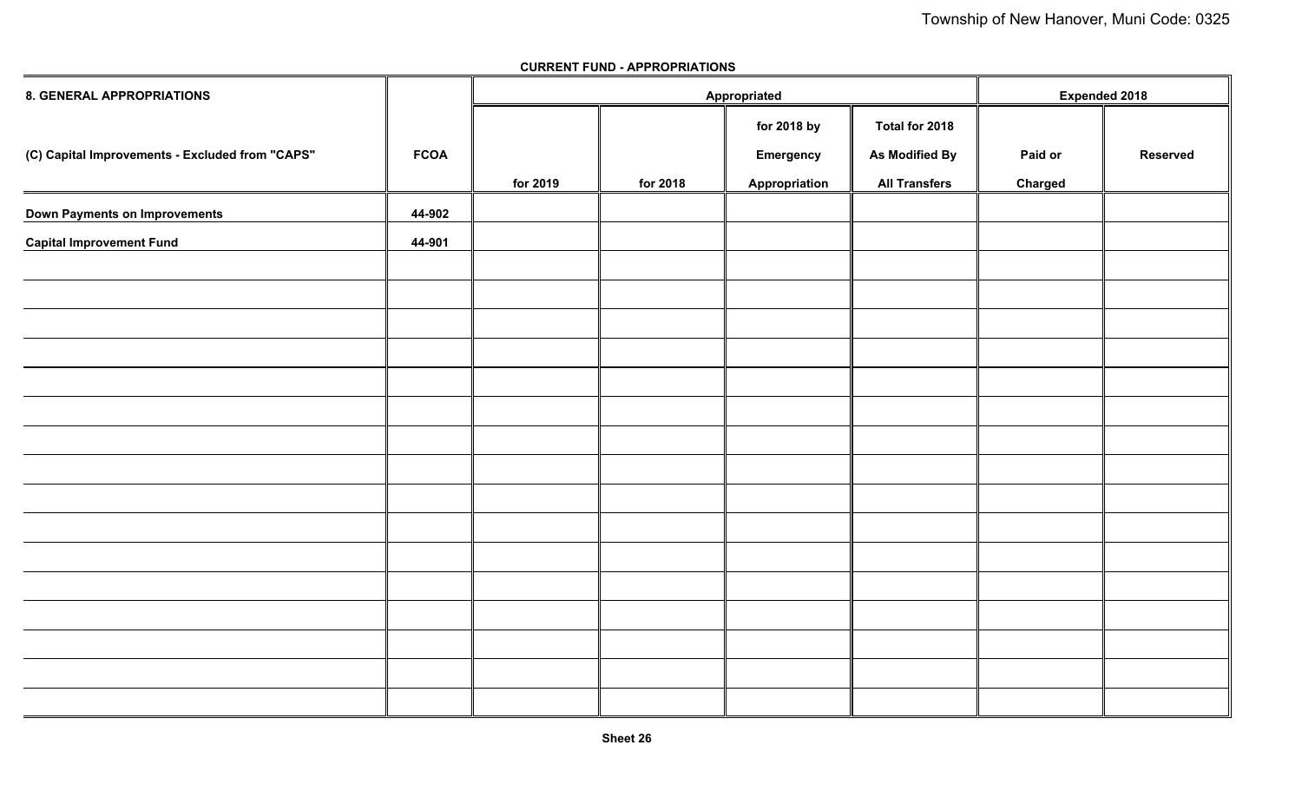| 8. GENERAL APPROPRIATIONS                       |             |          | Appropriated |                  | <b>Expended 2018</b> |         |                 |
|-------------------------------------------------|-------------|----------|--------------|------------------|----------------------|---------|-----------------|
|                                                 |             |          |              | for 2018 by      | Total for 2018       |         |                 |
| (C) Capital Improvements - Excluded from "CAPS" | <b>FCOA</b> |          |              | <b>Emergency</b> | As Modified By       | Paid or | <b>Reserved</b> |
|                                                 |             | for 2019 | for 2018     | Appropriation    | <b>All Transfers</b> | Charged |                 |
| Down Payments on Improvements                   | 44-902      |          |              |                  |                      |         |                 |
| <b>Capital Improvement Fund</b>                 | 44-901      |          |              |                  |                      |         |                 |
|                                                 |             |          |              |                  |                      |         |                 |
|                                                 |             |          |              |                  |                      |         |                 |
|                                                 |             |          |              |                  |                      |         |                 |
|                                                 |             |          |              |                  |                      |         |                 |
|                                                 |             |          |              |                  |                      |         |                 |
|                                                 |             |          |              |                  |                      |         |                 |
|                                                 |             |          |              |                  |                      |         |                 |
|                                                 |             |          |              |                  |                      |         |                 |
|                                                 |             |          |              |                  |                      |         |                 |
|                                                 |             |          |              |                  |                      |         |                 |
|                                                 |             |          |              |                  |                      |         |                 |
|                                                 |             |          |              |                  |                      |         |                 |
|                                                 |             |          |              |                  |                      |         |                 |
|                                                 |             |          |              |                  |                      |         |                 |
|                                                 |             |          |              |                  |                      |         |                 |
|                                                 |             |          |              |                  |                      |         |                 |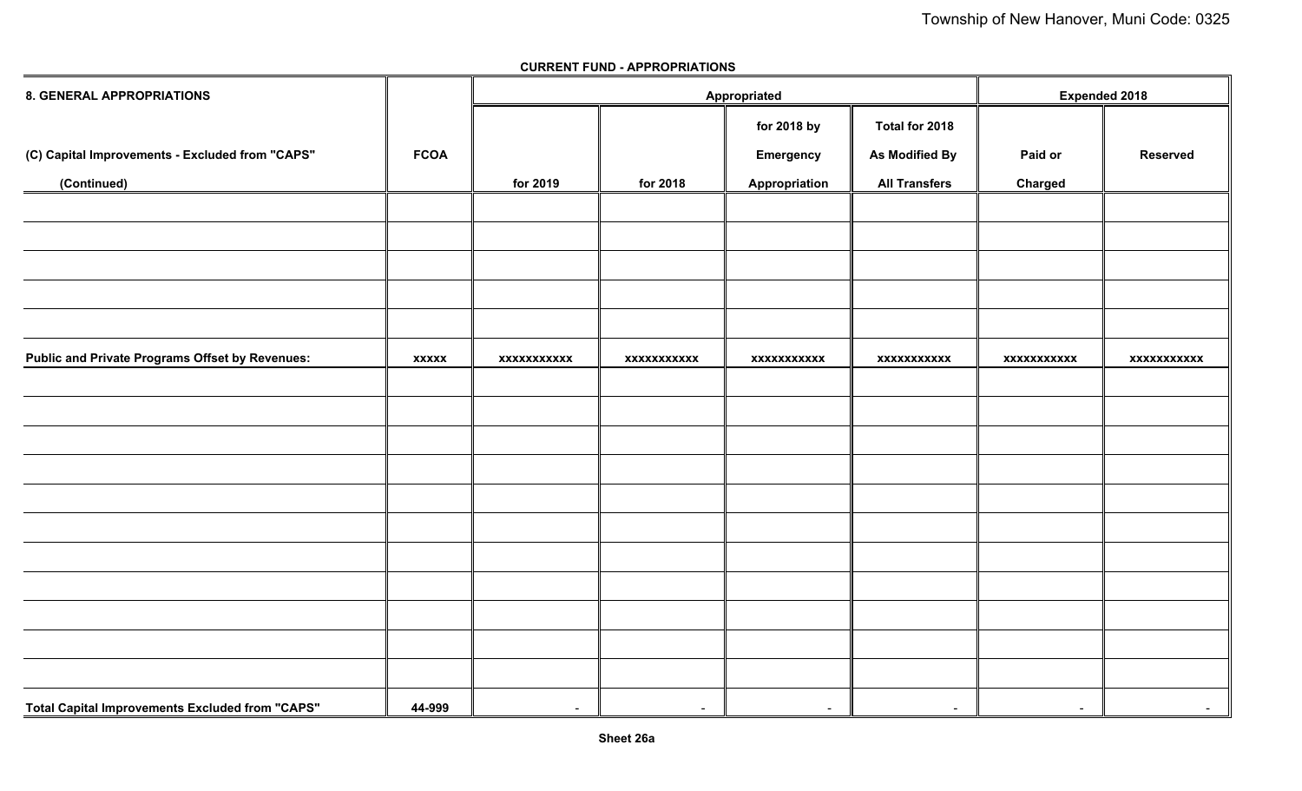| <b>8. GENERAL APPROPRIATIONS</b>                       |              |                          | Appropriated |                    | <b>Expended 2018</b> |             |                 |
|--------------------------------------------------------|--------------|--------------------------|--------------|--------------------|----------------------|-------------|-----------------|
|                                                        |              |                          |              | for 2018 by        | Total for 2018       |             |                 |
| (C) Capital Improvements - Excluded from "CAPS"        | <b>FCOA</b>  |                          |              | <b>Emergency</b>   | As Modified By       | Paid or     | <b>Reserved</b> |
| (Continued)                                            |              | for 2019                 | for 2018     | Appropriation      | <b>All Transfers</b> | Charged     |                 |
|                                                        |              |                          |              |                    |                      |             |                 |
|                                                        |              |                          |              |                    |                      |             |                 |
|                                                        |              |                          |              |                    |                      |             |                 |
|                                                        |              |                          |              |                    |                      |             |                 |
|                                                        |              |                          |              |                    |                      |             |                 |
| <b>Public and Private Programs Offset by Revenues:</b> | <b>XXXXX</b> | xxxxxxxxxxx              | xxxxxxxxxxx  | <b>XXXXXXXXXXX</b> | xxxxxxxxxxx          | xxxxxxxxxxx | xxxxxxxxxxx     |
|                                                        |              |                          |              |                    |                      |             |                 |
|                                                        |              |                          |              |                    |                      |             |                 |
|                                                        |              |                          |              |                    |                      |             |                 |
|                                                        |              |                          |              |                    |                      |             |                 |
|                                                        |              |                          |              |                    |                      |             |                 |
|                                                        |              |                          |              |                    |                      |             |                 |
|                                                        |              |                          |              |                    |                      |             |                 |
|                                                        |              |                          |              |                    |                      |             |                 |
|                                                        |              |                          |              |                    |                      |             |                 |
|                                                        |              |                          |              |                    |                      |             |                 |
|                                                        |              |                          |              |                    |                      |             |                 |
| Total Capital Improvements Excluded from "CAPS"        | 44-999       | $\overline{\phantom{0}}$ | $\sim$       | $\sim$             | $\sim$               | $\sim$      | $\sim$          |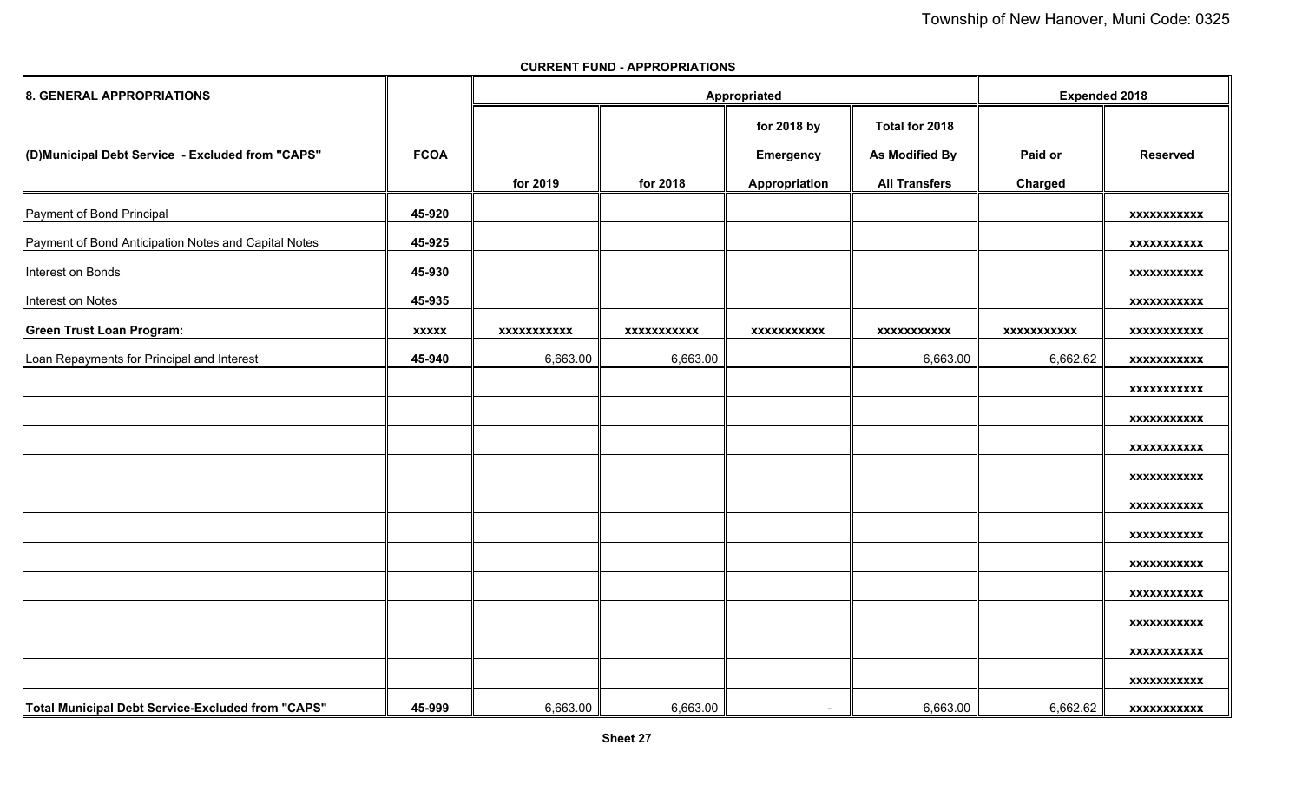| <b>8. GENERAL APPROPRIATIONS</b>                     |              |                    | Appropriated       |                          | <b>Expended 2018</b> |             |                    |
|------------------------------------------------------|--------------|--------------------|--------------------|--------------------------|----------------------|-------------|--------------------|
|                                                      |              |                    |                    | for 2018 by              | Total for 2018       |             |                    |
| (D)Municipal Debt Service - Excluded from "CAPS"     | <b>FCOA</b>  |                    |                    | <b>Emergency</b>         | As Modified By       | Paid or     | <b>Reserved</b>    |
|                                                      |              | for 2019           | for 2018           | Appropriation            | <b>All Transfers</b> | Charged     |                    |
| Payment of Bond Principal                            | 45-920       |                    |                    |                          |                      |             | <b>XXXXXXXXXXX</b> |
| Payment of Bond Anticipation Notes and Capital Notes | 45-925       |                    |                    |                          |                      |             | <b>XXXXXXXXXXX</b> |
| Interest on Bonds                                    | 45-930       |                    |                    |                          |                      |             | <b>XXXXXXXXXXX</b> |
| Interest on Notes                                    | 45-935       |                    |                    |                          |                      |             | <b>XXXXXXXXXXX</b> |
| <b>Green Trust Loan Program:</b>                     | <b>XXXXX</b> | <b>XXXXXXXXXXX</b> | <b>XXXXXXXXXXX</b> | <b>XXXXXXXXXXX</b>       | <b>XXXXXXXXXXX</b>   | xxxxxxxxxxx | <b>XXXXXXXXXXX</b> |
| Loan Repayments for Principal and Interest           | 45-940       | 6,663.00           | 6,663.00           |                          | 6,663.00             | 6,662.62    | <b>XXXXXXXXXXX</b> |
|                                                      |              |                    |                    |                          |                      |             | <b>XXXXXXXXXXX</b> |
|                                                      |              |                    |                    |                          |                      |             | XXXXXXXXXXX        |
|                                                      |              |                    |                    |                          |                      |             | <b>XXXXXXXXXXX</b> |
|                                                      |              |                    |                    |                          |                      |             | <b>XXXXXXXXXXX</b> |
|                                                      |              |                    |                    |                          |                      |             | <b>XXXXXXXXXXX</b> |
|                                                      |              |                    |                    |                          |                      |             | <b>XXXXXXXXXXX</b> |
|                                                      |              |                    |                    |                          |                      |             | xxxxxxxxxxx        |
|                                                      |              |                    |                    |                          |                      |             | <b>XXXXXXXXXXX</b> |
|                                                      |              |                    |                    |                          |                      |             | XXXXXXXXXXX        |
|                                                      |              |                    |                    |                          |                      |             | <b>XXXXXXXXXXX</b> |
|                                                      |              |                    |                    |                          |                      |             | <b>XXXXXXXXXXX</b> |
| Total Municipal Debt Service-Excluded from "CAPS"    | 45-999       | 6,663.00           | 6,663.00           | $\overline{\phantom{a}}$ | 6,663.00             | 6,662.62    | <b>XXXXXXXXXXX</b> |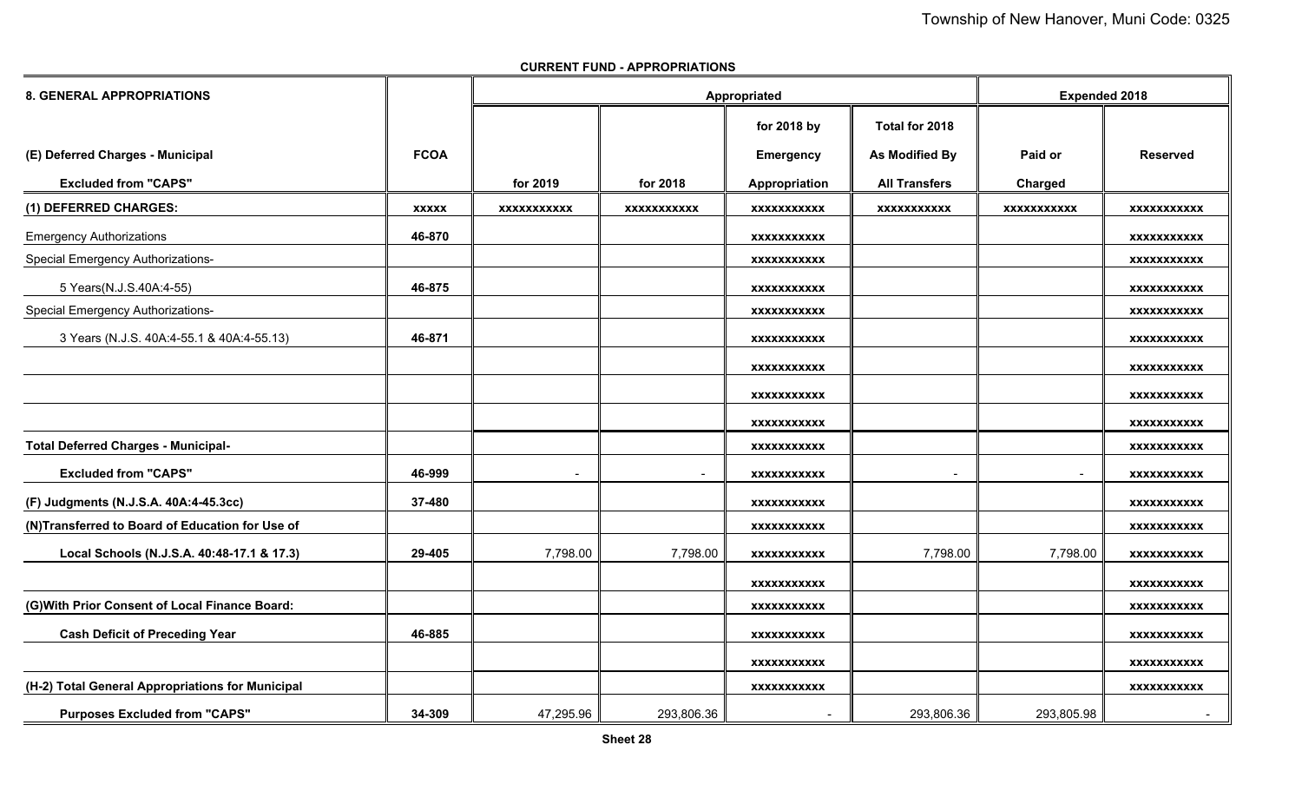| <b>8. GENERAL APPROPRIATIONS</b>                 |              |                          | Appropriated       |                    | <b>Expended 2018</b> |                    |                    |
|--------------------------------------------------|--------------|--------------------------|--------------------|--------------------|----------------------|--------------------|--------------------|
|                                                  |              |                          |                    | for 2018 by        | Total for 2018       |                    |                    |
| (E) Deferred Charges - Municipal                 | <b>FCOA</b>  |                          |                    | <b>Emergency</b>   | As Modified By       | Paid or            | <b>Reserved</b>    |
| <b>Excluded from "CAPS"</b>                      |              | for 2019                 | for 2018           | Appropriation      | <b>All Transfers</b> | <b>Charged</b>     |                    |
| (1) DEFERRED CHARGES:                            | <b>XXXXX</b> | <b>XXXXXXXXXXX</b>       | <b>XXXXXXXXXXX</b> | <b>XXXXXXXXXXX</b> | <b>XXXXXXXXXXX</b>   | <b>XXXXXXXXXXX</b> | <b>XXXXXXXXXXX</b> |
| <b>Emergency Authorizations</b>                  | 46-870       |                          |                    | XXXXXXXXXXX        |                      |                    | <b>XXXXXXXXXXX</b> |
| <b>Special Emergency Authorizations-</b>         |              |                          |                    | <b>XXXXXXXXXXX</b> |                      |                    | <b>XXXXXXXXXXX</b> |
| 5 Years(N.J.S.40A:4-55)                          | 46-875       |                          |                    | XXXXXXXXXXX        |                      |                    | <b>XXXXXXXXXXX</b> |
| <b>Special Emergency Authorizations-</b>         |              |                          |                    | <b>XXXXXXXXXXX</b> |                      |                    | <b>XXXXXXXXXXX</b> |
| 3 Years (N.J.S. 40A:4-55.1 & 40A:4-55.13)        | 46-871       |                          |                    | XXXXXXXXXXX        |                      |                    | <b>XXXXXXXXXXX</b> |
|                                                  |              |                          |                    | <b>XXXXXXXXXXX</b> |                      |                    | <b>XXXXXXXXXXX</b> |
|                                                  |              |                          |                    | <b>XXXXXXXXXXX</b> |                      |                    | <b>XXXXXXXXXXX</b> |
|                                                  |              |                          |                    | XXXXXXXXXXX        |                      |                    | <b>XXXXXXXXXXX</b> |
| <b>Total Deferred Charges - Municipal-</b>       |              |                          |                    | <b>XXXXXXXXXXX</b> |                      |                    | <b>XXXXXXXXXXX</b> |
| <b>Excluded from "CAPS"</b>                      | 46-999       | $\overline{\phantom{a}}$ |                    | <b>XXXXXXXXXXX</b> |                      |                    | <b>XXXXXXXXXXX</b> |
| (F) Judgments (N.J.S.A. 40A:4-45.3cc)            | 37-480       |                          |                    | <b>XXXXXXXXXXX</b> |                      |                    | <b>XXXXXXXXXXX</b> |
| (N)Transferred to Board of Education for Use of  |              |                          |                    | <b>XXXXXXXXXXX</b> |                      |                    | <b>XXXXXXXXXXX</b> |
| Local Schools (N.J.S.A. 40:48-17.1 & 17.3)       | 29-405       | 7,798.00                 | 7,798.00           | <b>XXXXXXXXXXX</b> | 7,798.00             | 7,798.00           | <b>XXXXXXXXXXX</b> |
|                                                  |              |                          |                    | XXXXXXXXXXX        |                      |                    | <b>XXXXXXXXXXX</b> |
| (G) With Prior Consent of Local Finance Board:   |              |                          |                    | <b>XXXXXXXXXXX</b> |                      |                    | <b>XXXXXXXXXXX</b> |
| <b>Cash Deficit of Preceding Year</b>            | 46-885       |                          |                    | XXXXXXXXXXX        |                      |                    | XXXXXXXXXXX        |
|                                                  |              |                          |                    | <b>XXXXXXXXXXX</b> |                      |                    | <b>XXXXXXXXXXX</b> |
| (H-2) Total General Appropriations for Municipal |              |                          |                    | <b>XXXXXXXXXXX</b> |                      |                    | <b>XXXXXXXXXXX</b> |
| <b>Purposes Excluded from "CAPS"</b>             | 34-309       | 47,295.96                | 293,806.36         |                    | 293,806.36           | 293,805.98         | $\sim$             |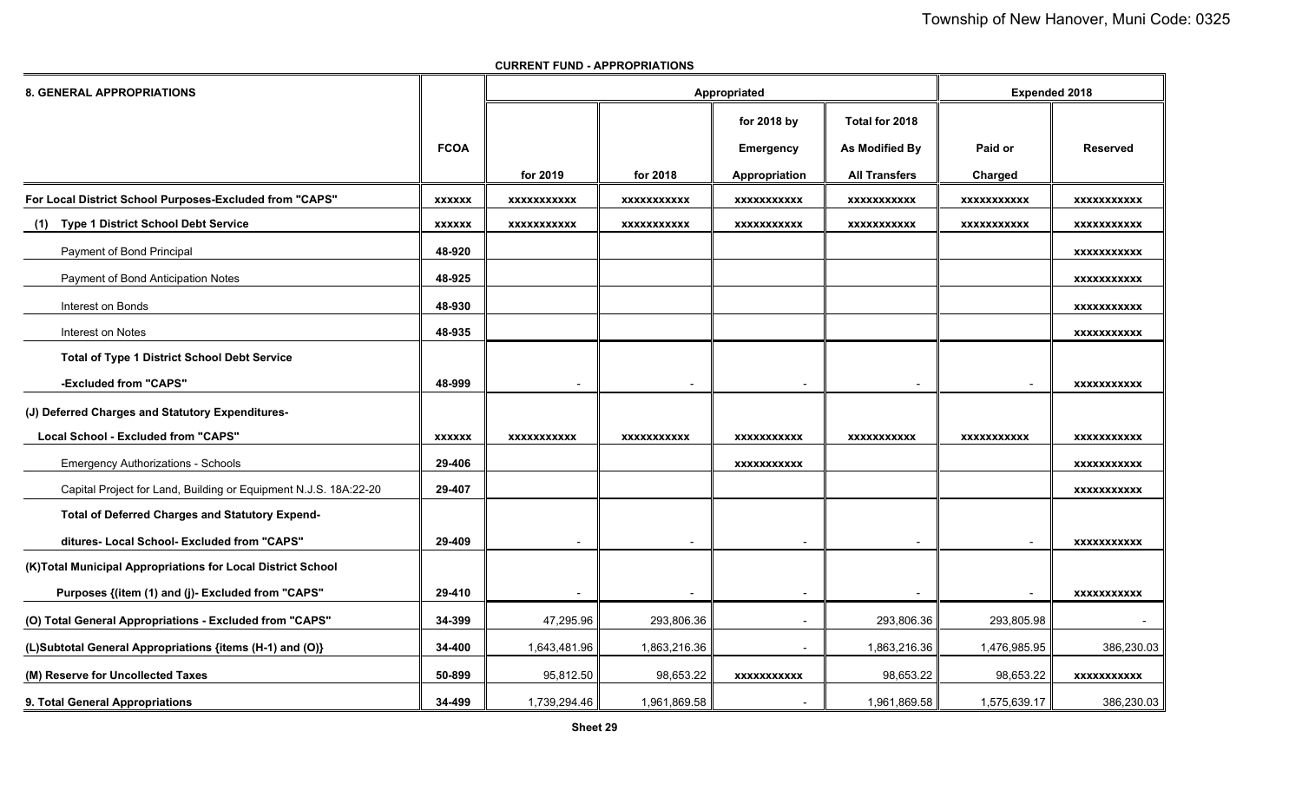| <b>8. GENERAL APPROPRIATIONS</b>                                 |               |                    |                    | Appropriated       |                       | <b>Expended 2018</b> |                    |
|------------------------------------------------------------------|---------------|--------------------|--------------------|--------------------|-----------------------|----------------------|--------------------|
|                                                                  |               |                    |                    | for 2018 by        | Total for 2018        |                      |                    |
|                                                                  | <b>FCOA</b>   |                    |                    | Emergency          | <b>As Modified By</b> | Paid or              | <b>Reserved</b>    |
|                                                                  |               | for 2019           | for 2018           | Appropriation      | <b>All Transfers</b>  | Charged              |                    |
| For Local District School Purposes-Excluded from "CAPS"          | <b>XXXXXX</b> | <b>XXXXXXXXXXX</b> | <b>XXXXXXXXXXX</b> | <b>XXXXXXXXXXX</b> | <b>XXXXXXXXXXX</b>    | <b>XXXXXXXXXXX</b>   | <b>XXXXXXXXXXX</b> |
| <b>Type 1 District School Debt Service</b><br>(1)                | <b>XXXXXX</b> | <b>XXXXXXXXXXX</b> | <b>XXXXXXXXXXX</b> | XXXXXXXXXXX        | <b>XXXXXXXXXXX</b>    | <b>XXXXXXXXXXX</b>   | <b>XXXXXXXXXXX</b> |
| Payment of Bond Principal                                        | 48-920        |                    |                    |                    |                       |                      | <b>XXXXXXXXXXX</b> |
| Payment of Bond Anticipation Notes                               | 48-925        |                    |                    |                    |                       |                      | <b>XXXXXXXXXXX</b> |
| Interest on Bonds                                                | 48-930        |                    |                    |                    |                       |                      | <b>XXXXXXXXXXX</b> |
| Interest on Notes                                                | 48-935        |                    |                    |                    |                       |                      | <b>XXXXXXXXXXX</b> |
| <b>Total of Type 1 District School Debt Service</b>              |               |                    |                    |                    |                       |                      |                    |
| -Excluded from "CAPS"                                            | 48-999        |                    |                    |                    |                       |                      | <b>XXXXXXXXXXX</b> |
| (J) Deferred Charges and Statutory Expenditures-                 |               |                    |                    |                    |                       |                      |                    |
| Local School - Excluded from "CAPS"                              | <b>XXXXXX</b> | <b>XXXXXXXXXXX</b> | <b>XXXXXXXXXXX</b> | <b>XXXXXXXXXXX</b> | <b>XXXXXXXXXXX</b>    | <b>XXXXXXXXXXX</b>   | <b>XXXXXXXXXXX</b> |
| <b>Emergency Authorizations - Schools</b>                        | 29-406        |                    |                    | <b>XXXXXXXXXXX</b> |                       |                      | <b>XXXXXXXXXXX</b> |
| Capital Project for Land, Building or Equipment N.J.S. 18A:22-20 | 29-407        |                    |                    |                    |                       |                      | <b>XXXXXXXXXXX</b> |
| Total of Deferred Charges and Statutory Expend-                  |               |                    |                    |                    |                       |                      |                    |
| ditures- Local School- Excluded from "CAPS"                      | 29-409        |                    |                    |                    |                       |                      | <b>XXXXXXXXXXX</b> |
| (K)Total Municipal Appropriations for Local District School      |               |                    |                    |                    |                       |                      |                    |
| Purposes {(item (1) and (j)- Excluded from "CAPS"                | 29-410        |                    |                    |                    |                       |                      | <b>XXXXXXXXXXX</b> |
| (O) Total General Appropriations - Excluded from "CAPS"          | 34-399        | 47,295.96          | 293,806.36         |                    | 293,806.36            | 293,805.98           |                    |
| (L)Subtotal General Appropriations {items (H-1) and (O)}         | 34-400        | 1,643,481.96       | 1,863,216.36       | $\blacksquare$     | 1,863,216.36          | 1,476,985.95         | 386,230.03         |
| (M) Reserve for Uncollected Taxes                                | 50-899        | 95,812.50          | 98,653.22          | XXXXXXXXXX         | 98,653.22             | 98,653.22            | <b>XXXXXXXXXXX</b> |
| 9. Total General Appropriations                                  | 34-499        | 1,739,294.46       | 1,961,869.58       |                    | 1,961,869.58          | 1,575,639.17         | 386,230.03         |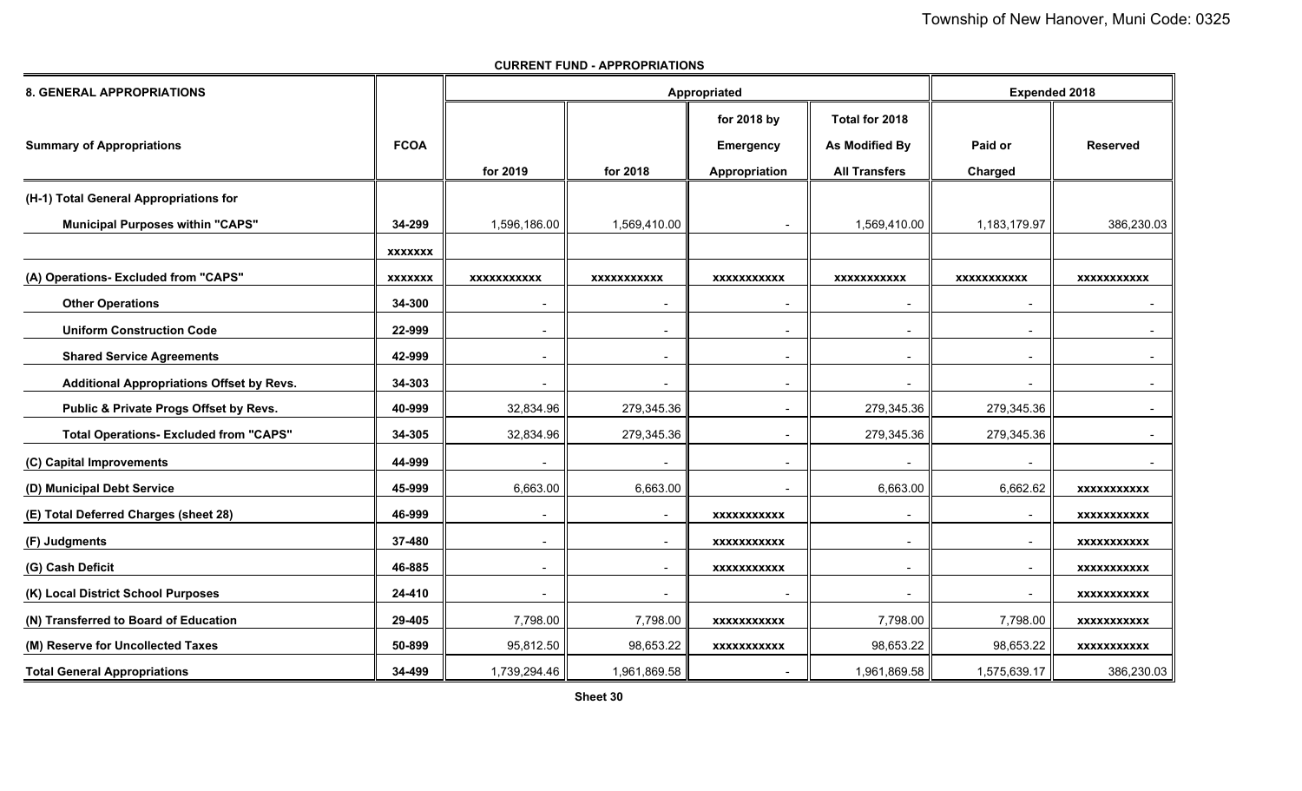| <b>8. GENERAL APPROPRIATIONS</b>                 |                |                          | Appropriated |                          | <b>Expended 2018</b>     |                          |                    |
|--------------------------------------------------|----------------|--------------------------|--------------|--------------------------|--------------------------|--------------------------|--------------------|
|                                                  |                |                          |              | for 2018 by              | Total for 2018           |                          |                    |
| <b>Summary of Appropriations</b>                 | <b>FCOA</b>    |                          |              | <b>Emergency</b>         | <b>As Modified By</b>    | Paid or                  | <b>Reserved</b>    |
|                                                  |                | for 2019                 | for 2018     | Appropriation            | <b>All Transfers</b>     | Charged                  |                    |
| (H-1) Total General Appropriations for           |                |                          |              |                          |                          |                          |                    |
| <b>Municipal Purposes within "CAPS"</b>          | 34-299         | 1,596,186.00             | 1,569,410.00 |                          | 1,569,410.00             | 1,183,179.97             | 386,230.03         |
|                                                  | <b>XXXXXXX</b> |                          |              |                          |                          |                          |                    |
| (A) Operations- Excluded from "CAPS"             | <b>XXXXXXX</b> | XXXXXXXXXX               | XXXXXXXXXX   | <b>XXXXXXXXXXX</b>       | <b>XXXXXXXXXXX</b>       | XXXXXXXXXXX              | XXXXXXXXXXX        |
| <b>Other Operations</b>                          | 34-300         |                          |              |                          |                          |                          | $\blacksquare$     |
| <b>Uniform Construction Code</b>                 | 22-999         | $\overline{\phantom{0}}$ | $\sim$       | $\blacksquare$           | $\overline{\phantom{0}}$ | $\blacksquare$           | $\sim$             |
| <b>Shared Service Agreements</b>                 | 42-999         |                          |              |                          |                          |                          |                    |
| <b>Additional Appropriations Offset by Revs.</b> | 34-303         |                          |              |                          |                          |                          | $\blacksquare$     |
| Public & Private Progs Offset by Revs.           | 40-999         | 32,834.96                | 279,345.36   |                          | 279,345.36               | 279,345.36               | $\sim$             |
| <b>Total Operations- Excluded from "CAPS"</b>    | 34-305         | 32,834.96                | 279,345.36   | $\overline{\phantom{a}}$ | 279,345.36               | 279,345.36               | $\blacksquare$     |
| (C) Capital Improvements                         | 44-999         |                          |              |                          |                          |                          |                    |
| (D) Municipal Debt Service                       | 45-999         | 6,663.00                 | 6,663.00     |                          | 6,663.00                 | 6,662.62                 | XXXXXXXXXXX        |
| (E) Total Deferred Charges (sheet 28)            | 46-999         | $\blacksquare$           |              | <b>XXXXXXXXXXX</b>       |                          | $\overline{\phantom{a}}$ | <b>XXXXXXXXXXX</b> |
| (F) Judgments                                    | 37-480         |                          |              | <b>XXXXXXXXXXX</b>       |                          |                          | <b>XXXXXXXXXXX</b> |
| (G) Cash Deficit                                 | 46-885         | $\blacksquare$           |              | <b>XXXXXXXXXXX</b>       |                          | $\blacksquare$           | <b>XXXXXXXXXXX</b> |
| (K) Local District School Purposes               | 24-410         | $\overline{\phantom{a}}$ |              |                          |                          | $\overline{\phantom{a}}$ | XXXXXXXXXXX        |
| (N) Transferred to Board of Education            | 29-405         | 7,798.00                 | 7,798.00     | <b>XXXXXXXXXXX</b>       | 7,798.00                 | 7,798.00                 | <b>XXXXXXXXXXX</b> |
| (M) Reserve for Uncollected Taxes                | 50-899         | 95,812.50                | 98,653.22    | <b>XXXXXXXXXXX</b>       | 98,653.22                | 98,653.22                | XXXXXXXXXXX        |
| <b>Total General Appropriations</b>              | 34-499         | 1,739,294.46             | 1,961,869.58 |                          | 1,961,869.58             | 1,575,639.17             | 386,230.03         |

**CURRENT FUND - APPROPRIATIONS**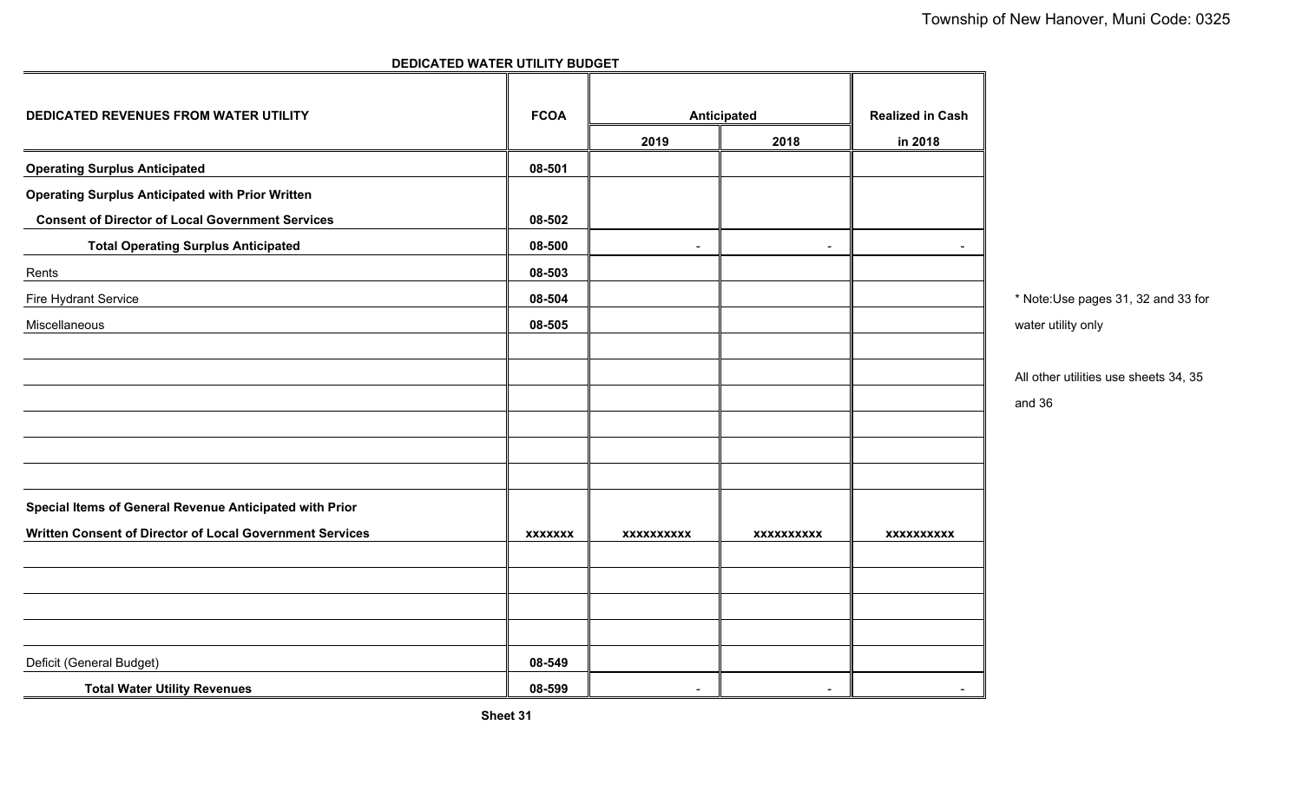# **DEDICATED WATER UTILITY BUDGET**

| DEDICATED REVENUES FROM WATER UTILITY                    | <b>FCOA</b>    |                          | Anticipated       | <b>Realized in Cash</b> |                                       |
|----------------------------------------------------------|----------------|--------------------------|-------------------|-------------------------|---------------------------------------|
|                                                          |                | 2019                     | 2018              | in 2018                 |                                       |
| <b>Operating Surplus Anticipated</b>                     | 08-501         |                          |                   |                         |                                       |
| <b>Operating Surplus Anticipated with Prior Written</b>  |                |                          |                   |                         |                                       |
| <b>Consent of Director of Local Government Services</b>  | 08-502         |                          |                   |                         |                                       |
| <b>Total Operating Surplus Anticipated</b>               | 08-500         | $\blacksquare$           | ٠                 | $\blacksquare$          |                                       |
| Rents                                                    | 08-503         |                          |                   |                         |                                       |
| Fire Hydrant Service                                     | 08-504         |                          |                   |                         | * Note:Use pages 31, 32 and 33 for    |
| Miscellaneous                                            | 08-505         |                          |                   |                         | water utility only                    |
|                                                          |                |                          |                   |                         |                                       |
|                                                          |                |                          |                   |                         | All other utilities use sheets 34, 35 |
|                                                          |                |                          |                   |                         | and 36                                |
|                                                          |                |                          |                   |                         |                                       |
|                                                          |                |                          |                   |                         |                                       |
|                                                          |                |                          |                   |                         |                                       |
| Special Items of General Revenue Anticipated with Prior  |                |                          |                   |                         |                                       |
| Written Consent of Director of Local Government Services | <b>XXXXXXX</b> | <b>XXXXXXXXXX</b>        | <b>XXXXXXXXXX</b> | XXXXXXXXXX              |                                       |
|                                                          |                |                          |                   |                         |                                       |
|                                                          |                |                          |                   |                         |                                       |
|                                                          |                |                          |                   |                         |                                       |
|                                                          |                |                          |                   |                         |                                       |
| Deficit (General Budget)                                 | 08-549         |                          |                   |                         |                                       |
| <b>Total Water Utility Revenues</b>                      | 08-599         | $\overline{\phantom{a}}$ |                   | $\sim$                  |                                       |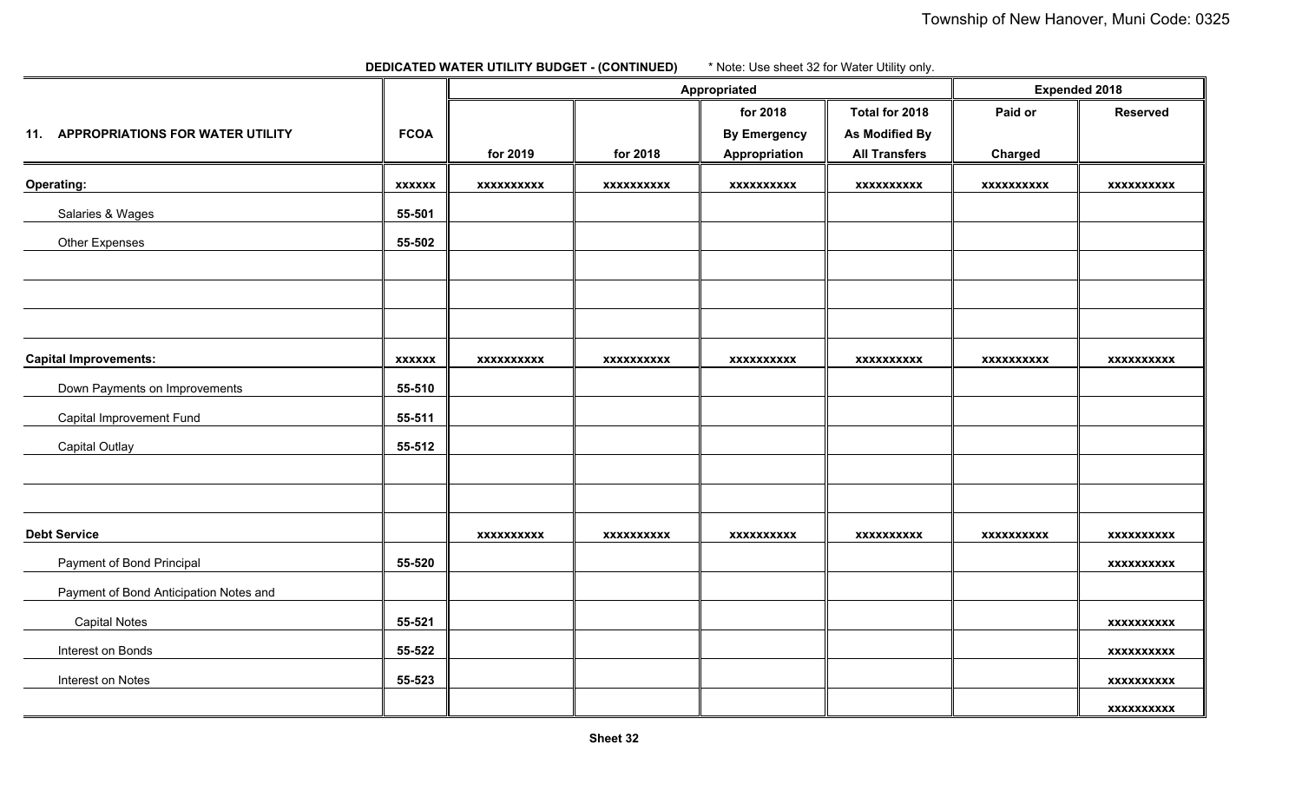**DEDICATED WATER UTILITY BUDGET - (CONTINUED)** \* Note: Use sheet 32 for Water Utility only.

|                                        |               |                   | Appropriated      |                     | <b>Expended 2018</b>  |                   |                   |
|----------------------------------------|---------------|-------------------|-------------------|---------------------|-----------------------|-------------------|-------------------|
|                                        |               |                   |                   | for 2018            | Total for 2018        | Paid or           | <b>Reserved</b>   |
| 11. APPROPRIATIONS FOR WATER UTILITY   | <b>FCOA</b>   |                   |                   | <b>By Emergency</b> | <b>As Modified By</b> |                   |                   |
|                                        |               | for 2019          | for 2018          | Appropriation       | <b>All Transfers</b>  | Charged           |                   |
| <b>Operating:</b>                      | <b>XXXXXX</b> | <b>XXXXXXXXXX</b> | <b>XXXXXXXXXX</b> | <b>XXXXXXXXXX</b>   | <b>XXXXXXXXXX</b>     | <b>XXXXXXXXXX</b> | <b>XXXXXXXXXX</b> |
| Salaries & Wages                       | 55-501        |                   |                   |                     |                       |                   |                   |
| Other Expenses                         | 55-502        |                   |                   |                     |                       |                   |                   |
|                                        |               |                   |                   |                     |                       |                   |                   |
|                                        |               |                   |                   |                     |                       |                   |                   |
|                                        |               |                   |                   |                     |                       |                   |                   |
| <b>Capital Improvements:</b>           | <b>XXXXXX</b> | <b>XXXXXXXXXX</b> | <b>XXXXXXXXXX</b> | <b>XXXXXXXXXX</b>   | <b>XXXXXXXXXX</b>     | <b>XXXXXXXXXX</b> | <b>XXXXXXXXXX</b> |
| Down Payments on Improvements          | 55-510        |                   |                   |                     |                       |                   |                   |
| Capital Improvement Fund               | 55-511        |                   |                   |                     |                       |                   |                   |
| <b>Capital Outlay</b>                  | 55-512        |                   |                   |                     |                       |                   |                   |
|                                        |               |                   |                   |                     |                       |                   |                   |
|                                        |               |                   |                   |                     |                       |                   |                   |
| <b>Debt Service</b>                    |               | <b>XXXXXXXXXX</b> | <b>XXXXXXXXXX</b> | <b>XXXXXXXXXX</b>   | <b>XXXXXXXXXX</b>     | <b>XXXXXXXXXX</b> | <b>XXXXXXXXXX</b> |
| Payment of Bond Principal              | 55-520        |                   |                   |                     |                       |                   | <b>XXXXXXXXXX</b> |
| Payment of Bond Anticipation Notes and |               |                   |                   |                     |                       |                   |                   |
| <b>Capital Notes</b>                   | 55-521        |                   |                   |                     |                       |                   | <b>XXXXXXXXXX</b> |
| Interest on Bonds                      | 55-522        |                   |                   |                     |                       |                   | <b>XXXXXXXXXX</b> |
| Interest on Notes                      | 55-523        |                   |                   |                     |                       |                   | <b>XXXXXXXXXX</b> |
|                                        |               |                   |                   |                     |                       |                   | <b>XXXXXXXXXX</b> |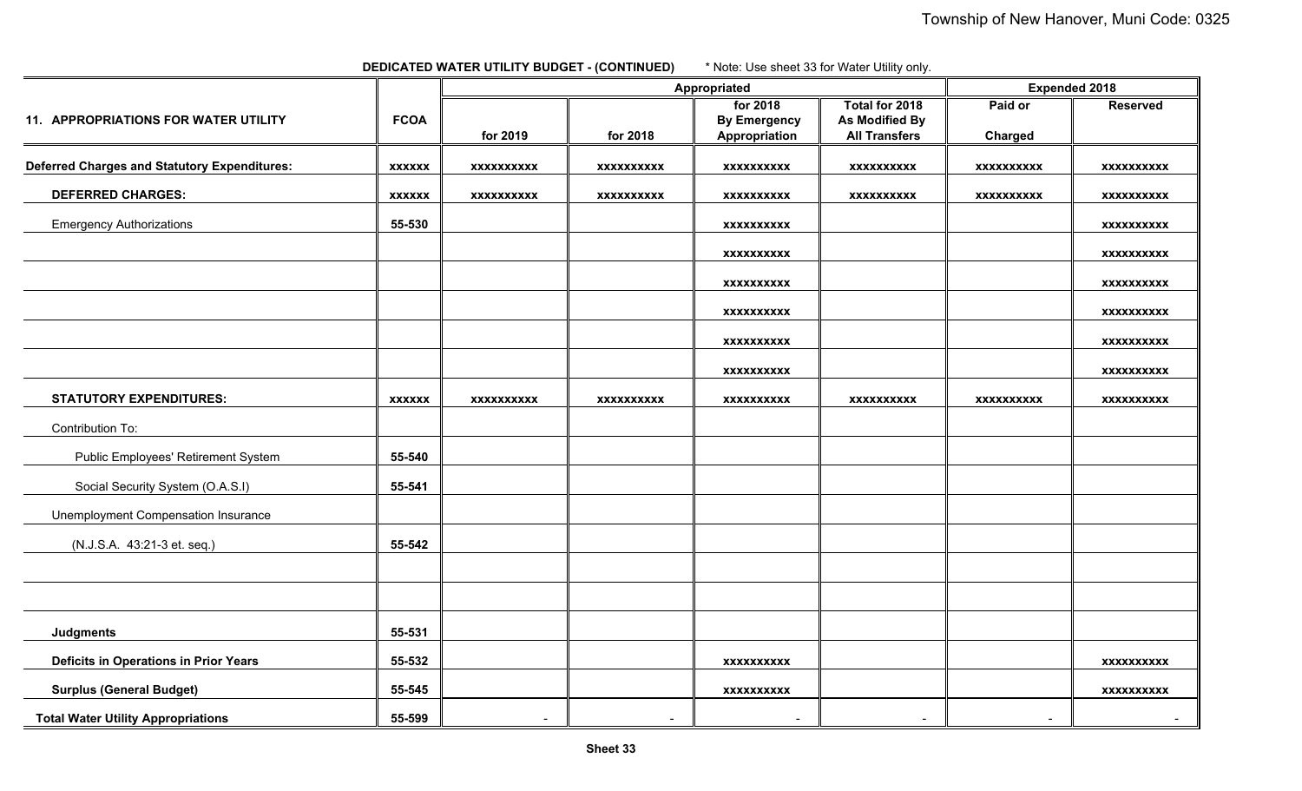| <b>DEDICATED WATER UTILITY BUDGET - (CONTINUED)</b> | * Note: Use sheet 33 for Water Utility only. |
|-----------------------------------------------------|----------------------------------------------|
|-----------------------------------------------------|----------------------------------------------|

|                                                     |               |                   | Appropriated      |                     | <b>Expended 2018</b> |                   |                   |
|-----------------------------------------------------|---------------|-------------------|-------------------|---------------------|----------------------|-------------------|-------------------|
|                                                     |               |                   |                   | for 2018            | Total for 2018       | Paid or           | <b>Reserved</b>   |
| 11. APPROPRIATIONS FOR WATER UTILITY                | <b>FCOA</b>   |                   |                   | <b>By Emergency</b> | As Modified By       |                   |                   |
|                                                     |               | for 2019          | for 2018          | Appropriation       | <b>All Transfers</b> | Charged           |                   |
| <b>Deferred Charges and Statutory Expenditures:</b> | <b>XXXXXX</b> | <b>XXXXXXXXXX</b> | <b>XXXXXXXXXX</b> | <b>XXXXXXXXXX</b>   | <b>XXXXXXXXXX</b>    | <b>XXXXXXXXXX</b> | <b>XXXXXXXXXX</b> |
| <b>DEFERRED CHARGES:</b>                            | <b>XXXXXX</b> | XXXXXXXXXX        | <b>XXXXXXXXXX</b> | <b>XXXXXXXXXX</b>   | <b>XXXXXXXXXX</b>    | <b>XXXXXXXXXX</b> | XXXXXXXXXX        |
| <b>Emergency Authorizations</b>                     | 55-530        |                   |                   | <b>XXXXXXXXXX</b>   |                      |                   | <b>XXXXXXXXXX</b> |
|                                                     |               |                   |                   | <b>XXXXXXXXXX</b>   |                      |                   | <b>XXXXXXXXXX</b> |
|                                                     |               |                   |                   | <b>XXXXXXXXXX</b>   |                      |                   | <b>XXXXXXXXXX</b> |
|                                                     |               |                   |                   | <b>XXXXXXXXXX</b>   |                      |                   | <b>XXXXXXXXXX</b> |
|                                                     |               |                   |                   | <b>XXXXXXXXXX</b>   |                      |                   | XXXXXXXXXX        |
|                                                     |               |                   |                   | <b>XXXXXXXXXX</b>   |                      |                   | XXXXXXXXXX        |
| <b>STATUTORY EXPENDITURES:</b>                      | <b>XXXXXX</b> | <b>XXXXXXXXXX</b> | XXXXXXXXXX        | <b>XXXXXXXXXX</b>   | <b>XXXXXXXXXX</b>    | <b>XXXXXXXXXX</b> | <b>XXXXXXXXXX</b> |
| Contribution To:                                    |               |                   |                   |                     |                      |                   |                   |
| <b>Public Employees' Retirement System</b>          | 55-540        |                   |                   |                     |                      |                   |                   |
| Social Security System (O.A.S.I)                    | 55-541        |                   |                   |                     |                      |                   |                   |
| Unemployment Compensation Insurance                 |               |                   |                   |                     |                      |                   |                   |
| (N.J.S.A. 43:21-3 et. seq.)                         | 55-542        |                   |                   |                     |                      |                   |                   |
|                                                     |               |                   |                   |                     |                      |                   |                   |
|                                                     |               |                   |                   |                     |                      |                   |                   |
| <b>Judgments</b>                                    | 55-531        |                   |                   |                     |                      |                   |                   |
| <b>Deficits in Operations in Prior Years</b>        | 55-532        |                   |                   | <b>XXXXXXXXXX</b>   |                      |                   | <b>XXXXXXXXXX</b> |
| <b>Surplus (General Budget)</b>                     | 55-545        |                   |                   | <b>XXXXXXXXXX</b>   |                      |                   | <b>XXXXXXXXXX</b> |
| <b>Total Water Utility Appropriations</b>           | 55-599        | $\blacksquare$    | $\blacksquare$    | $\blacksquare$      | $\blacksquare$       | $\sim$            | $\blacksquare$    |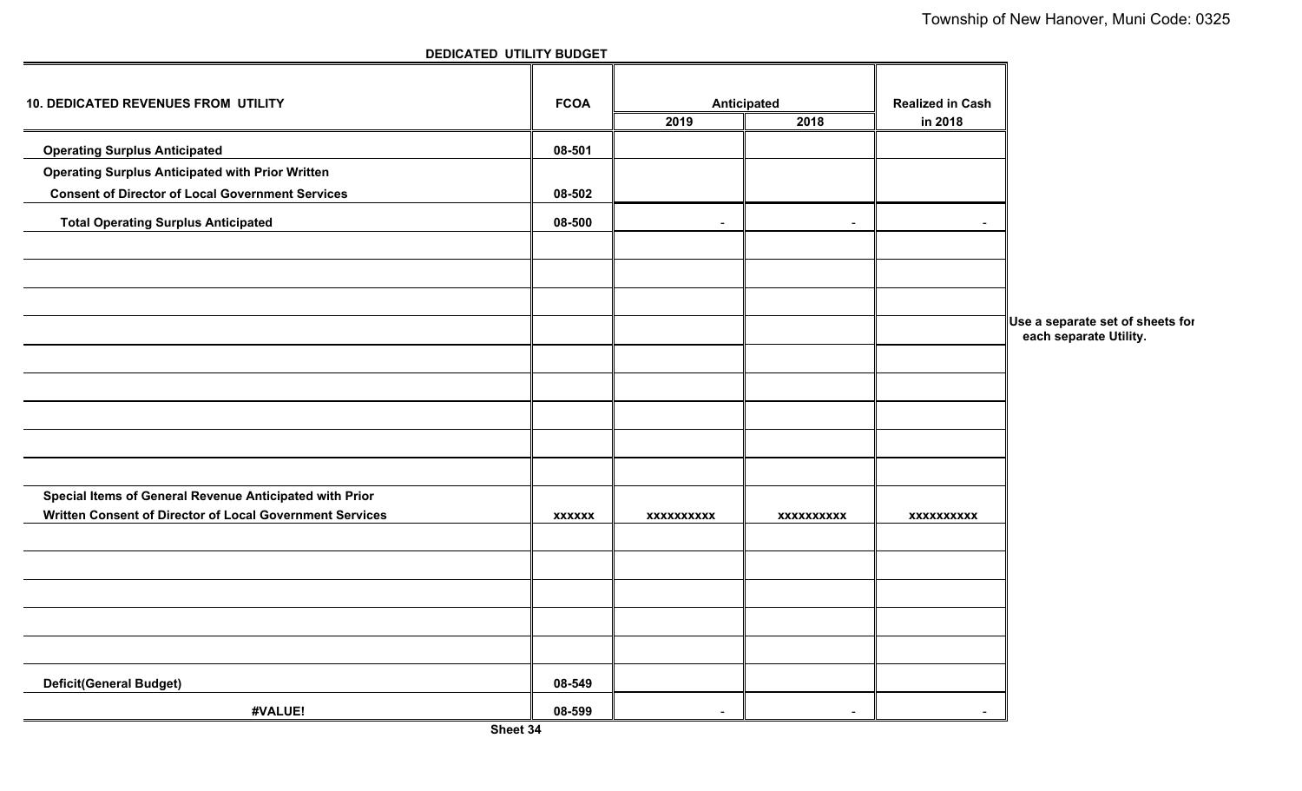| <b>10. DEDICATED REVENUES FROM UTILITY</b>               | <b>FCOA</b>   | Anticipated<br>2018<br>2019 |                          | <b>Realized in Cash</b> |                                                            |
|----------------------------------------------------------|---------------|-----------------------------|--------------------------|-------------------------|------------------------------------------------------------|
|                                                          |               |                             |                          | in 2018                 |                                                            |
| <b>Operating Surplus Anticipated</b>                     | 08-501        |                             |                          |                         |                                                            |
| <b>Operating Surplus Anticipated with Prior Written</b>  |               |                             |                          |                         |                                                            |
| <b>Consent of Director of Local Government Services</b>  | 08-502        |                             |                          |                         |                                                            |
| <b>Total Operating Surplus Anticipated</b>               | 08-500        | $\overline{\phantom{a}}$    | $\overline{\phantom{a}}$ |                         |                                                            |
|                                                          |               |                             |                          |                         |                                                            |
|                                                          |               |                             |                          |                         |                                                            |
|                                                          |               |                             |                          |                         |                                                            |
|                                                          |               |                             |                          |                         | Use a separate set of sheets for<br>each separate Utility. |
|                                                          |               |                             |                          |                         |                                                            |
|                                                          |               |                             |                          |                         |                                                            |
|                                                          |               |                             |                          |                         |                                                            |
|                                                          |               |                             |                          |                         |                                                            |
|                                                          |               |                             |                          |                         |                                                            |
| Special Items of General Revenue Anticipated with Prior  |               |                             |                          |                         |                                                            |
| Written Consent of Director of Local Government Services | <b>XXXXXX</b> | <b>XXXXXXXXXX</b>           | <b>XXXXXXXXXX</b>        | <b>XXXXXXXXXX</b>       |                                                            |
|                                                          |               |                             |                          |                         |                                                            |
|                                                          |               |                             |                          |                         |                                                            |
|                                                          |               |                             |                          |                         |                                                            |
|                                                          |               |                             |                          |                         |                                                            |
| <b>Deficit(General Budget)</b>                           | 08-549        |                             |                          |                         |                                                            |
| #VALUE!                                                  | 08-599        | $\overline{\phantom{a}}$    | $\blacksquare$           | $\sim$                  |                                                            |

**DEDICATED UTILITY BUDGET**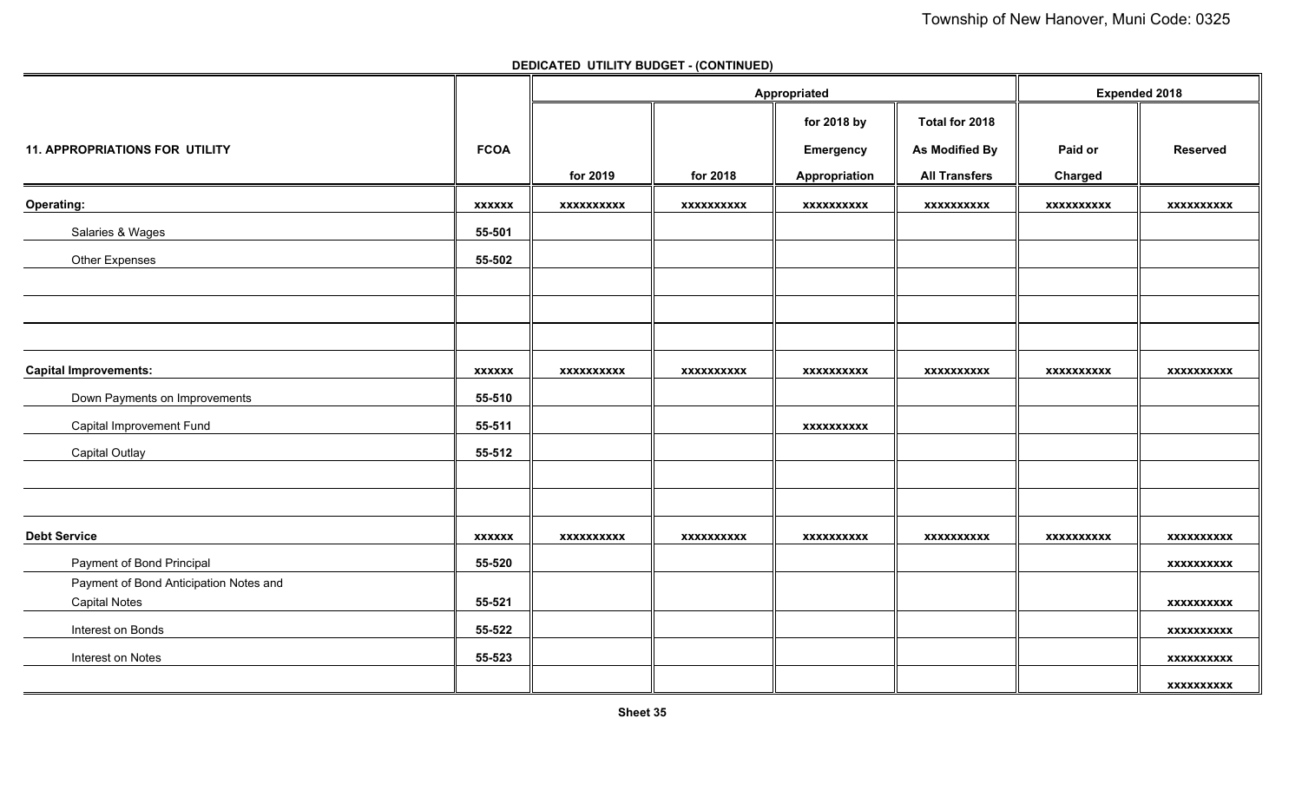**DEDICATED UTILITY BUDGET - (CONTINUED)**

|                                        |               |                   | Appropriated |                   | <b>Expended 2018</b>  |                   |                   |
|----------------------------------------|---------------|-------------------|--------------|-------------------|-----------------------|-------------------|-------------------|
|                                        |               |                   |              | for 2018 by       | Total for 2018        |                   |                   |
| <b>11. APPROPRIATIONS FOR UTILITY</b>  | <b>FCOA</b>   |                   |              | Emergency         | <b>As Modified By</b> | Paid or           | <b>Reserved</b>   |
|                                        |               | for 2019          | for 2018     | Appropriation     | <b>All Transfers</b>  | Charged           |                   |
| Operating:                             | <b>XXXXXX</b> | xxxxxxxxxx        | xxxxxxxxxx   | xxxxxxxxxx        | xxxxxxxxxx            | xxxxxxxxxx        | xxxxxxxxxx        |
| Salaries & Wages                       | 55-501        |                   |              |                   |                       |                   |                   |
| Other Expenses                         | 55-502        |                   |              |                   |                       |                   |                   |
|                                        |               |                   |              |                   |                       |                   |                   |
|                                        |               |                   |              |                   |                       |                   |                   |
|                                        |               |                   |              |                   |                       |                   |                   |
| <b>Capital Improvements:</b>           | <b>XXXXXX</b> | <b>XXXXXXXXXX</b> | xxxxxxxxxx   | <b>XXXXXXXXXX</b> | <b>XXXXXXXXXX</b>     | <b>XXXXXXXXXX</b> | <b>XXXXXXXXXX</b> |
| Down Payments on Improvements          | 55-510        |                   |              |                   |                       |                   |                   |
| Capital Improvement Fund               | 55-511        |                   |              | XXXXXXXXXX        |                       |                   |                   |
| <b>Capital Outlay</b>                  | 55-512        |                   |              |                   |                       |                   |                   |
|                                        |               |                   |              |                   |                       |                   |                   |
|                                        |               |                   |              |                   |                       |                   |                   |
| <b>Debt Service</b>                    | <b>XXXXXX</b> | <b>XXXXXXXXXX</b> | XXXXXXXXXX   | XXXXXXXXXX        | <b>XXXXXXXXXX</b>     | XXXXXXXXXX        | XXXXXXXXXX        |
| Payment of Bond Principal              | 55-520        |                   |              |                   |                       |                   | <b>XXXXXXXXXX</b> |
| Payment of Bond Anticipation Notes and |               |                   |              |                   |                       |                   |                   |
| <b>Capital Notes</b>                   | 55-521        |                   |              |                   |                       |                   | <b>XXXXXXXXXX</b> |
| Interest on Bonds                      | 55-522        |                   |              |                   |                       |                   | <b>XXXXXXXXXX</b> |
| Interest on Notes                      | 55-523        |                   |              |                   |                       |                   | XXXXXXXXXX        |
|                                        |               |                   |              |                   |                       |                   | <b>XXXXXXXXXX</b> |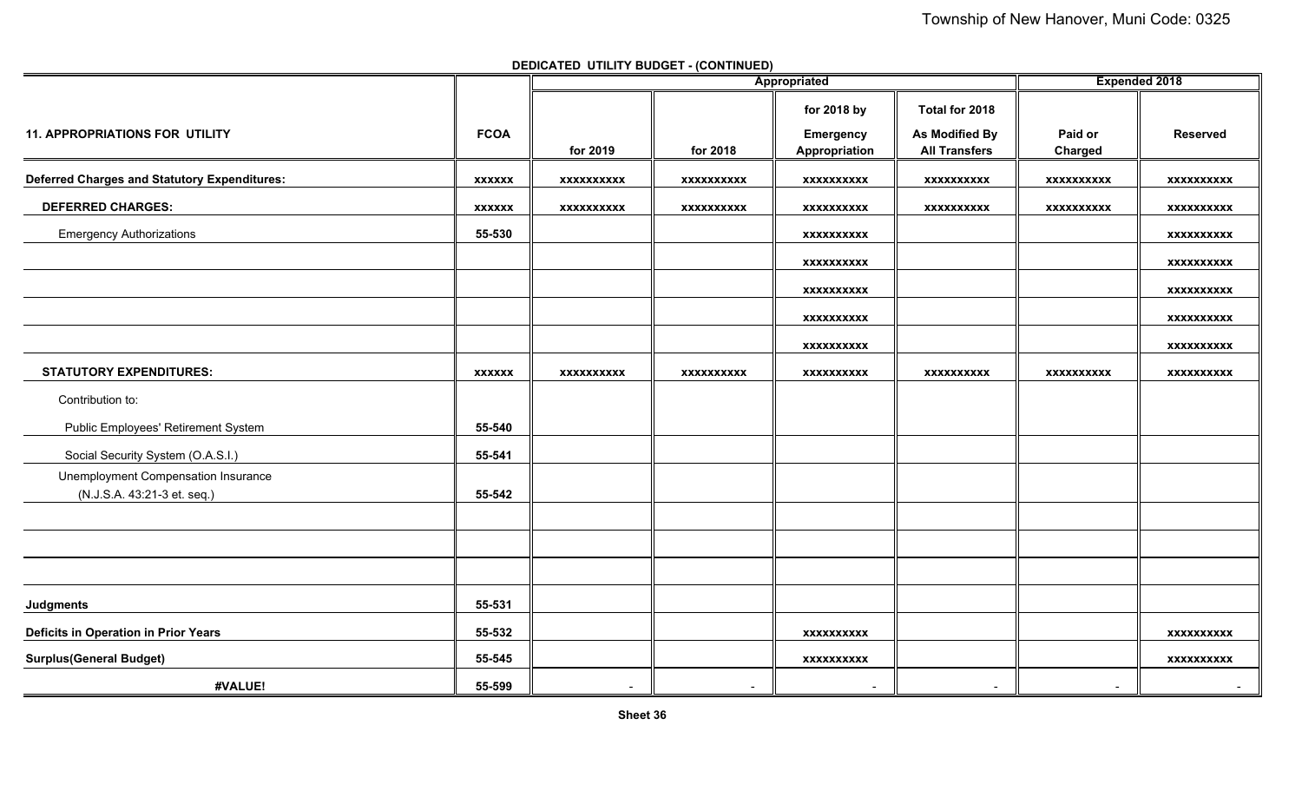**DEDICATED UTILITY BUDGET - (CONTINUED)**

|                                                     |               |                          | Appropriated      | <b>Expended 2018</b>     |                          |                          |                   |
|-----------------------------------------------------|---------------|--------------------------|-------------------|--------------------------|--------------------------|--------------------------|-------------------|
|                                                     |               |                          |                   | for 2018 by              | Total for 2018           |                          |                   |
| <b>11. APPROPRIATIONS FOR UTILITY</b>               | <b>FCOA</b>   |                          |                   | <b>Emergency</b>         | <b>As Modified By</b>    | Paid or                  | <b>Reserved</b>   |
|                                                     |               | for 2019                 | for 2018          | Appropriation            | <b>All Transfers</b>     | Charged                  |                   |
| <b>Deferred Charges and Statutory Expenditures:</b> | <b>XXXXXX</b> | <b>XXXXXXXXXX</b>        | XXXXXXXXXX        | XXXXXXXXXX               | <b>XXXXXXXXXX</b>        | <b>XXXXXXXXXX</b>        | <b>XXXXXXXXXX</b> |
| <b>DEFERRED CHARGES:</b>                            | <b>XXXXXX</b> | xxxxxxxxxx               | <b>XXXXXXXXXX</b> | <b>XXXXXXXXXX</b>        | <b>XXXXXXXXXX</b>        | <b>XXXXXXXXXX</b>        | <b>XXXXXXXXXX</b> |
| <b>Emergency Authorizations</b>                     | 55-530        |                          |                   | <b>XXXXXXXXXX</b>        |                          |                          | <b>XXXXXXXXXX</b> |
|                                                     |               |                          |                   | XXXXXXXXXX               |                          |                          | <b>XXXXXXXXXX</b> |
|                                                     |               |                          |                   | XXXXXXXXXX               |                          |                          | <b>XXXXXXXXXX</b> |
|                                                     |               |                          |                   | XXXXXXXXXX               |                          |                          | <b>XXXXXXXXXX</b> |
|                                                     |               |                          |                   | <b>XXXXXXXXXX</b>        |                          |                          | <b>XXXXXXXXXX</b> |
| <b>STATUTORY EXPENDITURES:</b>                      | <b>XXXXXX</b> | <b>XXXXXXXXXX</b>        | <b>XXXXXXXXXX</b> | <b>XXXXXXXXXX</b>        | <b>XXXXXXXXXX</b>        | XXXXXXXXXX               | <b>XXXXXXXXXX</b> |
| Contribution to:                                    |               |                          |                   |                          |                          |                          |                   |
| Public Employees' Retirement System                 | 55-540        |                          |                   |                          |                          |                          |                   |
| Social Security System (O.A.S.I.)                   | 55-541        |                          |                   |                          |                          |                          |                   |
| Unemployment Compensation Insurance                 |               |                          |                   |                          |                          |                          |                   |
| (N.J.S.A. 43:21-3 et. seq.)                         | 55-542        |                          |                   |                          |                          |                          |                   |
|                                                     |               |                          |                   |                          |                          |                          |                   |
|                                                     |               |                          |                   |                          |                          |                          |                   |
|                                                     |               |                          |                   |                          |                          |                          |                   |
| <b>Judgments</b>                                    | 55-531        |                          |                   |                          |                          |                          |                   |
| <b>Deficits in Operation in Prior Years</b>         | 55-532        |                          |                   | XXXXXXXXXX               |                          |                          | <b>XXXXXXXXXX</b> |
| <b>Surplus(General Budget)</b>                      | 55-545        |                          |                   | <b>XXXXXXXXXX</b>        |                          |                          | <b>XXXXXXXXXX</b> |
| #VALUE!                                             | 55-599        | $\overline{\phantom{a}}$ | $\blacksquare$    | $\overline{\phantom{a}}$ | $\overline{\phantom{a}}$ | $\overline{\phantom{0}}$ | $\sim$            |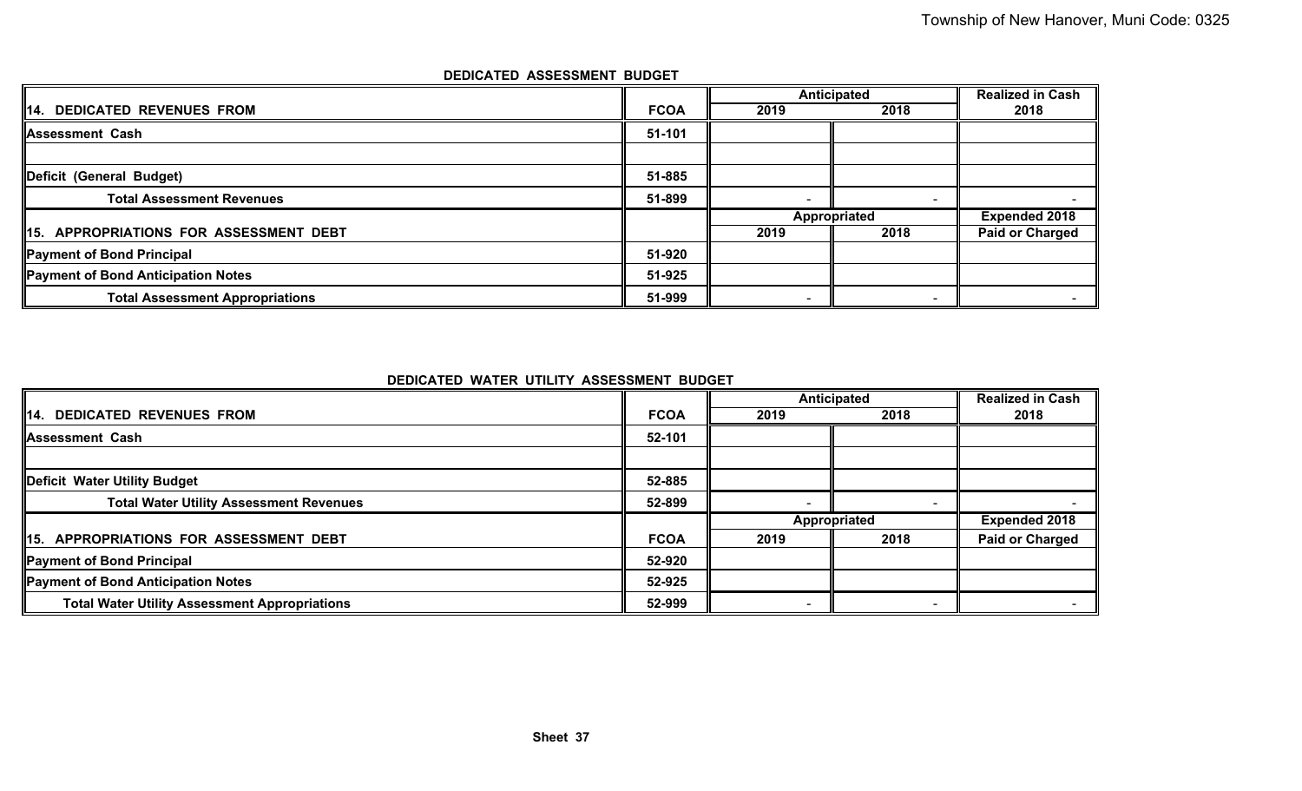|                                        |             | Anticipated              | <b>Realized in Cash</b>  |                        |
|----------------------------------------|-------------|--------------------------|--------------------------|------------------------|
| 14. DEDICATED REVENUES FROM            | <b>FCOA</b> | 2019                     | 2018                     | 2018                   |
| <b>Assessment Cash</b>                 | 51-101      |                          |                          |                        |
|                                        |             |                          |                          |                        |
| Deficit (General Budget)               | 51-885      |                          |                          |                        |
| <b>Total Assessment Revenues</b>       | 51-899      | $\overline{\phantom{0}}$ | $\overline{\phantom{0}}$ |                        |
|                                        |             | Appropriated             |                          | <b>Expended 2018</b>   |
| 15. APPROPRIATIONS FOR ASSESSMENT DEBT |             | 2019                     | 2018                     | <b>Paid or Charged</b> |
| Payment of Bond Principal              | 51-920      |                          |                          |                        |
| Payment of Bond Anticipation Notes     | 51-925      |                          |                          |                        |
| <b>Total Assessment Appropriations</b> | 51-999      | $\overline{\phantom{0}}$ |                          |                        |

# **DEDICATED ASSESSMENT BUDGET**

**DEDICATED WATER UTILITY ASSESSMENT BUDGET**

|                                                      |             | Anticipated  |      | <b>Realized in Cash</b> |
|------------------------------------------------------|-------------|--------------|------|-------------------------|
| 14. DEDICATED REVENUES FROM                          | <b>FCOA</b> | 2019         | 2018 | 2018                    |
| Assessment Cash                                      | 52-101      |              |      |                         |
|                                                      |             |              |      |                         |
| Deficit Water Utility Budget                         | 52-885      |              |      |                         |
| <b>Total Water Utility Assessment Revenues</b>       | 52-899      |              |      |                         |
|                                                      |             | Appropriated |      | <b>Expended 2018</b>    |
| 15. APPROPRIATIONS FOR ASSESSMENT DEBT               | <b>FCOA</b> | 2019         | 2018 | <b>Paid or Charged</b>  |
| Payment of Bond Principal                            | 52-920      |              |      |                         |
| Payment of Bond Anticipation Notes                   | 52-925      |              |      |                         |
| <b>Total Water Utility Assessment Appropriations</b> | 52-999      |              |      |                         |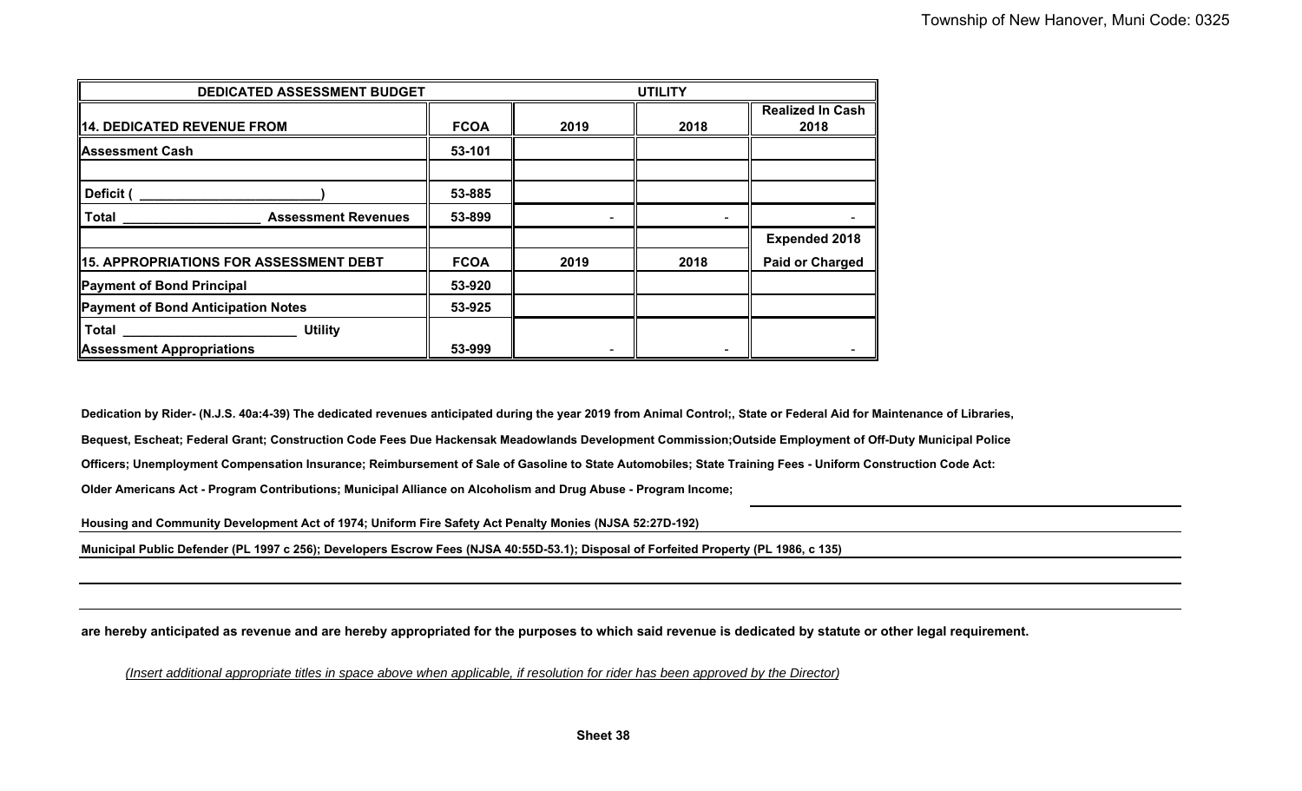| DEDICATED ASSESSMENT BUDGET                   | <b>UTILITY</b> |      |      |                                 |
|-----------------------------------------------|----------------|------|------|---------------------------------|
| 14. DEDICATED REVENUE FROM                    | <b>FCOA</b>    | 2019 | 2018 | <b>Realized In Cash</b><br>2018 |
| <b>Assessment Cash</b>                        | 53-101         |      |      |                                 |
| Deficit                                       | 53-885         |      |      |                                 |
| <b>Assessment Revenues</b><br>   Total        | 53-899         |      |      |                                 |
|                                               |                |      |      | <b>Expended 2018</b>            |
| <b>15. APPROPRIATIONS FOR ASSESSMENT DEBT</b> | <b>FCOA</b>    | 2019 | 2018 | <b>Paid or Charged</b>          |
| Payment of Bond Principal                     | 53-920         |      |      |                                 |
| Payment of Bond Anticipation Notes            | 53-925         |      |      |                                 |
| <b>I</b> Total<br><b>Utility</b>              |                |      |      |                                 |
| <b>Assessment Appropriations</b>              | 53-999         |      |      |                                 |

**Dedication by Rider- (N.J.S. 40a:4-39) The dedicated revenues anticipated during the year 2019 from Animal Control;, State or Federal Aid for Maintenance of Libraries,**

**Bequest, Escheat; Federal Grant; Construction Code Fees Due Hackensak Meadowlands Development Commission;Outside Employment of Off-Duty Municipal Police**

**Officers; Unemployment Compensation Insurance; Reimbursement of Sale of Gasoline to State Automobiles; State Training Fees - Uniform Construction Code Act:**

**Older Americans Act - Program Contributions; Municipal Alliance on Alcoholism and Drug Abuse - Program Income;**

**Housing and Community Development Act of 1974; Uniform Fire Safety Act Penalty Monies (NJSA 52:27D-192)**

**Municipal Public Defender (PL 1997 c 256); Developers Escrow Fees (NJSA 40:55D-53.1); Disposal of Forfeited Property (PL 1986, c 135)**

**are hereby anticipated as revenue and are hereby appropriated for the purposes to which said revenue is dedicated by statute or other legal requirement.**

*(Insert additional appropriate titles in space a bove when applicable, if resolution for rider has been approve d by the Director)*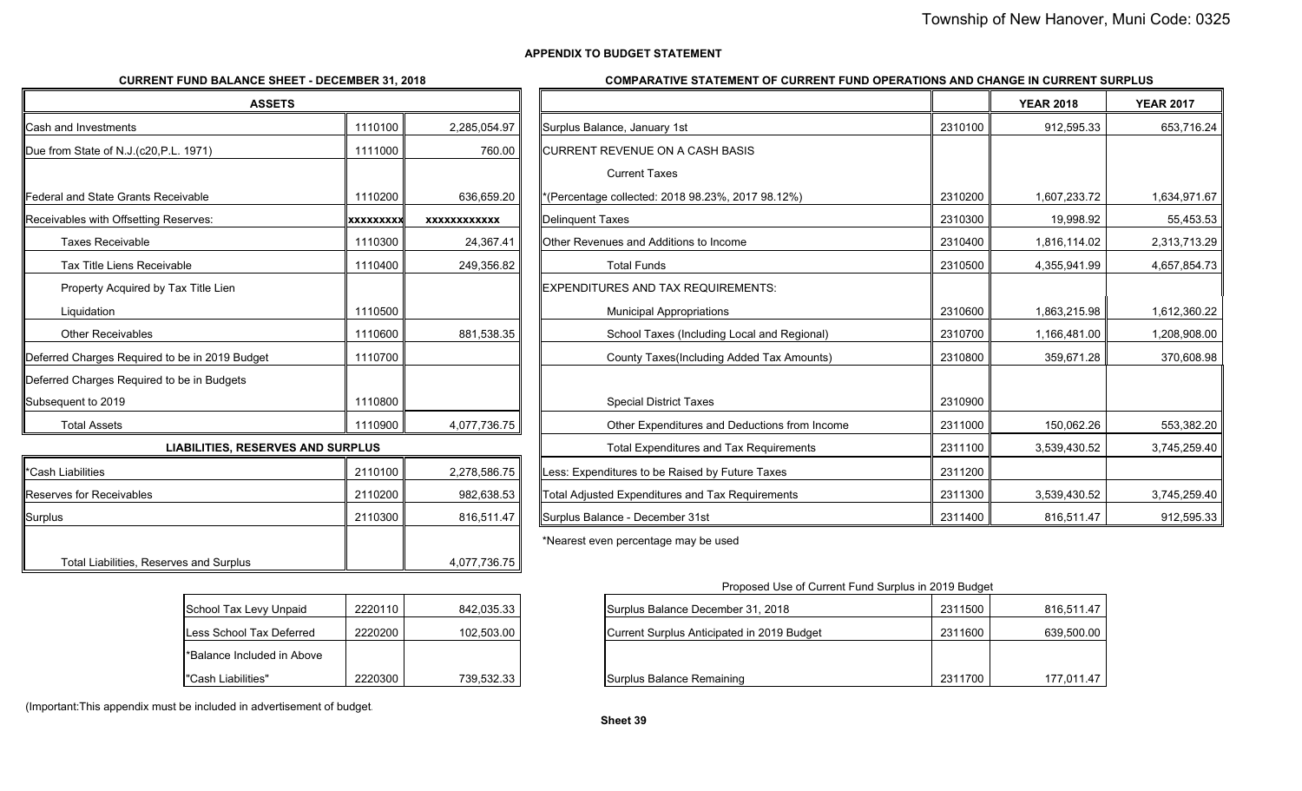### **APPENDIX TO BUDGET STATEMENT**

# **CURRENT FUND BALANCE SHEET - DECEMBER 31, 2018**

#### **COMPARATIVE STATEMENT OF CURRENT FUND OPERATIONS AND CHANGE IN CURRENT SURPLUS**

| <b>ASSETS</b>                                  |                  |                     |                                                   |         |
|------------------------------------------------|------------------|---------------------|---------------------------------------------------|---------|
| <b>Cash and Investments</b>                    | 1110100          | 2,285,054.97        | Surplus Balance, January 1st                      | 2310100 |
| Due from State of N.J.(c20, P.L. 1971)         | 1111000          | 760.00              | CURRENT REVENUE ON A CASH BASIS                   |         |
|                                                |                  |                     | <b>Current Taxes</b>                              |         |
| llFederal and State Grants Receivable          | 1110200          | 636,659.20          | *(Percentage collected: 2018 98.23%, 2017 98.12%) | 2310200 |
| Receivables with Offsetting Reserves:          | <b>XXXXXXXXX</b> | <b>XXXXXXXXXXXX</b> | Delinquent Taxes                                  | 2310300 |
| <b>Taxes Receivable</b>                        | 1110300          | 24,367.41           | Other Revenues and Additions to Income            | 2310400 |
| Tax Title Liens Receivable                     | 1110400          | 249,356.82          | <b>Total Funds</b>                                | 2310500 |
| Property Acquired by Tax Title Lien            |                  |                     | EXPENDITURES AND TAX REQUIREMENTS:                |         |
| Liquidation                                    | 1110500          |                     | <b>Municipal Appropriations</b>                   | 2310600 |
| <b>Other Receivables</b>                       | 1110600          | 881,538.35          | School Taxes (Including Local and Regional)       | 2310700 |
| Deferred Charges Required to be in 2019 Budget | 1110700          |                     | County Taxes (Including Added Tax Amounts)        | 2310800 |
| Deferred Charges Required to be in Budgets     |                  |                     |                                                   |         |
| Subsequent to 2019                             | 1110800          |                     | <b>Special District Taxes</b>                     | 2310900 |
| <b>Total Assets</b>                            | 1110900          | 4,077,736.75        | Other Expenditures and Deductions from Income     | 2311000 |
| <b>LIABILITIES, RESERVES AND SURPLUS</b>       |                  |                     | <b>Total Expenditures and Tax Requirements</b>    | 2311100 |
| $\mathsf{l}$ *Coch Liobilitios                 | 2110100          | 22205075            | Lace: Exponditures to be Paised by Euture Taxes   | 2211200 |

| *Cash Liabilities                       | 2110100 | 2,278,586.75 | Less: Expenditures to be Raised by Future Taxes  | 2311200 |
|-----------------------------------------|---------|--------------|--------------------------------------------------|---------|
| <b>Reserves for Receivables</b>         | 2110200 | 982.638.53   | Total Adjusted Expenditures and Tax Requirements | 2311300 |
| <b>Surplus</b>                          | 2110300 | 816.511.47   | <b>ISurplus Balance - December 31st</b>          | 2311400 |
|                                         |         |              | *Nearest even percentage may be used             |         |
| Total Liabilities, Reserves and Surplus |         | 4,077,736.75 |                                                  |         |

| School Tax Levy Unpaid     | 2220110 | 842,035.33 |
|----------------------------|---------|------------|
| Less School Tax Deferred   | 2220200 | 102,503.00 |
| *Balance Included in Above |         |            |
| "Cash Liabilities"         | 2220300 | 739,532.33 |

| d in Above |         |            |                      |
|------------|---------|------------|----------------------|
|            | 2220300 | 739,532.33 | Surplus Balance Rema |

| (Important: This appendix must be included in advertisement of budget. |  |
|------------------------------------------------------------------------|--|
|                                                                        |  |

| <b>ASSETS</b>                                  |                 |                     |                                                  |         | <b>YEAR 2018</b> | <b>YEAR 2017</b> |
|------------------------------------------------|-----------------|---------------------|--------------------------------------------------|---------|------------------|------------------|
| Cash and Investments                           | 1110100         | 2,285,054.97        | Surplus Balance, January 1st                     | 2310100 | 912.595.33       | 653,716.24       |
| Due from State of N.J.(c20,P.L. 1971)          | 1111000         | 760.00              | CURRENT REVENUE ON A CASH BASIS                  |         |                  |                  |
|                                                |                 |                     | <b>Current Taxes</b>                             |         |                  |                  |
| Federal and State Grants Receivable            | 1110200         | 636,659.20          | (Percentage collected: 2018 98.23%, 2017 98.12%) | 2310200 | 1,607,233.72     | 1,634,971.67     |
| Receivables with Offsetting Reserves:          | <b>XXXXXXXX</b> | <b>XXXXXXXXXXXX</b> | Delinquent Taxes                                 | 2310300 | 19,998.92        | 55,453.53        |
| <b>Taxes Receivable</b>                        | 1110300         | 24,367.41           | Other Revenues and Additions to Income           | 2310400 | 1,816,114.02     | 2,313,713.29     |
| Tax Title Liens Receivable                     | 1110400         | 249,356.82          | <b>Total Funds</b>                               | 2310500 | 4,355,941.99     | 4,657,854.73     |
| Property Acquired by Tax Title Lien            |                 |                     | EXPENDITURES AND TAX REQUIREMENTS:               |         |                  |                  |
| Liquidation                                    | 1110500         |                     | <b>Municipal Appropriations</b>                  | 2310600 | 1,863,215.98     | 1,612,360.22     |
| <b>Other Receivables</b>                       | 1110600         | 881,538.35          | School Taxes (Including Local and Regional)      | 2310700 | 1,166,481.00     | 1,208,908.00     |
| Deferred Charges Required to be in 2019 Budget | 1110700         |                     | County Taxes(Including Added Tax Amounts)        | 2310800 | 359,671.28       | 370,608.98       |
| Deferred Charges Required to be in Budgets     |                 |                     |                                                  |         |                  |                  |
| Subsequent to 2019                             | 1110800         |                     | <b>Special District Taxes</b>                    | 2310900 |                  |                  |
| <b>Total Assets</b>                            | 1110900         | 4,077,736.75        | Other Expenditures and Deductions from Income    | 2311000 | 150,062.26       | 553,382.20       |
| <b>LIABILITIES, RESERVES AND SURPLUS</b>       |                 |                     | <b>Total Expenditures and Tax Requirements</b>   | 2311100 | 3,539,430.52     | 3,745,259.40     |
| *Cash Liabilities                              | 2110100         | 2,278,586.75        | Less: Expenditures to be Raised by Future Taxes  | 2311200 |                  |                  |
| Reserves for Receivables                       | 2110200         | 982,638.53          | Total Adjusted Expenditures and Tax Requirements | 2311300 | 3,539,430.52     | 3,745,259.40     |
| Surplus                                        | 2110300         | 816,511.47          | Surplus Balance - December 31st                  | 2311400 | 816,511.47       | 912,595.33       |
|                                                |                 |                     |                                                  |         |                  |                  |

Proposed Use of Current Fund Surplus in 2019 Budget

| School Tax Levy Unpaid     | 2220110 | 842.035.33 | Surplus Balance December 31, 2018          | 2311500 | 816.511.47 |
|----------------------------|---------|------------|--------------------------------------------|---------|------------|
| Less School Tax Deferred   | 2220200 | 102.503.00 | Current Surplus Anticipated in 2019 Budget | 2311600 | 639.500.00 |
| *Balance Included in Above |         |            |                                            |         |            |
| "Cash Liabilities"         | 2220300 | 739.532.33 | Surplus Balance Remaining                  | 2311700 | 177,011.47 |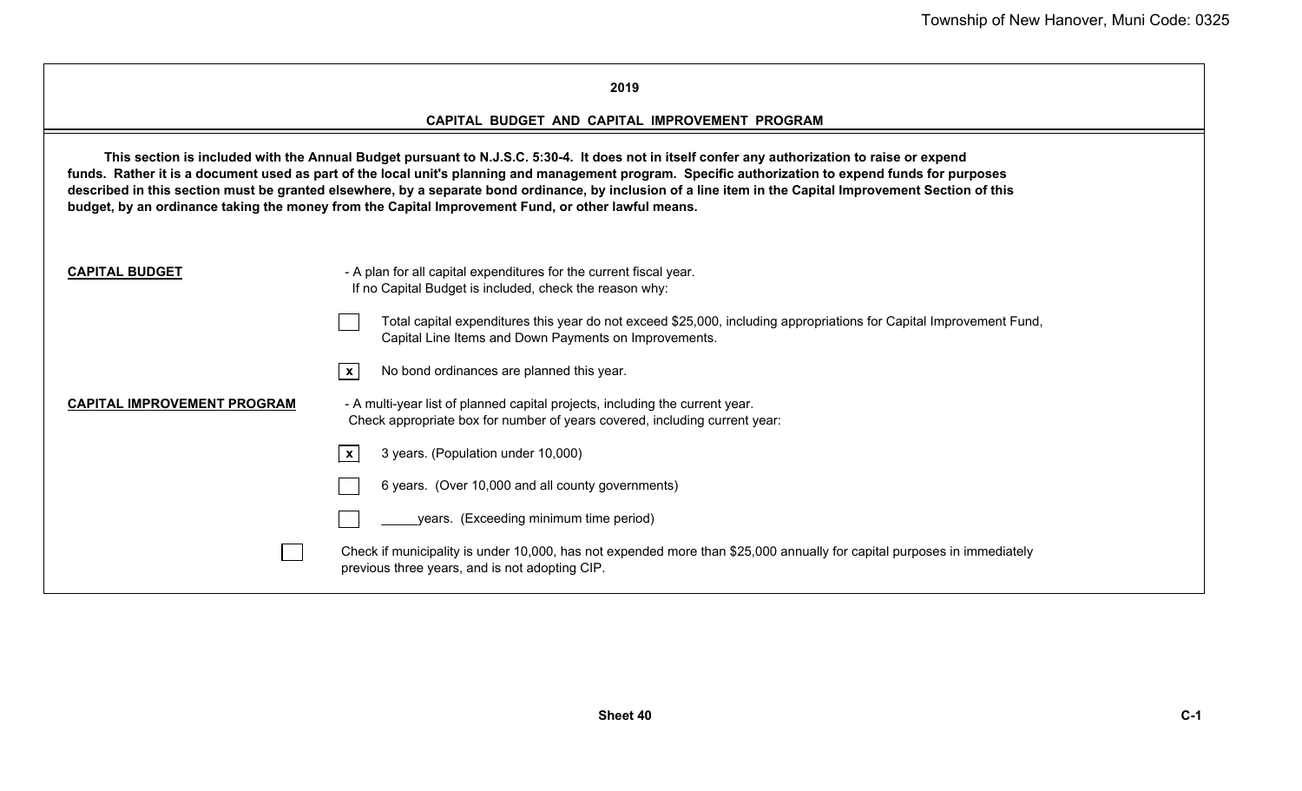# **2019**

# **CAPITAL BUDGET AND CAPITAL IMPROVEMENT PROGRAM**

**This section is included with the Annual Budget pursuant to N.J.S.C. 5:30-4. It does not in itself confer any authorization to raise or expend funds. Rather it is a document used as part of the local unit's planning and management program. Specific authorization to expend funds for purposes described in this section must be granted elsewhere, by a separate bond ordinance, by inclusion of a line item in the Capital Improvement Section of this budget, by an ordinance taking the money from the Capital Improvement Fund, or other lawful means.**

| <b>CAPITAL BUDGET</b>              | - A plan for all capital expenditures for the current fiscal year.<br>If no Capital Budget is included, check the reason why:                                                |
|------------------------------------|------------------------------------------------------------------------------------------------------------------------------------------------------------------------------|
|                                    | Total capital expenditures this year do not exceed \$25,000, including appropriations for Capital Improvement Fund,<br>Capital Line Items and Down Payments on Improvements. |
|                                    | No bond ordinances are planned this year.<br>$\mathbf{x}$                                                                                                                    |
| <b>CAPITAL IMPROVEMENT PROGRAM</b> | - A multi-year list of planned capital projects, including the current year.<br>Check appropriate box for number of years covered, including current year:                   |
|                                    | 3 years. (Population under 10,000)<br>$\mathbf{x}$                                                                                                                           |
|                                    | 6 years. (Over 10,000 and all county governments)                                                                                                                            |
|                                    | years. (Exceeding minimum time period)                                                                                                                                       |
|                                    | Check if municipality is under 10,000, has not expended more than \$25,000 annually for capital purposes in immediately<br>previous three years, and is not adopting CIP.    |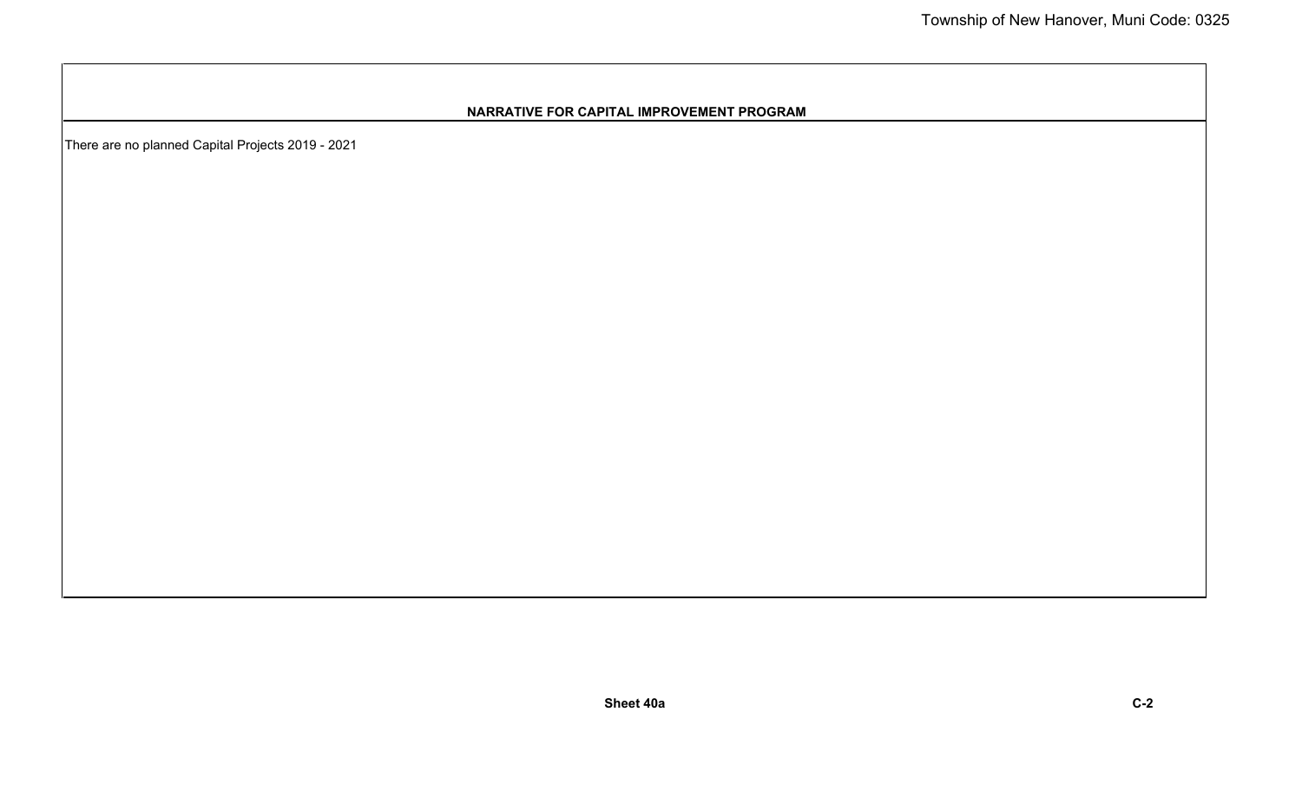# **NARRATIVE FOR CAPITAL IMPROVEMENT PROGRAM**

There are no planned Capital Projects 2019 - 2021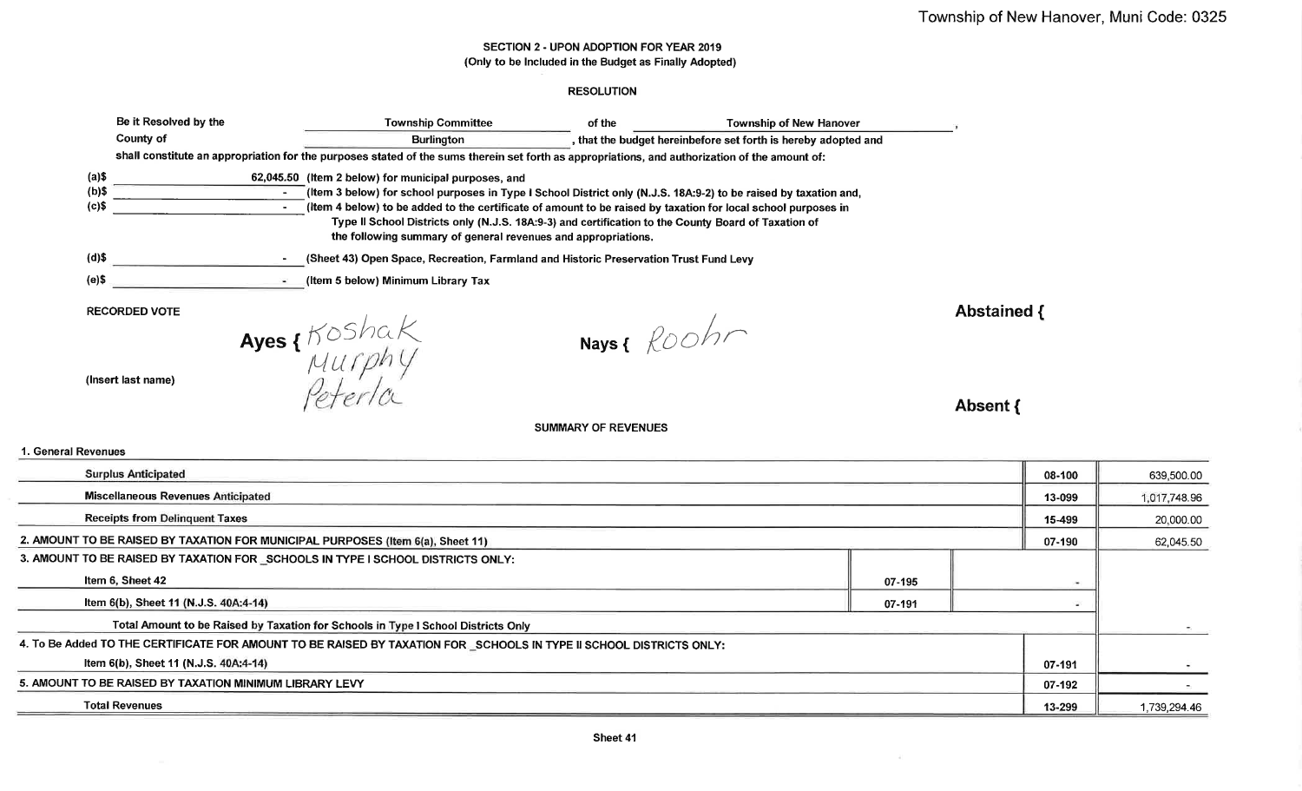# SECTION 2 - UPON ADOPTION FOR YEAR 2019 (Only to be Included in the Budget as Finally Adopted)

# **RESOLUTION**

|          | Be it Resolved by the                                                                                                                          | <b>Township Committee</b>                                                                                                                                            | of the | <b>Township of New Hanover</b>                                 |           |  |  |  |
|----------|------------------------------------------------------------------------------------------------------------------------------------------------|----------------------------------------------------------------------------------------------------------------------------------------------------------------------|--------|----------------------------------------------------------------|-----------|--|--|--|
|          | County of                                                                                                                                      | <b>Burlington</b>                                                                                                                                                    |        | , that the budget hereinbefore set forth is hereby adopted and |           |  |  |  |
|          | shall constitute an appropriation for the purposes stated of the sums therein set forth as appropriations, and authorization of the amount of: |                                                                                                                                                                      |        |                                                                |           |  |  |  |
| (a)\$    |                                                                                                                                                | 62,045.50 (Item 2 below) for municipal purposes, and                                                                                                                 |        |                                                                |           |  |  |  |
| $(b)$ \$ |                                                                                                                                                | (Item 3 below) for school purposes in Type I School District only (N.J.S. 18A:9-2) to be raised by taxation and,                                                     |        |                                                                |           |  |  |  |
| (c)\$    |                                                                                                                                                | (Item 4 below) to be added to the certificate of amount to be raised by taxation for local school purposes in                                                        |        |                                                                |           |  |  |  |
|          |                                                                                                                                                | Type II School Districts only (N.J.S. 18A:9-3) and certification to the County Board of Taxation of<br>the following summary of general revenues and appropriations. |        |                                                                |           |  |  |  |
| $(d)$ \$ |                                                                                                                                                | (Sheet 43) Open Space, Recreation, Farmland and Historic Preservation Trust Fund Levy                                                                                |        |                                                                |           |  |  |  |
| $(e)$ \$ |                                                                                                                                                | (Item 5 below) Minimum Library Tax                                                                                                                                   |        |                                                                |           |  |  |  |
|          | <b>RECORDED VOTE</b>                                                                                                                           |                                                                                                                                                                      |        |                                                                | Abstained |  |  |  |

(Insert last name)

Ayes {Koshak<br>Murphy<br>Peterla

Nays & Roohr

Absent {

 $\rightarrow$  1

#### 1. General Revenues

| <b>Surplus Anticipated</b>                                                                                          | 08-100 | 639,500.00               |  |  |  |  |
|---------------------------------------------------------------------------------------------------------------------|--------|--------------------------|--|--|--|--|
| <b>Miscellaneous Revenues Anticipated</b>                                                                           | 13-099 | 1,017,748.96             |  |  |  |  |
| <b>Receipts from Delinquent Taxes</b>                                                                               | 15-499 | 20,000.00                |  |  |  |  |
| 2. AMOUNT TO BE RAISED BY TAXATION FOR MUNICIPAL PURPOSES (Item 6(a), Sheet 11)                                     | 07-190 | 62,045.50                |  |  |  |  |
| 3. AMOUNT TO BE RAISED BY TAXATION FOR SCHOOLS IN TYPE I SCHOOL DISTRICTS ONLY:                                     |        |                          |  |  |  |  |
| Item 6, Sheet 42                                                                                                    |        | $\overline{\phantom{a}}$ |  |  |  |  |
| Item 6(b), Sheet 11 (N.J.S. 40A:4-14)                                                                               |        | ۰                        |  |  |  |  |
| Total Amount to be Raised by Taxation for Schools in Type I School Districts Only                                   |        |                          |  |  |  |  |
| 4. To Be Added TO THE CERTIFICATE FOR AMOUNT TO BE RAISED BY TAXATION FOR SCHOOLS IN TYPE II SCHOOL DISTRICTS ONLY: |        |                          |  |  |  |  |
| Item 6(b), Sheet 11 (N.J.S. 40A:4-14)                                                                               |        |                          |  |  |  |  |
| 5. AMOUNT TO BE RAISED BY TAXATION MINIMUM LIBRARY LEVY                                                             | 07-192 |                          |  |  |  |  |
| <b>Total Revenues</b><br>13-299                                                                                     |        |                          |  |  |  |  |

**SUMMARY OF REVENUES**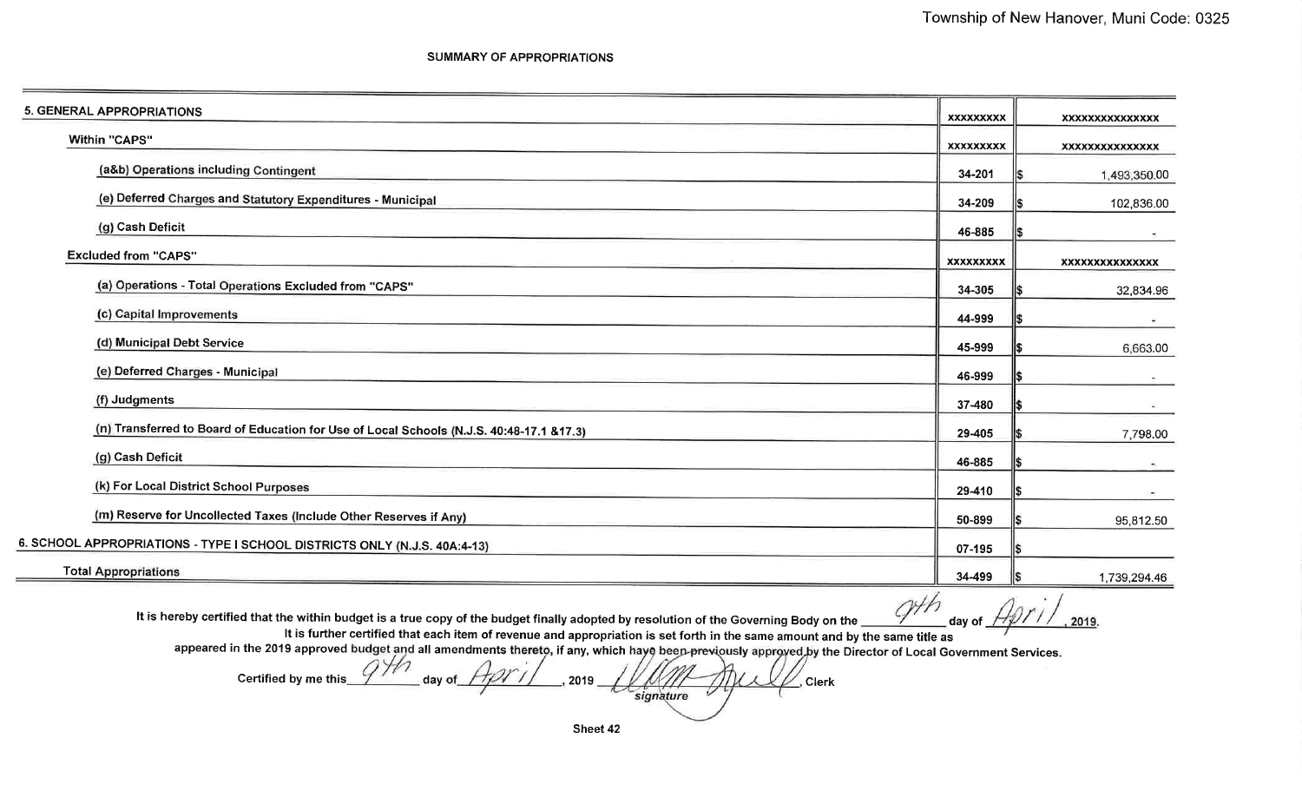**SUMMARY OF APPROPRIATIONS** 

| 5. GENERAL APPROPRIATIONS                                                                | <b>XXXXXXXXX</b> | XXXXXXXXXXXXXXX          |
|------------------------------------------------------------------------------------------|------------------|--------------------------|
| Within "CAPS"                                                                            | <b>XXXXXXXXX</b> | XXXXXXXXXXXXXXX          |
| (a&b) Operations including Contingent                                                    | 34-201           | 1,493,350.00             |
| (e) Deferred Charges and Statutory Expenditures - Municipal                              | 34-209           | 102,836.00               |
| (g) Cash Deficit                                                                         | 46-885           |                          |
| <b>Excluded from "CAPS"</b>                                                              | XXXXXXXXX        | <b>XXXXXXXXXXXXXXX</b>   |
| (a) Operations - Total Operations Excluded from "CAPS"                                   | 34-305           | 32,834.96                |
| (c) Capital Improvements                                                                 | 44-999           |                          |
| (d) Municipal Debt Service                                                               | 45-999           | 6,663.00                 |
| (e) Deferred Charges - Municipal                                                         | 46-999           | $\sim$                   |
| (f) Judgments                                                                            | 37-480           |                          |
| (n) Transferred to Board of Education for Use of Local Schools (N.J.S. 40:48-17.1 &17.3) | 29-405           | 7,798.00                 |
| (g) Cash Deficit                                                                         | 46-885           | $\overline{\phantom{a}}$ |
| (k) For Local District School Purposes                                                   | 29-410           |                          |
| (m) Reserve for Uncollected Taxes (Include Other Reserves if Any)                        | 50-899           | 95,812.50                |
| 6. SCHOOL APPROPRIATIONS - TYPE I SCHOOL DISTRICTS ONLY (N.J.S. 40A:4-13)                | 07-195           |                          |
| <b>Total Appropriations</b>                                                              | 34-499           | 1,739,294.46             |

It is hereby certified that the within budget is a true copy of the budget finally adopted by resolution of the Governing Body on the

day of  $\not\!\!\!\!\!/$ , 2019.

It is further certified that each item of revenue and appropriation is set forth in the same amount and by the same title as

appeared in the 2019 approved budget and all amendments thereto, if any, which haye been previously approved by the Director of Local Government Services.

Certified by me this day of 2019 , Clerk signature

Sheet 42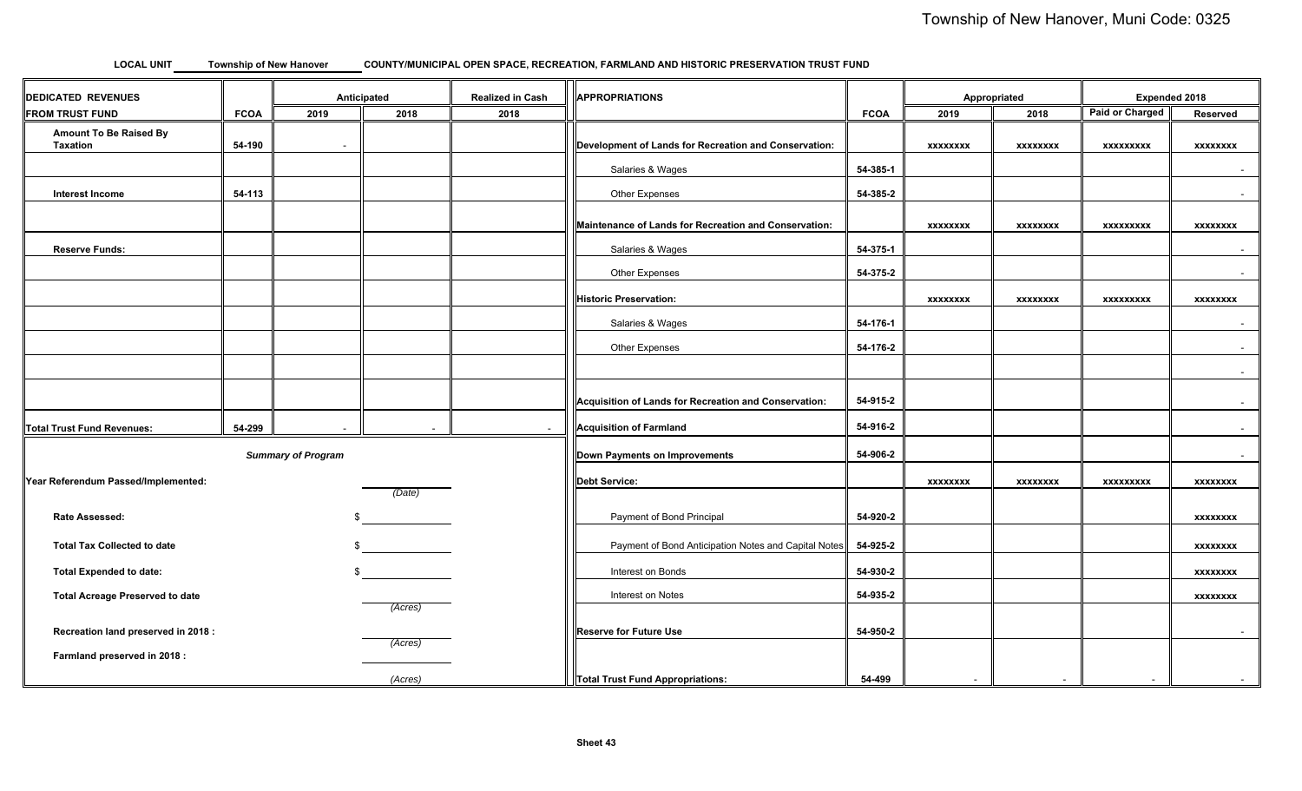#### **LOCAL UNIT COUNTY/MUNICIPAL OPEN SPACE, RECREATION, FARMLAND AND HISTORIC PRESERVATION TRUST FUND Township of New Hanover**

| <b>DEDICATED REVENUES</b>                 |             | Anticipated |                      | <b>Realized in Cash</b>       | APPROPRIATIONS                                        |                 | Appropriated     |                 | Expended 2018          |                 |
|-------------------------------------------|-------------|-------------|----------------------|-------------------------------|-------------------------------------------------------|-----------------|------------------|-----------------|------------------------|-----------------|
| <b>FROM TRUST FUND</b>                    | <b>FCOA</b> | 2019        | 2018                 | 2018                          |                                                       | <b>FCOA</b>     | 2019             | 2018            | <b>Paid or Charged</b> | Reserved        |
| <b>Amount To Be Raised By</b><br>Taxation | 54-190      | $\sim$      |                      |                               | Development of Lands for Recreation and Conservation: |                 | <b>XXXXXXXX</b>  | <b>XXXXXXXX</b> | <b>XXXXXXXXX</b>       | <b>XXXXXXXX</b> |
|                                           |             |             |                      |                               | Salaries & Wages                                      | 54-385-1        |                  |                 |                        | $\sim$          |
| <b>Interest Income</b>                    | 54-113      |             |                      |                               | Other Expenses                                        | 54-385-2        |                  |                 |                        | $\sim$          |
|                                           |             |             |                      |                               | Maintenance of Lands for Recreation and Conservation: |                 | <b>XXXXXXXX</b>  | <b>XXXXXXXX</b> | <b>XXXXXXXXX</b>       | <b>XXXXXXXX</b> |
| <b>Reserve Funds:</b>                     |             |             |                      |                               | Salaries & Wages                                      | 54-375-1        |                  |                 |                        | $\sim$          |
|                                           |             |             |                      |                               | Other Expenses                                        | 54-375-2        |                  |                 |                        | $\sim$          |
|                                           |             |             |                      |                               | <b>Historic Preservation:</b>                         |                 | <b>XXXXXXXX</b>  | <b>XXXXXXXX</b> | <b>XXXXXXXXX</b>       | <b>XXXXXXXX</b> |
|                                           |             |             |                      |                               | Salaries & Wages                                      | 54-176-1        |                  |                 |                        | $\sim$          |
|                                           |             |             |                      |                               | Other Expenses                                        | 54-176-2        |                  |                 |                        | $\sim$          |
|                                           |             |             |                      |                               |                                                       |                 |                  |                 |                        | $\sim$          |
|                                           |             |             |                      |                               | Acquisition of Lands for Recreation and Conservation: | 54-915-2        |                  |                 |                        | $\sim$          |
| Total Trust Fund Revenues:                | 54-299      | $\sim$      | $\sim$               | $\sim$                        | Acquisition of Farmland                               | 54-916-2        |                  |                 |                        | $\sim$          |
| <b>Summary of Program</b>                 |             |             |                      | Down Payments on Improvements | 54-906-2                                              |                 |                  |                 | $\sim$                 |                 |
| Year Referendum Passed/Implemented:       |             |             | <b>Debt Service:</b> |                               | <b>XXXXXXXX</b>                                       | <b>XXXXXXXX</b> | <b>XXXXXXXXX</b> | <b>XXXXXXXX</b> |                        |                 |
| Rate Assessed:                            |             |             | (Date)               |                               | Payment of Bond Principal                             | 54-920-2        |                  |                 |                        | <b>XXXXXXXX</b> |
| <b>Total Tax Collected to date</b>        |             |             |                      |                               | Payment of Bond Anticipation Notes and Capital Notes  | 54-925-2        |                  |                 |                        | <b>XXXXXXXX</b> |
| <b>Total Expended to date:</b>            |             |             |                      |                               | Interest on Bonds                                     | 54-930-2        |                  |                 |                        | <b>XXXXXXXX</b> |
| <b>Total Acreage Preserved to date</b>    |             |             |                      |                               | Interest on Notes                                     | 54-935-2        |                  |                 |                        | <b>XXXXXXXX</b> |
| Recreation land preserved in 2018 :       |             |             | (Acres)              |                               | <b>Reserve for Future Use</b>                         | 54-950-2        |                  |                 |                        | $\sim$          |
| Farmland preserved in 2018 :              |             |             | (Acres)              |                               |                                                       |                 |                  |                 |                        |                 |
|                                           |             |             | (Acres)              |                               | <b>Total Trust Fund Appropriations:</b>               | 54-499          | $\sim$           | $\sim$          | $\sim$                 | $\sim$          |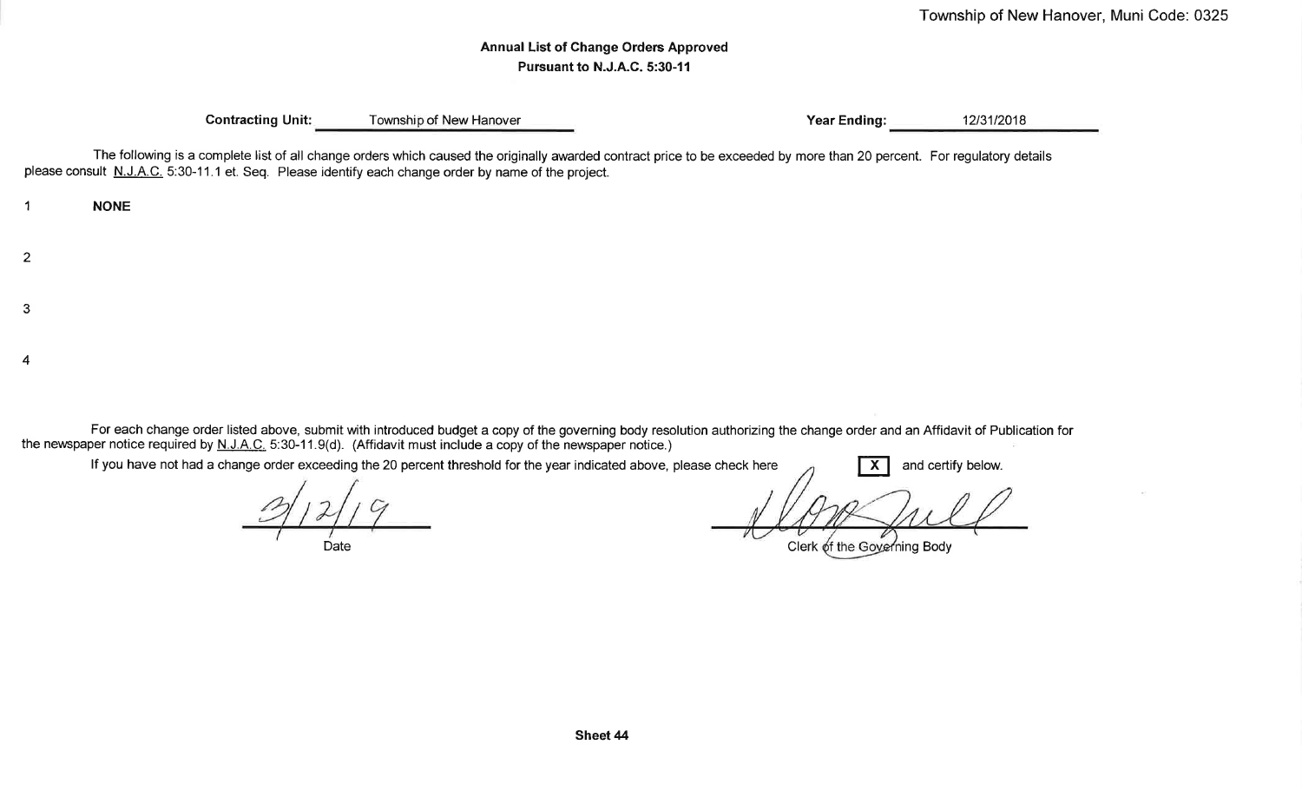# **Annual List of Change Orders Approved** Pursuant to N.J.A.C. 5:30-11

**Contracting Unit:** 

**NONE** 

 $\overline{1}$ 

 $\overline{2}$ 

3

Township of New Hanover

**Year Ending:** 

12/31/2018

The following is a complete list of all change orders which caused the originally awarded contract price to be exceeded by more than 20 percent. For regulatory details please consult N.J.A.C. 5:30-11.1 et. Seq. Please identify each change order by name of the project.

 $\boldsymbol{4}$ 

For each change order listed above, submit with introduced budget a copy of the governing body resolution authorizing the change order and an Affidavit of Publication for the newspaper notice required by  $N.L.A.C. 5:30-11.9(d)$ . (Affidavit must include a copy of the newspaper notice.)

If you have not had a change order exceeding the 20 percent threshold for the year indicated above, please check here and certify below.  $\mathsf{X}$ 

Date

Clerk of the Governing Body